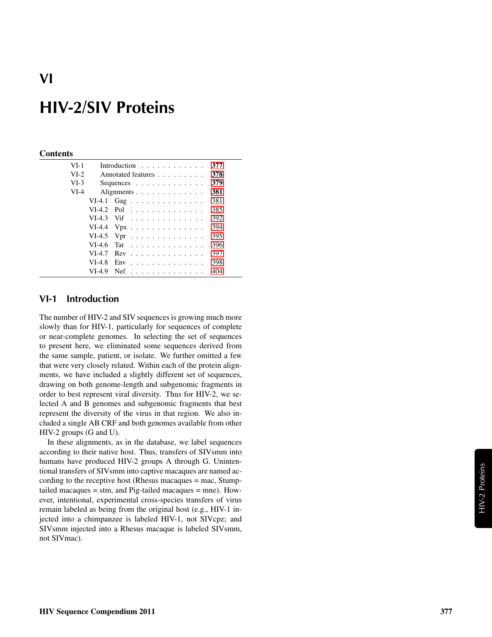#### **Contents**

| $VI-1$ |          | Introduction                                  | 377 |
|--------|----------|-----------------------------------------------|-----|
| $VI-2$ |          | Annotated features                            | 378 |
| $VI-3$ |          | Sequences $\ldots$ $\ldots$ $\ldots$ $\ldots$ | 379 |
| $VI-4$ |          | Alignments                                    | 381 |
|        |          | VI-4.1 Gag                                    | 381 |
|        |          | $VI-4.2$ Pol                                  | 385 |
|        |          | $VI-4.3$ Vif                                  | 392 |
|        |          | VI-4.4 $Vpx$                                  | 394 |
|        |          | VI-4.5 Vpr $\dots \dots \dots \dots \dots$    | 395 |
|        | $VI-4.6$ | Tat                                           | 396 |
|        | $VI-4.7$ | $Rev \dots \dots \dots \dots \dots \dots$     | 397 |
|        | $VI-4.8$ | $Env$ ,,,,,,,,,,,,,,,,,                       | 398 |
|        | $VI-4.9$ | $Nef$                                         | 404 |

#### <span id="page-0-0"></span>VI-1 Introduction

The number of HIV-2 and SIV sequences is growing much more slowly than for HIV-1, particularly for sequences of complete or near-complete genomes. In selecting the set of sequences to present here, we eliminated some sequences derived from the same sample, patient, or isolate. We further omitted a few that were very closely related. Within each of the protein alignments, we have included a slightly different set of sequences, drawing on both genome-length and subgenomic fragments in order to best represent viral diversity. Thus for HIV-2, we selected A and B genomes and subgenomic fragments that best represent the diversity of the virus in that region. We also included a single AB CRF and both genomes available from other HIV-2 groups (G and U).

In these alignments, as in the database, we label sequences according to their native host. Thus, transfers of SIVsmm into humans have produced HIV-2 groups A through G. Unintentional transfers of SIVsmm into captive macaques are named according to the receptive host (Rhesus macaques = mac, Stumptailed macaques = stm, and Pig-tailed macaques = mne). However, intentional, experimental cross-species transfers of virus remain labeled as being from the original host (e.g., HIV-1 injected into a chimpanzee is labeled HIV-1, not SIVcpz; and SIVsmm injected into a Rhesus macaque is labeled SIVsmm, not SIVmac).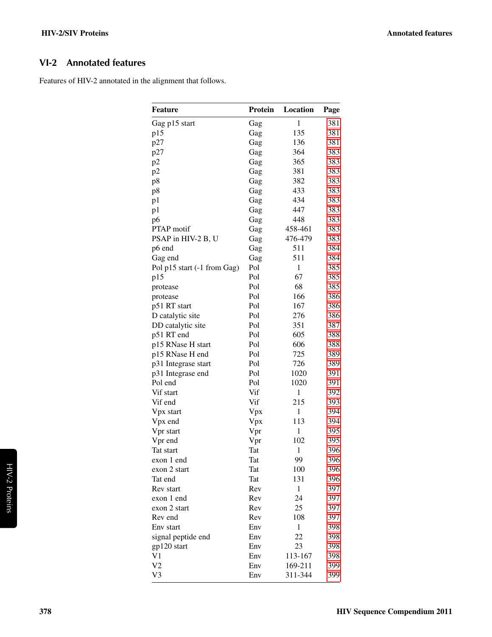## <span id="page-1-0"></span>VI-2 Annotated features

Features of HIV-2 annotated in the alignment that follows.

| <b>Feature</b>              | Protein | Location     | Page |
|-----------------------------|---------|--------------|------|
| Gag p15 start               | Gag     | $\mathbf{1}$ | 381  |
| p15                         | Gag     | 135          | 381  |
| p27                         | Gag     | 136          | 381  |
| p27                         | Gag     | 364          | 383  |
| p2                          | Gag     | 365          | 383  |
| p2                          | Gag     | 381          | 383  |
| p8                          | Gag     | 382          | 383  |
| p8                          | Gag     | 433          | 383  |
| p1                          | Gag     | 434          | 383  |
| p1                          | Gag     | 447          | 383  |
| p6                          | Gag     | 448          | 383  |
| <b>PTAP</b> motif           | Gag     | 458-461      | 383  |
| PSAP in HIV-2 B, U          | Gag     | 476-479      | 383  |
| p6 end                      | Gag     | 511          | 384  |
| Gag end                     | Gag     | 511          | 384  |
| Pol p15 start (-1 from Gag) | Pol     | $\mathbf{1}$ | 385  |
| p15                         | Pol     | 67           | 385  |
| protease                    | Pol     | 68           | 385  |
| protease                    | Pol     | 166          | 386  |
| p51 RT start                | Pol     | 167          | 386  |
| D catalytic site            | Pol     | 276          | 386  |
| DD catalytic site           | Pol     | 351          | 387  |
| p51 RT end                  | Pol     | 605          | 388  |
| p15 RNase H start           | Pol     | 606          | 388  |
| p15 RNase H end             | Pol     | 725          | 389  |
| p31 Integrase start         | Pol     | 726          | 389  |
| p31 Integrase end           | Pol     | 1020         | 391  |
| Pol end                     | Pol     | 1020         | 391  |
| Vif start                   | Vif     | 1            | 392  |
| Vif end                     | Vif     | 215          | 393  |
| Vpx start                   | Vpx     | 1            | 394  |
| Vpx end                     | Vpx     | 113          | 394  |
| Vpr start                   | Vpr     | 1            | 395  |
| Vpr end                     | Vpr     | 102          | 395  |
| Tat start                   | Tat     | $\mathbf{1}$ | 396  |
| exon 1 end                  | Tat     | 99           | 396  |
| exon 2 start                | Tat     | 100          | 396  |
| Tat end                     | Tat     | 131          | 396  |
| Rev start                   | Rev     | $\mathbf{1}$ | 397  |
| exon 1 end                  | Rev     | 24           | 397  |
| exon 2 start                | Rev     | 25           | 397  |
| Rev end                     | Rev     | 108          | 397  |
| Env start                   | Env     | $\mathbf{1}$ | 398  |
| signal peptide end          | Env     | 22           | 398  |
| gp120 start                 | Env     | 23           | 398  |
| V1                          | Env     | 113-167      | 398  |
| V2                          | Env     | 169-211      |      |
|                             |         |              | 399  |
| V <sub>3</sub>              | Env     | 311-344      | 399  |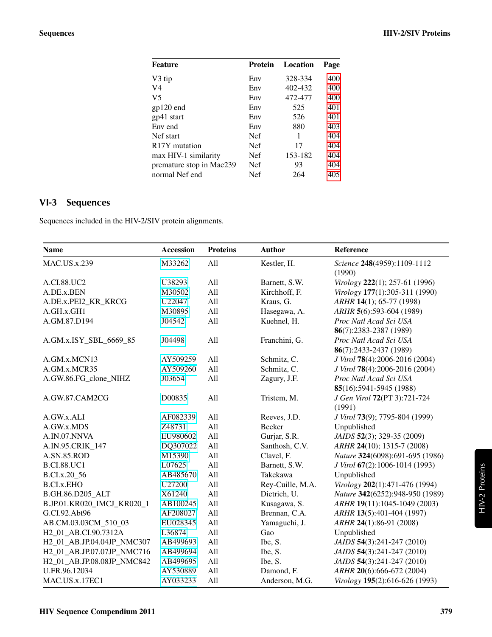| Feature                  | <b>Protein</b> | Location | Page |
|--------------------------|----------------|----------|------|
| V3 tip                   | Env            | 328-334  | 400  |
| V4                       | Env            | 402-432  | 400  |
| V5                       | Env            | 472-477  | 400  |
| gp120 end                | Env            | 525      | 401  |
| gp41 start               | Env            | 526      | 401  |
| Env end                  | Env            | 880      | 403  |
| Nef start                | <b>Nef</b>     | 1        | 404  |
| R17Y mutation            | <b>Nef</b>     | 17       | 404  |
| max HIV-1 similarity     | <b>Nef</b>     | 153-182  | 404  |
| premature stop in Mac239 | <b>Nef</b>     | 93       | 404  |
| normal Nef end           | Nef            | 264      | 405  |
|                          |                |          |      |

## <span id="page-2-0"></span>VI-3 Sequences

Sequences included in the HIV-2/SIV protein alignments.

| <b>Name</b>                      | <b>Accession</b> | <b>Proteins</b> | <b>Author</b>    | Reference                       |
|----------------------------------|------------------|-----------------|------------------|---------------------------------|
| <b>MAC.US.x.239</b>              | M33262           | All             | Kestler, H.      | Science 248(4959):1109-1112     |
|                                  |                  |                 |                  | (1990)                          |
| A.CI.88.UC2                      | U38293           | All             | Barnett, S.W.    | Virology 222(1); 257-61 (1996)  |
| A.DE.x.BEN                       | M30502           | All             | Kirchhoff, F.    | Virology 177(1):305-311 (1990)  |
| A.DE.x.PEI2_KR_KRCG              | U22047           | All             | Kraus, G.        | ARHR 14(1); 65-77 (1998)        |
| A.GH.x.GH1                       | M30895           | All             | Hasegawa, A.     | ARHR 5(6):593-604 (1989)        |
| A.GM.87.D194                     | J04542           | All             | Kuehnel, H.      | Proc Natl Acad Sci USA          |
|                                  |                  |                 |                  | 86(7):2383-2387 (1989)          |
| A.GM.x.ISY_SBL_6669_85           | J04498           | All             | Franchini, G.    | Proc Natl Acad Sci USA          |
|                                  |                  |                 |                  | 86(7):2433-2437 (1989)          |
| A.GM.x.MCN13                     | AY509259         | All             | Schmitz, C.      | J Virol 78(4):2006-2016 (2004)  |
| A.GM.x.MCR35                     | AY509260         | All             | Schmitz, C.      | J Virol 78(4):2006-2016 (2004)  |
| A.GW.86.FG_clone_NIHZ            | J03654           | All             | Zagury, J.F.     | Proc Natl Acad Sci USA          |
|                                  |                  |                 |                  | 85(16):5941-5945 (1988)         |
| A.GW.87.CAM2CG                   | D00835           | All             | Tristem, M.      | J Gen Virol 72(PT 3):721-724    |
|                                  |                  |                 |                  | (1991)                          |
| A.GW.x.ALI                       | AF082339         | All             | Reeves, J.D.     | J Virol 73(9); 7795-804 (1999)  |
| A.GW.x.MDS                       | Z48731           | All             | Becker           | Unpublished                     |
| A.IN.07.NNVA                     | EU980602         | All             | Gurjar, S.R.     | JAIDS 52(3); 329-35 (2009)      |
| A.IN.95.CRIK_147                 | DQ307022         | All             | Santhosh, C.V.   | ARHR 24(10); 1315-7 (2008)      |
| A.SN.85.ROD                      | M15390           | All             | Clavel, F.       | Nature 324(6098):691-695 (1986) |
| <b>B.CI.88.UC1</b>               | L07625           | All             | Barnett, S.W.    | J Virol 67(2):1006-1014 (1993)  |
| B.CI.x.20_56                     | AB485670         | All             | Takekawa         | Unpublished                     |
| <b>B.CI.x.EHO</b>                | U27200           | All             | Rey-Cuille, M.A. | Virology 202(1):471-476 (1994)  |
| B.GH.86.D205_ALT                 | X61240           | All             | Dietrich, U.     | Nature 342(6252):948-950 (1989) |
| B.JP.01.KR020_IMCJ_KR020_1       | AB100245         | All             | Kusagawa, S.     | ARHR 19(11):1045-1049 (2003)    |
| G.CI.92.Abt96                    | AF208027         | All             | Brennan, C.A.    | ARHR 13(5):401-404 (1997)       |
| AB.CM.03.03CM_510_03             | EU028345         | All             | Yamaguchi, J.    | ARHR 24(1):86-91 (2008)         |
| H <sub>2_01_AB.CI.90.7312A</sub> | L36874           | All             | Gao              | Unpublished                     |
| H2_01_AB.JP.04.04JP_NMC307       | AB499693         | All             | Ibe, S.          | JAIDS 54(3):241-247 (2010)      |
| H2_01_AB.JP.07.07JP_NMC716       | AB499694         | All             | Ibe, S.          | JAIDS 54(3):241-247 (2010)      |
| H2_01_AB.JP.08.08JP_NMC842       | AB499695         | All             | Ibe, S.          | JAIDS 54(3):241-247 (2010)      |
| U.FR.96.12034                    | AY530889         | All             | Damond, F.       | ARHR 20(6):666-672 (2004)       |
| MAC.US.x.17EC1                   | AY033233         | All             | Anderson, M.G.   | Virology 195(2):616-626 (1993)  |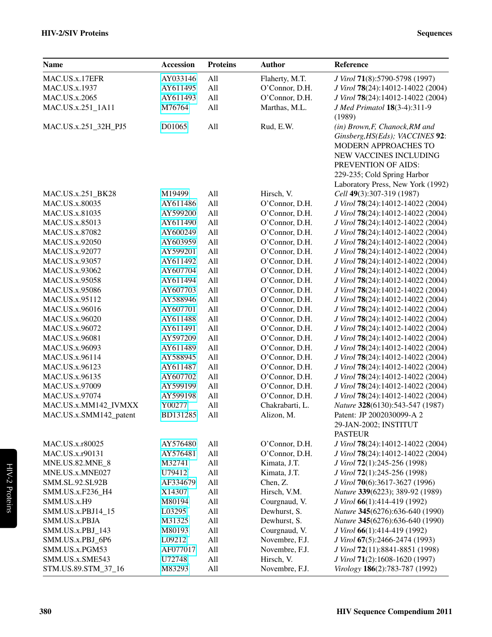### HIV-2/SIV Proteins Sequences

| <b>Name</b>            | <b>Accession</b> | <b>Proteins</b> | <b>Author</b>   | Reference                                                                                                                                                                                                      |
|------------------------|------------------|-----------------|-----------------|----------------------------------------------------------------------------------------------------------------------------------------------------------------------------------------------------------------|
| MAC.US.x.17EFR         | AY033146         | All             | Flaherty, M.T.  | J Virol 71(8):5790-5798 (1997)                                                                                                                                                                                 |
| MAC.US.x.1937          | AY611495         | All             | O'Connor, D.H.  | J Virol 78(24):14012-14022 (2004)                                                                                                                                                                              |
| MAC.US.x.2065          | AY611493         | All             | O'Connor, D.H.  | J Virol 78(24):14012-14022 (2004)                                                                                                                                                                              |
| MAC.US.x.251_1A11      | M76764           | All             | Marthas, M.L.   | J Med Primatol 18(3-4):311-9<br>(1989)                                                                                                                                                                         |
| MAC.US.x.251_32H_PJ5   | D01065           | All             | Rud, E.W.       | (in) Brown, F, Chanock, RM and<br>Ginsberg, HS(Eds); VACCINES 92:<br>MODERN APPROACHES TO<br>NEW VACCINES INCLUDING<br>PREVENTION OF AIDS:<br>229-235; Cold Spring Harbor<br>Laboratory Press, New York (1992) |
| MAC.US.x.251_BK28      | M19499           | All             | Hirsch, V.      | Cell 49(3):307-319 (1987)                                                                                                                                                                                      |
| MAC.US.x.80035         | AY611486         | All             | O'Connor, D.H.  | J Virol 78(24):14012-14022 (2004)                                                                                                                                                                              |
| MAC.US.x.81035         | AY599200         | All             | O'Connor, D.H.  | J Virol 78(24):14012-14022 (2004)                                                                                                                                                                              |
| MAC.US.x.85013         | AY611490         | All             | O'Connor, D.H.  | J Virol 78(24):14012-14022 (2004)                                                                                                                                                                              |
| MAC.US.x.87082         | AY600249         | All             | O'Connor, D.H.  | J Virol 78(24):14012-14022 (2004)                                                                                                                                                                              |
| MAC.US.x.92050         | AY603959         | All             | O'Connor, D.H.  | J Virol 78(24):14012-14022 (2004)                                                                                                                                                                              |
| MAC.US.x.92077         | AY599201         | All             | O'Connor, D.H.  | J Virol 78(24):14012-14022 (2004)                                                                                                                                                                              |
| MAC.US.x.93057         | AY611492         | All             | O'Connor, D.H.  | J Virol 78(24):14012-14022 (2004)                                                                                                                                                                              |
| MAC.US.x.93062         | AY607704         | All             | O'Connor, D.H.  | J Virol 78(24):14012-14022 (2004)                                                                                                                                                                              |
| MAC.US.x.95058         | AY611494         | All             | O'Connor, D.H.  | J Virol 78(24):14012-14022 (2004)                                                                                                                                                                              |
| MAC.US.x.95086         | AY607703         | All             | O'Connor, D.H.  | J Virol 78(24):14012-14022 (2004)                                                                                                                                                                              |
| MAC.US.x.95112         | AY588946         | All             | O'Connor, D.H.  | J Virol 78(24):14012-14022 (2004)                                                                                                                                                                              |
| MAC.US.x.96016         | AY607701         | All             | O'Connor, D.H.  | J Virol 78(24):14012-14022 (2004)                                                                                                                                                                              |
| <b>MAC.US.x.96020</b>  | AY611488         | All             | O'Connor, D.H.  | J Virol 78(24):14012-14022 (2004)                                                                                                                                                                              |
| MAC.US.x.96072         | AY611491         | All             | O'Connor, D.H.  | J Virol 78(24):14012-14022 (2004)                                                                                                                                                                              |
| MAC.US.x.96081         | AY597209         | All             | O'Connor, D.H.  | J Virol 78(24):14012-14022 (2004)                                                                                                                                                                              |
| MAC.US.x.96093         | AY611489         | All             | O'Connor, D.H.  | J Virol 78(24):14012-14022 (2004)                                                                                                                                                                              |
| MAC.US.x.96114         | AY588945         | All             | O'Connor, D.H.  | J Virol 78(24):14012-14022 (2004)                                                                                                                                                                              |
| MAC.US.x.96123         | AY611487         | All             | O'Connor, D.H.  | J Virol 78(24):14012-14022 (2004)                                                                                                                                                                              |
| MAC.US.x.96135         | AY607702         | All             | O'Connor, D.H.  | J Virol 78(24):14012-14022 (2004)                                                                                                                                                                              |
| MAC.US.x.97009         | AY599199         | All             | O'Connor, D.H.  | J Virol 78(24):14012-14022 (2004)                                                                                                                                                                              |
| MAC.US.x.97074         | AY599198         | All             | O'Connor, D.H.  | J Virol 78(24):14012-14022 (2004)                                                                                                                                                                              |
| MAC.US.x.MM142_IVMXX   | Y00277           | All             | Chakrabarti, L. | Nature 328(6130):543-547 (1987)                                                                                                                                                                                |
| MAC.US.x.SMM142_patent | BD131285         | All             | Alizon, M.      | Patent: JP 2002030099-A 2                                                                                                                                                                                      |
|                        |                  |                 |                 | 29-JAN-2002; INSTITUT<br><b>PASTEUR</b>                                                                                                                                                                        |
| MAC.US.x.r80025        | AY576480         | All             | O'Connor, D.H.  | J Virol 78(24):14012-14022 (2004)                                                                                                                                                                              |
| MAC.US.x.r90131        | AY576481         | All             | O'Connor, D.H.  | J Virol 78(24):14012-14022 (2004)                                                                                                                                                                              |
| <b>MNE.US.82.MNE_8</b> | M32741           | All             | Kimata, J.T.    | J Virol 72(1):245-256 (1998)                                                                                                                                                                                   |
| MNE.US.x.MNE027        | U79412           | All             | Kimata, J.T.    | J Virol 72(1):245-256 (1998)                                                                                                                                                                                   |
| SMM.SL.92.SL92B        | AF334679         | All             | Chen, Z.        | J Virol 70(6):3617-3627 (1996)                                                                                                                                                                                 |
| SMM.US.x.F236_H4       | X14307           | All             | Hirsch, V.M.    | Nature 339(6223); 389-92 (1989)                                                                                                                                                                                |
| SMM.US.x.H9            | M80194           | All             | Courgnaud, V.   | J Virol 66(1):414-419 (1992)                                                                                                                                                                                   |
| SMM.US.x.PBJ14_15      | L03295           | All             | Dewhurst, S.    | Nature 345(6276):636-640 (1990)                                                                                                                                                                                |
| SMM.US.x.PBJA          | M31325           | All             | Dewhurst, S.    | Nature 345(6276):636-640 (1990)                                                                                                                                                                                |
| SMM.US.x.PBJ_143       | M80193           | All             | Courgnaud, V.   | J Virol 66(1):414-419 (1992)                                                                                                                                                                                   |
| SMM.US.x.PBJ_6P6       | L09212           | All             | Novembre, F.J.  | J Virol 67(5):2466-2474 (1993)                                                                                                                                                                                 |
| SMM.US.x.PGM53         | AF077017         | All             | Novembre, F.J.  | J Virol 72(11):8841-8851 (1998)                                                                                                                                                                                |
| SMM.US.x.SME543        | U72748           | All             | Hirsch, V.      | J Virol 71(2):1608-1620 (1997)                                                                                                                                                                                 |
| STM.US.89.STM_37_16    | M83293           | All             | Novembre, F.J.  | Virology 186(2):783-787 (1992)                                                                                                                                                                                 |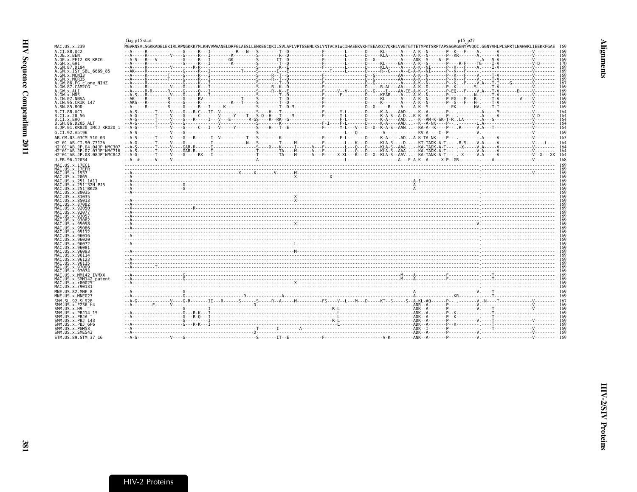<span id="page-4-2"></span><span id="page-4-1"></span><span id="page-4-0"></span>

|                                                                | Gag p15 start |                                                                                                                                                                                |
|----------------------------------------------------------------|---------------|--------------------------------------------------------------------------------------------------------------------------------------------------------------------------------|
| MAC.US.x.239                                                   |               | MGVRNSVLSGKKADELEKIRLRPNGKKKYMLKHVVWAANELDRFGLAESLLENKEGCOKILSVLAPLVPTGSENLKSLYNTVCVIWCIHAEEKVKHTEEAKOIVORHLVVETGTTETMPKTSRPTAPSSGRGGNYPVOOI.GGNYVHLPLSPRTLNAWVKLIEEKKFGAE 169 |
| A.CI.88.UC2                                                    |               |                                                                                                                                                                                |
| A.DE.x.BEN<br>A.DE.x.PEI2 KR KRCG                              |               |                                                                                                                                                                                |
| A.GH.x.GH1                                                     |               |                                                                                                                                                                                |
| A.GM.87.D194                                                   |               |                                                                                                                                                                                |
| A.GM.x.ISY SBL 6669 85<br>A.GM.x.MCN13                         |               |                                                                                                                                                                                |
| A.GM.x.MCR35                                                   |               | 169                                                                                                                                                                            |
| A.GW.86.FG clone NIHZ<br>A.GW.87.CAM2CG                        |               | 167<br>169                                                                                                                                                                     |
| A.GW.x.ALI                                                     |               | 169                                                                                                                                                                            |
| A.GW.x.MDS                                                     |               |                                                                                                                                                                                |
| A.IN.07.NNVA<br>A.IN.95.CRIK 147                               |               | 169                                                                                                                                                                            |
| A.SN.85.ROD                                                    |               | 169                                                                                                                                                                            |
| B.CI.88.UC1                                                    |               |                                                                                                                                                                                |
| B.CI.x.20 56<br>B.CI.x.EHO                                     |               | 164<br>164                                                                                                                                                                     |
| B.GH.86.D205 ALT                                               |               | 164                                                                                                                                                                            |
| B.JP.01.KR020 IMCJ KR020 1                                     |               |                                                                                                                                                                                |
| G.CI.92.Abt96                                                  |               |                                                                                                                                                                                |
| AB.CM.03.03CM 510 03                                           |               | - 163                                                                                                                                                                          |
| H2 01 AB.CI.90.7312A<br>H2 <sup>-01-AB.JP.04.04JP NMC307</sup> |               |                                                                                                                                                                                |
| H2 <sup>-01-AB.JP.07.07JP-NMC716</sup>                         |               |                                                                                                                                                                                |
| H2 <sup>-01-AB.JP.08.08JP-NMC842</sup>                         |               |                                                                                                                                                                                |
| U.FR.96.12034                                                  |               |                                                                                                                                                                                |
| MAC.US.x.17EC1                                                 |               | - 169                                                                                                                                                                          |
| MAC.US.x.17EFR<br>MAC.US.x.1937                                |               |                                                                                                                                                                                |
| MAC.US.x.2065                                                  |               | $\ldots$ . A consequently consequently consequently consequently and $\ldots$ . A consequently consequently consequently consequently consequently and $\ldots$                |
| MAC.US.x.251 1A11<br>MAC.US.x.251 32H PJ5                      |               | -169                                                                                                                                                                           |
| MAC.US.x.251 <sup>-</sup> BK28                                 |               | 169                                                                                                                                                                            |
| MAC.US.x.80035                                                 |               | 169                                                                                                                                                                            |
| MAC. US. x.81035<br>MAC.US.x.85013                             |               |                                                                                                                                                                                |
| MAC.US.x.87082<br>MAC.US.x.92050                               |               |                                                                                                                                                                                |
| MAC. US. x. 92077                                              |               |                                                                                                                                                                                |
| MAC.US.x.93057                                                 |               |                                                                                                                                                                                |
| MAC.US.x.93062<br>MAC. US. x.95058                             |               |                                                                                                                                                                                |
| MAC. US. x. 95086                                              |               |                                                                                                                                                                                |
| MAC.US.x.95112                                                 |               |                                                                                                                                                                                |
| MAC.US.x.96016<br>MAC.US.x.96020                               |               |                                                                                                                                                                                |
| MAC.US.x.96072                                                 |               |                                                                                                                                                                                |
| MAC.US.x.96081<br>MAC.US.x.96093                               |               |                                                                                                                                                                                |
| MAC.US.x.96114                                                 |               |                                                                                                                                                                                |
| MAC.US.x.96123                                                 |               |                                                                                                                                                                                |
| MAC.US.x.96135<br>MAC.US.x.97009                               |               |                                                                                                                                                                                |
| MAC.US.x.97074                                                 |               |                                                                                                                                                                                |
| MAC.US.x.MM142 IVMXX<br>MAC.US.x.SMM142 patent                 |               |                                                                                                                                                                                |
| MAC.US.x.r80025                                                |               |                                                                                                                                                                                |
| MAC.US.x.r90131                                                |               |                                                                                                                                                                                |
| MNE.US.82.MNE 8<br>MNE.US.x.MNE027                             |               |                                                                                                                                                                                |
| SMM. SL. 92. SL92B                                             |               |                                                                                                                                                                                |
| SMM. US. x. F236 H4                                            |               |                                                                                                                                                                                |
| SMM.US.x.H9                                                    |               |                                                                                                                                                                                |
| SMM. US. x. PBJ14 15<br>SMM.US.x.PBJA                          |               | 169<br>169                                                                                                                                                                     |
| SMM. US. x. PBJ 143                                            |               | 169                                                                                                                                                                            |
| SMM.US.x.PBJ <sup>-6P6</sup>                                   |               |                                                                                                                                                                                |
| SMM.US.x.PGM53<br>SMM.US.x.SME543                              |               |                                                                                                                                                                                |
| STM.US.89.STM 37 16                                            |               |                                                                                                                                                                                |
|                                                                |               |                                                                                                                                                                                |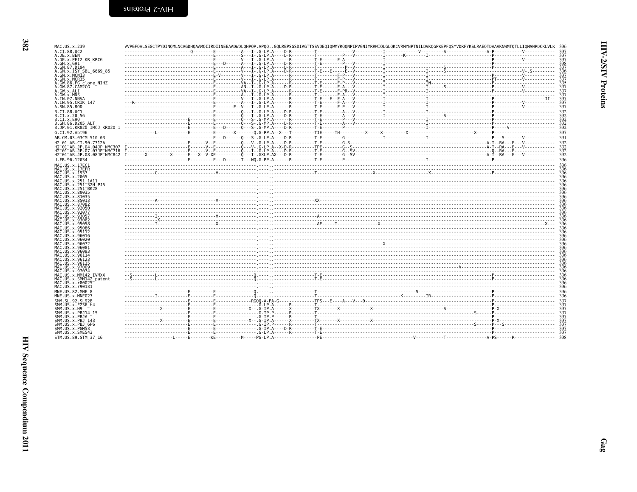| MAC.US.x.239                                                        | VVPGFQALSEGCTPYDINQMLNCVGDHQAAMQIIRDIINEEAADWDLQHPQP.APQQGQLREPSGSDIAGTTSSVDEQIQWMYRQQNPIPVGNIYRRWIQLGLQKCVRMYNPTNILDVKQGPKEPFQSYVDRFYKSLRAEOTDAAVKNWMTOTLLIONANPDCKLVLK 336                                                                                                                                                                                                                                                                                                                         |  |                                        |
|---------------------------------------------------------------------|------------------------------------------------------------------------------------------------------------------------------------------------------------------------------------------------------------------------------------------------------------------------------------------------------------------------------------------------------------------------------------------------------------------------------------------------------------------------------------------------------|--|----------------------------------------|
| A.CI.88.UC2                                                         |                                                                                                                                                                                                                                                                                                                                                                                                                                                                                                      |  |                                        |
| A.DE.x.BEN                                                          |                                                                                                                                                                                                                                                                                                                                                                                                                                                                                                      |  |                                        |
| A.DE.x.PEI2 KR KRCG<br>A.GH.x.GH1                                   |                                                                                                                                                                                                                                                                                                                                                                                                                                                                                                      |  | 337<br>338                             |
| A.GM.87.D194                                                        |                                                                                                                                                                                                                                                                                                                                                                                                                                                                                                      |  |                                        |
| GM.x.ISY SBL 6669 85                                                |                                                                                                                                                                                                                                                                                                                                                                                                                                                                                                      |  |                                        |
| GM.x.MCNI3                                                          |                                                                                                                                                                                                                                                                                                                                                                                                                                                                                                      |  |                                        |
| GM.x.MCR35<br>A.GW.86.FG clone NIHZ                                 |                                                                                                                                                                                                                                                                                                                                                                                                                                                                                                      |  |                                        |
| A.GW.87.CAM2CG                                                      |                                                                                                                                                                                                                                                                                                                                                                                                                                                                                                      |  |                                        |
| A.GW.x.ALI                                                          |                                                                                                                                                                                                                                                                                                                                                                                                                                                                                                      |  |                                        |
| A.GW.x.MDS<br>A.IN.07.NNVA                                          |                                                                                                                                                                                                                                                                                                                                                                                                                                                                                                      |  | 337                                    |
| A.IN.95.CRIK 147                                                    |                                                                                                                                                                                                                                                                                                                                                                                                                                                                                                      |  | 337                                    |
| A.SN.85.ROD                                                         |                                                                                                                                                                                                                                                                                                                                                                                                                                                                                                      |  | 337                                    |
| B.CI.88.UC1                                                         |                                                                                                                                                                                                                                                                                                                                                                                                                                                                                                      |  | 332<br>332<br>332<br>332<br>332        |
| B.CI.X.20 56                                                        |                                                                                                                                                                                                                                                                                                                                                                                                                                                                                                      |  |                                        |
| B.CI.X.EHO<br>GH.86.D205 ALT.                                       |                                                                                                                                                                                                                                                                                                                                                                                                                                                                                                      |  |                                        |
|                                                                     |                                                                                                                                                                                                                                                                                                                                                                                                                                                                                                      |  |                                        |
| G.CI.92.Abt96                                                       |                                                                                                                                                                                                                                                                                                                                                                                                                                                                                                      |  | 337                                    |
| AB.CM.03.03CM 510 03                                                |                                                                                                                                                                                                                                                                                                                                                                                                                                                                                                      |  | 331                                    |
| H2 01 AB.CI.90.7312A                                                |                                                                                                                                                                                                                                                                                                                                                                                                                                                                                                      |  | 332                                    |
|                                                                     |                                                                                                                                                                                                                                                                                                                                                                                                                                                                                                      |  | $\frac{332}{332}$<br>$\frac{332}{332}$ |
|                                                                     |                                                                                                                                                                                                                                                                                                                                                                                                                                                                                                      |  |                                        |
|                                                                     |                                                                                                                                                                                                                                                                                                                                                                                                                                                                                                      |  | 336                                    |
| U.FR.96.12034                                                       |                                                                                                                                                                                                                                                                                                                                                                                                                                                                                                      |  | 336                                    |
| MAC.US.x.17EC1<br>MAC.US.x.17EFR                                    |                                                                                                                                                                                                                                                                                                                                                                                                                                                                                                      |  | 336                                    |
| MAC.US.x.1937                                                       |                                                                                                                                                                                                                                                                                                                                                                                                                                                                                                      |  | 336                                    |
| MAC.US.x.2065                                                       |                                                                                                                                                                                                                                                                                                                                                                                                                                                                                                      |  | $\frac{336}{336}$                      |
| MAC.US.x.251 1A11                                                   |                                                                                                                                                                                                                                                                                                                                                                                                                                                                                                      |  |                                        |
| MAC.US.x.251 <sup>-</sup> 32H PJ5<br>MAC.US.x.251 <sup>-</sup> BK28 |                                                                                                                                                                                                                                                                                                                                                                                                                                                                                                      |  |                                        |
| MAC.US.x.80035                                                      |                                                                                                                                                                                                                                                                                                                                                                                                                                                                                                      |  | $\frac{336}{336}$                      |
| MAC.US.x.81035                                                      |                                                                                                                                                                                                                                                                                                                                                                                                                                                                                                      |  |                                        |
| MAC.US.x.85013<br>MAC.US.x.87082                                    |                                                                                                                                                                                                                                                                                                                                                                                                                                                                                                      |  | 336<br>336                             |
| MAC.US.x.92050                                                      |                                                                                                                                                                                                                                                                                                                                                                                                                                                                                                      |  | 336                                    |
| MAC.US.x.92077                                                      |                                                                                                                                                                                                                                                                                                                                                                                                                                                                                                      |  | 336                                    |
| MAC.US.x.93057<br>MAC.US.x.93062                                    |                                                                                                                                                                                                                                                                                                                                                                                                                                                                                                      |  | 336                                    |
| MAC.US.x.95058                                                      | $\overbrace{\mathbf{r},\dots,\dots,\dots,\dots,\mathbf{r}}^{K}$ . The contract of the contract of the contract of $\mathbf{r},\dots,\dots,\mathbf{r}$ . The contract of the contract of the contract of the contract of the contract of the contract of the contract of the contr                                                                                                                                                                                                                    |  | 336<br>336                             |
| MAC.US.x.95086                                                      |                                                                                                                                                                                                                                                                                                                                                                                                                                                                                                      |  | 336                                    |
| MAC.US.x.95112                                                      |                                                                                                                                                                                                                                                                                                                                                                                                                                                                                                      |  | 336                                    |
| MAC.US.x.96016<br>MAC.US.x.96020                                    |                                                                                                                                                                                                                                                                                                                                                                                                                                                                                                      |  |                                        |
| MAC. US. x.96072                                                    |                                                                                                                                                                                                                                                                                                                                                                                                                                                                                                      |  |                                        |
| MAC.US.x.96081                                                      |                                                                                                                                                                                                                                                                                                                                                                                                                                                                                                      |  |                                        |
| MAC.US.x.96093<br>MAC.US.x.96114                                    |                                                                                                                                                                                                                                                                                                                                                                                                                                                                                                      |  |                                        |
| MAC.US.x.96123                                                      |                                                                                                                                                                                                                                                                                                                                                                                                                                                                                                      |  |                                        |
| MAC.US.x.96135                                                      |                                                                                                                                                                                                                                                                                                                                                                                                                                                                                                      |  |                                        |
| MAC.US.x.97009<br>MAC.US.x.97074                                    |                                                                                                                                                                                                                                                                                                                                                                                                                                                                                                      |  |                                        |
| MAC.US.x.MM142 IVMXX                                                | $\begin{picture}(100,100)(0,0) \put(0,0){\vector(1,0){100}} \put(10,0){\vector(1,0){100}} \put(10,0){\vector(1,0){100}} \put(10,0){\vector(1,0){100}} \put(10,0){\vector(1,0){100}} \put(10,0){\vector(1,0){100}} \put(10,0){\vector(1,0){100}} \put(10,0){\vector(1,0){100}} \put(10,0){\vector(1,0){100}} \put(10,0){\vector(1,0){100}} \put(10,0){\vector(1,0$                                                                                                                                    |  | 336                                    |
| MAC.US.x.SMM142 patent                                              |                                                                                                                                                                                                                                                                                                                                                                                                                                                                                                      |  | 336                                    |
| MAC.US.x.r80025                                                     |                                                                                                                                                                                                                                                                                                                                                                                                                                                                                                      |  | 336<br>336                             |
| MAC.US.x.r90131<br>MNE.US.82.MNE 8                                  |                                                                                                                                                                                                                                                                                                                                                                                                                                                                                                      |  | 336                                    |
| MNE.US.x.MNE027                                                     |                                                                                                                                                                                                                                                                                                                                                                                                                                                                                                      |  | 336                                    |
| SMM.SL.92.SL92B                                                     |                                                                                                                                                                                                                                                                                                                                                                                                                                                                                                      |  |                                        |
| SMM.US.x.F236 H4                                                    |                                                                                                                                                                                                                                                                                                                                                                                                                                                                                                      |  |                                        |
| SMM.US.x.H9                                                         |                                                                                                                                                                                                                                                                                                                                                                                                                                                                                                      |  |                                        |
| SMM.US.x.PBJ14 15<br>SMM.US.x.PBJA                                  |                                                                                                                                                                                                                                                                                                                                                                                                                                                                                                      |  |                                        |
| SMM.US.x.PBJ 143                                                    |                                                                                                                                                                                                                                                                                                                                                                                                                                                                                                      |  |                                        |
| SMM.US.x.PBJ <sup>-</sup> 6P6                                       | $\begin{minipage}{0.01\textwidth} \begin{minipage}{0.01\textwidth} \begin{minipage}{0.01\textwidth} \begin{minipage}{0.01\textwidth} \begin{minipage}{0.01\textwidth} \begin{minipage}{0.01\textwidth} \begin{minipage}{0.01\textwidth} \begin{minipage}{0.01\textwidth} \begin{minipage}{0.01\textwidth} \begin{minipage}{0.01\textwidth} \begin{minipage}{0.01\textwidth} \begin{minipage}{0.01\textwidth} \begin{minipage}{0.01\textwidth} \begin{minipage}{0.01\textwidth} \begin{minipage}{0.0$ |  |                                        |
| SMM.US.x.PGM53                                                      |                                                                                                                                                                                                                                                                                                                                                                                                                                                                                                      |  |                                        |
| SMM.US.x.SME543                                                     |                                                                                                                                                                                                                                                                                                                                                                                                                                                                                                      |  |                                        |
| STM.US.89.STM 37 16                                                 |                                                                                                                                                                                                                                                                                                                                                                                                                                                                                                      |  | 338                                    |

 $\mathbf{Gag}$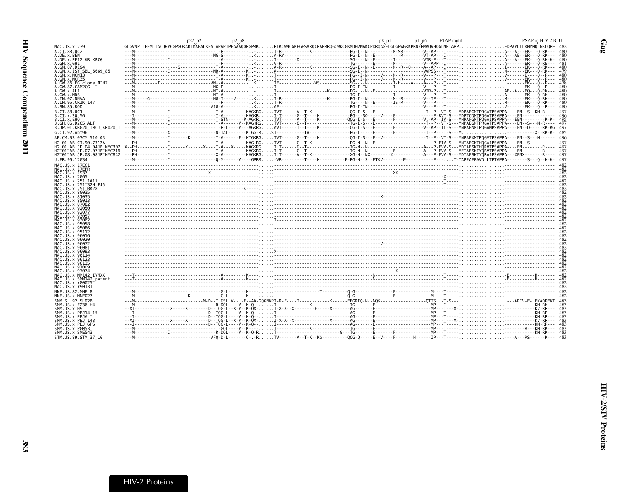<span id="page-6-0"></span>

|                                                                   | $p27$ $p2$                                                                                                                                                   |  | pl p6 | PTAP motif | PSAP in HIV-2 B, U |
|-------------------------------------------------------------------|--------------------------------------------------------------------------------------------------------------------------------------------------------------|--|-------|------------|--------------------|
| MAC.US.x.239                                                      | GLGVNPTLEEMLTACOGVGGPGOKARLMAEALKEALAPVPIPFAAAOORGPRKPIKCWNCGKEGHSAROCRAPRROGCWKCGKMDHVMAKCPDROAGFLGLGPWGKKPRNFPMAOVHOGLMPTAPPEDPAVDLLKNYMOLGKOORE 482       |  |       |            |                    |
| A.CI.88.UC2                                                       |                                                                                                                                                              |  |       |            |                    |
| A.DE.x.BEN                                                        |                                                                                                                                                              |  |       |            |                    |
| A.DE.x.PEI2 KR KRCG                                               |                                                                                                                                                              |  |       |            |                    |
| A.GH.x.GH1<br>A.GM.87.D194                                        |                                                                                                                                                              |  |       |            |                    |
| A.GM.X.ISY SBL 6669 85                                            |                                                                                                                                                              |  |       |            |                    |
| A.GM.x.MCNI3                                                      |                                                                                                                                                              |  |       |            |                    |
| A.GM.x.MCR35                                                      |                                                                                                                                                              |  |       |            |                    |
| A.GW.86.FG clone NIHZ                                             |                                                                                                                                                              |  |       |            |                    |
| A.GW.87.CAM2CG<br>A.GW.x.ALI                                      |                                                                                                                                                              |  |       |            |                    |
| A.GW.x.MDS                                                        |                                                                                                                                                              |  |       |            |                    |
| A.IN.07.NNVA                                                      |                                                                                                                                                              |  |       |            |                    |
| A. IN. 95. CRIK 147                                               |                                                                                                                                                              |  |       |            |                    |
| A.SN.85.ROD                                                       |                                                                                                                                                              |  |       |            |                    |
| B.CI.88.UC1                                                       |                                                                                                                                                              |  |       |            |                    |
| B.CI.x.20 56<br>B.CI.x.EHO                                        |                                                                                                                                                              |  |       |            |                    |
| B.GH.86.D205 ALT                                                  |                                                                                                                                                              |  |       |            |                    |
| B.JP.01.KR020 IMCJ KR020 1                                        |                                                                                                                                                              |  |       |            |                    |
| G.CI.92.Abt96                                                     |                                                                                                                                                              |  |       |            |                    |
| AB.CM.03.03CM 510 03                                              | -----------I-------K---------T-A------F--KTGKRGTVT------G--T----K--------------0G-I-S---E--V-------------------T--P--VT-S---MMPAEXMTPOGVTPSAPPA----EM--S---M |  |       |            |                    |
| H2 01 AB.CI.90.7312A                                              |                                                                                                                                                              |  |       |            |                    |
| H2 01 AB.JP.04.04JP NMC307                                        |                                                                                                                                                              |  |       |            |                    |
| H2 <sup>-</sup> 01 <sup>-</sup> AB.JP.07.07JP <sup>-</sup> NMC716 |                                                                                                                                                              |  |       |            |                    |
| H2 <sup>-01-AB.JP.08.08JP-NMC842</sup>                            |                                                                                                                                                              |  |       |            |                    |
| U.FR.96.12034                                                     |                                                                                                                                                              |  |       |            |                    |
| MAC.US.x.17EC1                                                    |                                                                                                                                                              |  |       |            |                    |
| MAC.US.x.17EFR                                                    |                                                                                                                                                              |  |       |            |                    |
| MAC.US.x.1937                                                     |                                                                                                                                                              |  |       |            |                    |
| MAC.US.x.2065<br>MAC.US.x.251 1A11                                |                                                                                                                                                              |  |       |            |                    |
| MAC.US.x.251 32H PJ5                                              |                                                                                                                                                              |  |       |            |                    |
| MAC.US.x.251 <sup>-</sup> BK28                                    |                                                                                                                                                              |  |       |            |                    |
| MAC.US.x.80035                                                    |                                                                                                                                                              |  |       |            |                    |
| MAC.US.x.81035                                                    |                                                                                                                                                              |  |       |            |                    |
| MAC.US.x.85013<br>MAC.US.x.87082                                  |                                                                                                                                                              |  |       |            |                    |
| MAC.US.x.92050                                                    |                                                                                                                                                              |  |       |            |                    |
| MAC.US.x.92077                                                    |                                                                                                                                                              |  |       |            |                    |
| MAC.US.x.93057                                                    |                                                                                                                                                              |  |       |            |                    |
| MAC.US.x.93062<br>MAC US x 95058                                  |                                                                                                                                                              |  |       |            |                    |
| MAC.US.x.95086                                                    |                                                                                                                                                              |  |       |            |                    |
| MAC.US.x.95112                                                    |                                                                                                                                                              |  |       |            |                    |
| MAC.US.x.96016                                                    |                                                                                                                                                              |  |       |            |                    |
| MAC.US.x.96020                                                    |                                                                                                                                                              |  |       |            |                    |
| MAC.US.x.96072<br>MAC.US.x.96081                                  |                                                                                                                                                              |  |       |            |                    |
| MAC.US.x.96093                                                    |                                                                                                                                                              |  |       |            |                    |
| MAC.US.x.96114                                                    |                                                                                                                                                              |  |       |            |                    |
| MAC.US.x.96123                                                    |                                                                                                                                                              |  |       |            |                    |
| MAC.US.x.96135                                                    |                                                                                                                                                              |  |       |            |                    |
| MAC.US.x.97009<br>MAC.US.x.97074                                  |                                                                                                                                                              |  |       |            |                    |
| MAC.US.x.MM142 IVMXX                                              |                                                                                                                                                              |  |       |            |                    |
| MAC.US.x.SMM142 patent                                            |                                                                                                                                                              |  |       |            |                    |
| MAC.US.x.r80025                                                   |                                                                                                                                                              |  |       |            |                    |
| MAC.US.x.r90131                                                   |                                                                                                                                                              |  |       |            |                    |
| MNE.US.82.MNE 8<br>MNE.US.x.MNE027                                |                                                                                                                                                              |  |       |            |                    |
|                                                                   |                                                                                                                                                              |  |       |            |                    |
| SMM.SL.92.SL92B                                                   |                                                                                                                                                              |  |       |            |                    |
| SMM.US.x.F236 H4<br>SMM.US.x.H9                                   |                                                                                                                                                              |  |       |            |                    |
| SMM.US.x.PBJ14 15                                                 |                                                                                                                                                              |  |       |            |                    |
| SMM.US.x.PBJA                                                     |                                                                                                                                                              |  |       |            |                    |
| SMM.US.x.PBJ 143                                                  |                                                                                                                                                              |  |       |            |                    |
| SMM.US.x.PBJ <sup>-</sup> 6P6                                     |                                                                                                                                                              |  |       |            |                    |
| SMM.US.x.PGM53<br>SMM.US.x.SME543                                 |                                                                                                                                                              |  |       |            |                    |
| STM. US. 89. STM 37 16                                            |                                                                                                                                                              |  |       |            |                    |
|                                                                   |                                                                                                                                                              |  |       |            |                    |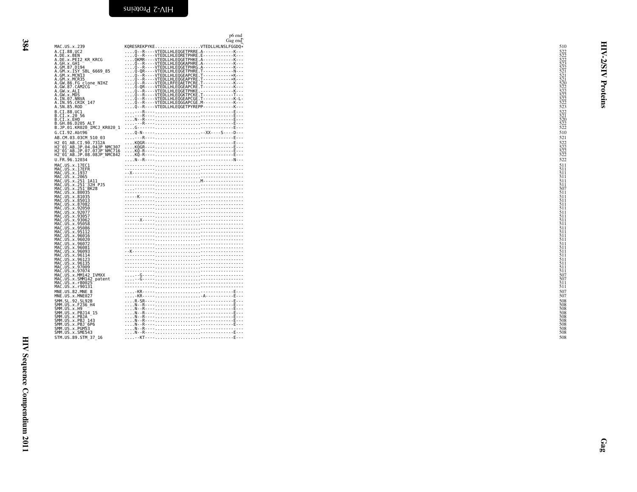| ۰, |
|----|

<span id="page-7-0"></span>

|                                                                                                                                                                                                                                                                                            | p6 end<br>Gag end                                                                                                                                                                                                                                                                                                                                                                                                                                                                                                                        |                                                             |
|--------------------------------------------------------------------------------------------------------------------------------------------------------------------------------------------------------------------------------------------------------------------------------------------|------------------------------------------------------------------------------------------------------------------------------------------------------------------------------------------------------------------------------------------------------------------------------------------------------------------------------------------------------------------------------------------------------------------------------------------------------------------------------------------------------------------------------------------|-------------------------------------------------------------|
| MAC.US.x.239                                                                                                                                                                                                                                                                               | KQRESREKPYKEVTEDLLHLNSLFGGDQ*<br>${\tiny \begin{tabular}{0.96\textwidth}\textbf{KQRESREKPYKE} \textbf{1.4\textwidth}\textbf{1.5\textwidth}\textbf{1.6\textwidth}\textbf{2.6\textwidth}\textbf{2.6\textwidth}\textbf{3.6\textwidth}\textbf{4.6\textwidth}\textbf{5.6\textwidth}\textbf{5.6\textwidth}\textbf{6.6\textwidth}\textbf{6.6\textwidth}\textbf{7.6\textwidth}\textbf{7.6\textwidth}\textbf{8.6\textwidth}\textbf{8.6\textwidth}\textbf{9.6\textwidth}\textbf{1.6\textwidth}\textbf{1.6\textwidth}\textbf{1.6\textwidth}\textbf$ | 510                                                         |
|                                                                                                                                                                                                                                                                                            |                                                                                                                                                                                                                                                                                                                                                                                                                                                                                                                                          | ⋖                                                           |
|                                                                                                                                                                                                                                                                                            |                                                                                                                                                                                                                                                                                                                                                                                                                                                                                                                                          | 2/5                                                         |
|                                                                                                                                                                                                                                                                                            |                                                                                                                                                                                                                                                                                                                                                                                                                                                                                                                                          | $\overline{\mathbf{A}}$                                     |
|                                                                                                                                                                                                                                                                                            |                                                                                                                                                                                                                                                                                                                                                                                                                                                                                                                                          |                                                             |
|                                                                                                                                                                                                                                                                                            |                                                                                                                                                                                                                                                                                                                                                                                                                                                                                                                                          |                                                             |
|                                                                                                                                                                                                                                                                                            |                                                                                                                                                                                                                                                                                                                                                                                                                                                                                                                                          |                                                             |
| MAC.US.x.239<br>A.C.I.S.x.BEN<br>A.C.I.S.BEN<br>A.C.I.S.A.C.I.S.<br>A.C.I.S.A.C.I.S.<br>A.C.I.S.A.C.I.S.<br>A.C.I.S.A.C.I.S.<br>A.C.I.S.X.I.S.<br>A.C.I.S.A.C.I.C.I.S.<br>A.C.I.S.A.C.I.S.<br>A.C.I.S.A.C.I.S.<br>A.C.I.X.A.C.I.<br>A.C.I.X.A.C.I.<br>A.C.I.X.A.D.<br>A.                   |                                                                                                                                                                                                                                                                                                                                                                                                                                                                                                                                          | Proteins                                                    |
|                                                                                                                                                                                                                                                                                            |                                                                                                                                                                                                                                                                                                                                                                                                                                                                                                                                          |                                                             |
| R.C.1.88.UC1<br>B.CI.x.20 56<br>B.CI.x.20 56<br>B.CI.x.2H0<br>B.GH.86.D205 ALT<br>B.JP.01.KR020_IMCJ_KR020_1                                                                                                                                                                               |                                                                                                                                                                                                                                                                                                                                                                                                                                                                                                                                          |                                                             |
|                                                                                                                                                                                                                                                                                            |                                                                                                                                                                                                                                                                                                                                                                                                                                                                                                                                          |                                                             |
| G.CI.92.Abt96<br>AB.CM.03.03CM_510_03                                                                                                                                                                                                                                                      | Q-N------XX----S----D---                                                                                                                                                                                                                                                                                                                                                                                                                                                                                                                 | 510<br>521                                                  |
| H2 01 AB.CI.90.7312A<br>H2 01 AB.CI.90.7312A<br>H2 01 AB.JP.04.04JP NMC307<br>H2 01 AB.JP.07.07JP NMC716<br>H2 01 AB.JP.08.08JP NMC842                                                                                                                                                     | KOGR----E---                                                                                                                                                                                                                                                                                                                                                                                                                                                                                                                             | 522<br>522<br>522<br>522                                    |
|                                                                                                                                                                                                                                                                                            |                                                                                                                                                                                                                                                                                                                                                                                                                                                                                                                                          |                                                             |
| U.FR.96.12034                                                                                                                                                                                                                                                                              |                                                                                                                                                                                                                                                                                                                                                                                                                                                                                                                                          | 522                                                         |
| MAC.US.x.17EC1<br>U. H. 95. 1293<br>MAC.US.x. 17EF1<br>MAC.US.x. 17EF1<br>MAC.US.x. 1937<br>MAC.US.x. 2051<br>MAC.US.x. 2511<br>MAC.US.x. 2511<br>MAC.US.x. 2511<br>MAC.US.x. 2511<br>MAC.US.x. 810935<br>MAC.US.x. 87082<br>MAC.US.x. 87082<br>MAC.US.x. 970977<br>MAC.US.x. 930652<br>MA |                                                                                                                                                                                                                                                                                                                                                                                                                                                                                                                                          |                                                             |
|                                                                                                                                                                                                                                                                                            |                                                                                                                                                                                                                                                                                                                                                                                                                                                                                                                                          |                                                             |
|                                                                                                                                                                                                                                                                                            |                                                                                                                                                                                                                                                                                                                                                                                                                                                                                                                                          |                                                             |
|                                                                                                                                                                                                                                                                                            |                                                                                                                                                                                                                                                                                                                                                                                                                                                                                                                                          |                                                             |
|                                                                                                                                                                                                                                                                                            |                                                                                                                                                                                                                                                                                                                                                                                                                                                                                                                                          |                                                             |
|                                                                                                                                                                                                                                                                                            |                                                                                                                                                                                                                                                                                                                                                                                                                                                                                                                                          |                                                             |
|                                                                                                                                                                                                                                                                                            |                                                                                                                                                                                                                                                                                                                                                                                                                                                                                                                                          |                                                             |
|                                                                                                                                                                                                                                                                                            |                                                                                                                                                                                                                                                                                                                                                                                                                                                                                                                                          |                                                             |
|                                                                                                                                                                                                                                                                                            |                                                                                                                                                                                                                                                                                                                                                                                                                                                                                                                                          |                                                             |
|                                                                                                                                                                                                                                                                                            |                                                                                                                                                                                                                                                                                                                                                                                                                                                                                                                                          |                                                             |
|                                                                                                                                                                                                                                                                                            |                                                                                                                                                                                                                                                                                                                                                                                                                                                                                                                                          |                                                             |
|                                                                                                                                                                                                                                                                                            |                                                                                                                                                                                                                                                                                                                                                                                                                                                                                                                                          |                                                             |
|                                                                                                                                                                                                                                                                                            |                                                                                                                                                                                                                                                                                                                                                                                                                                                                                                                                          |                                                             |
|                                                                                                                                                                                                                                                                                            | $\begin{picture}(100,100)(0,0) \put(0,0){\vector(1,0){100}} \put(10,0){\vector(1,0){100}} \put(10,0){\vector(1,0){100}} \put(10,0){\vector(1,0){100}} \put(10,0){\vector(1,0){100}} \put(10,0){\vector(1,0){100}} \put(10,0){\vector(1,0){100}} \put(10,0){\vector(1,0){100}} \put(10,0){\vector(1,0){100}} \put(10,0){\vector(1,0){100}} \put(10,0){\vector(1,0$                                                                                                                                                                        |                                                             |
|                                                                                                                                                                                                                                                                                            |                                                                                                                                                                                                                                                                                                                                                                                                                                                                                                                                          |                                                             |
| MNE.US.82.MNE 8                                                                                                                                                                                                                                                                            |                                                                                                                                                                                                                                                                                                                                                                                                                                                                                                                                          | 507                                                         |
| MNE.US.x.MNE027                                                                                                                                                                                                                                                                            |                                                                                                                                                                                                                                                                                                                                                                                                                                                                                                                                          |                                                             |
| SMM.SL.92.SL92B<br>SMM.US.x.F236_H4<br>SMM.US.x.H9<br>SMM.US.x.PBJ14_15                                                                                                                                                                                                                    |                                                                                                                                                                                                                                                                                                                                                                                                                                                                                                                                          |                                                             |
|                                                                                                                                                                                                                                                                                            | $\begin{minipage}{0.99\textwidth} \begin{tabular}{ c c } \hline \multicolumn{3}{ c }{0.99\textwidth} \begin{tabular}{ c c } \hline \multicolumn{3}{ c }{0.99\textwidth} \begin{tabular}{ c c } \hline \multicolumn{3}{ c }{0.99\textwidth} \begin{tabular}{ c c } \hline \multicolumn{3}{ c }{0.99\textwidth} \begin{tabular}{ c c } \hline \multicolumn{3}{ c }{0.99\textwidth} \begin{tabular}{ c } \hline \multicolumn{3}{ c }{0.99\textwidth} \begin{$                                                                               | 508<br>508<br>508<br>508<br>508<br>508<br>508<br>508<br>508 |
| SMM. US . x . PBJA <sup>----</sup><br>SMM. US . x . PBJ 143<br>SMM. US . x . PBJ 143<br>SMM. US . x . PGM53                                                                                                                                                                                |                                                                                                                                                                                                                                                                                                                                                                                                                                                                                                                                          |                                                             |
| SMM.US.x.SME543                                                                                                                                                                                                                                                                            |                                                                                                                                                                                                                                                                                                                                                                                                                                                                                                                                          |                                                             |
| STM.US.89.STM_37_16                                                                                                                                                                                                                                                                        |                                                                                                                                                                                                                                                                                                                                                                                                                                                                                                                                          | 508                                                         |
|                                                                                                                                                                                                                                                                                            |                                                                                                                                                                                                                                                                                                                                                                                                                                                                                                                                          |                                                             |
|                                                                                                                                                                                                                                                                                            |                                                                                                                                                                                                                                                                                                                                                                                                                                                                                                                                          |                                                             |
|                                                                                                                                                                                                                                                                                            |                                                                                                                                                                                                                                                                                                                                                                                                                                                                                                                                          |                                                             |
|                                                                                                                                                                                                                                                                                            |                                                                                                                                                                                                                                                                                                                                                                                                                                                                                                                                          |                                                             |
|                                                                                                                                                                                                                                                                                            |                                                                                                                                                                                                                                                                                                                                                                                                                                                                                                                                          |                                                             |
|                                                                                                                                                                                                                                                                                            |                                                                                                                                                                                                                                                                                                                                                                                                                                                                                                                                          |                                                             |
|                                                                                                                                                                                                                                                                                            |                                                                                                                                                                                                                                                                                                                                                                                                                                                                                                                                          |                                                             |
|                                                                                                                                                                                                                                                                                            |                                                                                                                                                                                                                                                                                                                                                                                                                                                                                                                                          |                                                             |
|                                                                                                                                                                                                                                                                                            |                                                                                                                                                                                                                                                                                                                                                                                                                                                                                                                                          |                                                             |
|                                                                                                                                                                                                                                                                                            |                                                                                                                                                                                                                                                                                                                                                                                                                                                                                                                                          |                                                             |
|                                                                                                                                                                                                                                                                                            |                                                                                                                                                                                                                                                                                                                                                                                                                                                                                                                                          |                                                             |
|                                                                                                                                                                                                                                                                                            |                                                                                                                                                                                                                                                                                                                                                                                                                                                                                                                                          |                                                             |
|                                                                                                                                                                                                                                                                                            |                                                                                                                                                                                                                                                                                                                                                                                                                                                                                                                                          | Gag                                                         |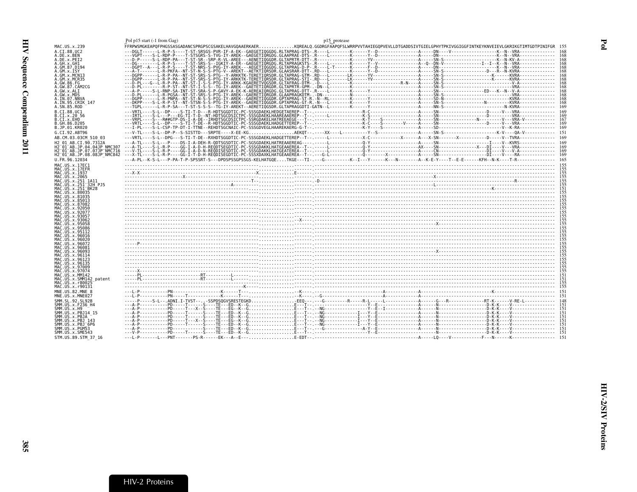<span id="page-8-1"></span><span id="page-8-0"></span>

|                                                                                    | Pol p15 start (-1 from Gag)                                                                                                                                                                                                       | Pol p15 start (-1 from Gag)<br>FFRPWSMGKEAPQFPHGSSASGADANCSPRGPSCGSAKELHAVGQAAERKAERKQREALQ.GGDRGFAAPQFSLWRRPVVTAHIEGQPVEVLLDTGADDSIVTGIELGPHYTPKIVGGIGGFINTKEYKNVEIEVLGKRIKGTIMTGDTPINIFGR 155                                                                                                                                                                                                                                                                 |
|------------------------------------------------------------------------------------|-----------------------------------------------------------------------------------------------------------------------------------------------------------------------------------------------------------------------------------|-----------------------------------------------------------------------------------------------------------------------------------------------------------------------------------------------------------------------------------------------------------------------------------------------------------------------------------------------------------------------------------------------------------------------------------------------------------------|
| MAC.US.x.239                                                                       |                                                                                                                                                                                                                                   |                                                                                                                                                                                                                                                                                                                                                                                                                                                                 |
| A.CI.88.UC2                                                                        |                                                                                                                                                                                                                                   |                                                                                                                                                                                                                                                                                                                                                                                                                                                                 |
| A.DE.x.BEN<br>A.DE.X.PEI2                                                          |                                                                                                                                                                                                                                   |                                                                                                                                                                                                                                                                                                                                                                                                                                                                 |
| A.GH.x.GH1                                                                         |                                                                                                                                                                                                                                   |                                                                                                                                                                                                                                                                                                                                                                                                                                                                 |
| A.GM.87.D194<br>A.GM.x.ISY                                                         |                                                                                                                                                                                                                                   |                                                                                                                                                                                                                                                                                                                                                                                                                                                                 |
| A.GM.x.MCN13                                                                       |                                                                                                                                                                                                                                   |                                                                                                                                                                                                                                                                                                                                                                                                                                                                 |
| A.GM.x.MCR35<br>A.GW.86.FG                                                         |                                                                                                                                                                                                                                   |                                                                                                                                                                                                                                                                                                                                                                                                                                                                 |
| A.GW.87.CAM2CG                                                                     |                                                                                                                                                                                                                                   |                                                                                                                                                                                                                                                                                                                                                                                                                                                                 |
| A.GW.x.ALI<br>A.GW.x.MDS                                                           |                                                                                                                                                                                                                                   |                                                                                                                                                                                                                                                                                                                                                                                                                                                                 |
| A.IN.07.NNVA                                                                       |                                                                                                                                                                                                                                   |                                                                                                                                                                                                                                                                                                                                                                                                                                                                 |
| A.IN.95.CRIK 147<br>A.SN.85.ROD                                                    |                                                                                                                                                                                                                                   |                                                                                                                                                                                                                                                                                                                                                                                                                                                                 |
| B.CI.88.UC1                                                                        |                                                                                                                                                                                                                                   |                                                                                                                                                                                                                                                                                                                                                                                                                                                                 |
| B.CI.x.20 56                                                                       |                                                                                                                                                                                                                                   |                                                                                                                                                                                                                                                                                                                                                                                                                                                                 |
| B.CI.x.EHO<br>B.GH.86.D205                                                         |                                                                                                                                                                                                                                   |                                                                                                                                                                                                                                                                                                                                                                                                                                                                 |
| B.JP.01.KR020                                                                      |                                                                                                                                                                                                                                   |                                                                                                                                                                                                                                                                                                                                                                                                                                                                 |
| G.CI.92.ABT96                                                                      |                                                                                                                                                                                                                                   | 151                                                                                                                                                                                                                                                                                                                                                                                                                                                             |
| AB.CM.03.03CM 510 03                                                               |                                                                                                                                                                                                                                   |                                                                                                                                                                                                                                                                                                                                                                                                                                                                 |
| H2 01 AB.CI.90.7312A<br>H2 <sup>-01-AB.JP.04.04JP NMC307</sup>                     |                                                                                                                                                                                                                                   |                                                                                                                                                                                                                                                                                                                                                                                                                                                                 |
| H2 <sup>-01-AB.JP.07.07JP<sup>-</sup>NMC716</sup>                                  |                                                                                                                                                                                                                                   |                                                                                                                                                                                                                                                                                                                                                                                                                                                                 |
| H2 <sup>-</sup> 01 <sup>-</sup> AB.JP.08.08JP <sup>-</sup> NMC842<br>U.FR.96.12034 | ---A-PL--K-S-L---P-PA-T-P-SPSSRT-S---DPDSPSSGPSSGS-KELHATGOETKGE---TI-.--G-----------K--I---Y-----K--N------A--K-E-Y----T--R--F------KFH--N-K----T-R----------------                                                              |                                                                                                                                                                                                                                                                                                                                                                                                                                                                 |
| MAC.US.x.17EC1                                                                     |                                                                                                                                                                                                                                   |                                                                                                                                                                                                                                                                                                                                                                                                                                                                 |
| MAC.US.x.17EFR                                                                     |                                                                                                                                                                                                                                   |                                                                                                                                                                                                                                                                                                                                                                                                                                                                 |
| MAC.US.x.1937<br>MAC. US. x. 2065                                                  |                                                                                                                                                                                                                                   |                                                                                                                                                                                                                                                                                                                                                                                                                                                                 |
| MAC.US.x.251 1A11                                                                  |                                                                                                                                                                                                                                   |                                                                                                                                                                                                                                                                                                                                                                                                                                                                 |
| MAC.US.x.251 32H PJ5<br>MAC.US.x.251 <sup>-</sup> BK28                             |                                                                                                                                                                                                                                   |                                                                                                                                                                                                                                                                                                                                                                                                                                                                 |
| MAC.US.x.80035                                                                     |                                                                                                                                                                                                                                   |                                                                                                                                                                                                                                                                                                                                                                                                                                                                 |
| MAC.US.x.81035<br>MAC.US.x.85013                                                   |                                                                                                                                                                                                                                   |                                                                                                                                                                                                                                                                                                                                                                                                                                                                 |
| MAC.US.x.87082                                                                     |                                                                                                                                                                                                                                   |                                                                                                                                                                                                                                                                                                                                                                                                                                                                 |
| MAC.US.x.92050<br>MAC.US.x.92077                                                   |                                                                                                                                                                                                                                   |                                                                                                                                                                                                                                                                                                                                                                                                                                                                 |
| MAC.US.x.93057                                                                     |                                                                                                                                                                                                                                   |                                                                                                                                                                                                                                                                                                                                                                                                                                                                 |
| MAC.US.x.93062                                                                     | $\frac{1}{2}$ . The contract of the contract of the contract of the contract of the contract of the contract of the contract of the contract of the contract of the contract of the contract of the contract of the contract of t |                                                                                                                                                                                                                                                                                                                                                                                                                                                                 |
| MAC.US.x.95058<br>MAC.US.x.95086                                                   |                                                                                                                                                                                                                                   |                                                                                                                                                                                                                                                                                                                                                                                                                                                                 |
| MAC.US.x.95112<br>MAC.US.x.96016                                                   |                                                                                                                                                                                                                                   |                                                                                                                                                                                                                                                                                                                                                                                                                                                                 |
| MAC.US.x.96020                                                                     |                                                                                                                                                                                                                                   |                                                                                                                                                                                                                                                                                                                                                                                                                                                                 |
| MAC.US.x.96072<br>MAC.US.x.96081                                                   |                                                                                                                                                                                                                                   |                                                                                                                                                                                                                                                                                                                                                                                                                                                                 |
| MAC.US.x.96093                                                                     | <u> Expression (1999)</u><br>Expression (1999)<br>Construction (1999)                                                                                                                                                             |                                                                                                                                                                                                                                                                                                                                                                                                                                                                 |
| MAC. US. x. 96114<br>MAC.US.x.96123                                                |                                                                                                                                                                                                                                   |                                                                                                                                                                                                                                                                                                                                                                                                                                                                 |
| MAC. US. x. 96135                                                                  |                                                                                                                                                                                                                                   |                                                                                                                                                                                                                                                                                                                                                                                                                                                                 |
| MAC. US. x. 97009<br>MAC.US.x.97074                                                |                                                                                                                                                                                                                                   |                                                                                                                                                                                                                                                                                                                                                                                                                                                                 |
| MAC.US.x.MM142                                                                     |                                                                                                                                                                                                                                   |                                                                                                                                                                                                                                                                                                                                                                                                                                                                 |
| MAC.US.x.SMM142 patent<br>MAC.US.x.r80025                                          |                                                                                                                                                                                                                                   |                                                                                                                                                                                                                                                                                                                                                                                                                                                                 |
| MAC.US.x.r90131                                                                    |                                                                                                                                                                                                                                   |                                                                                                                                                                                                                                                                                                                                                                                                                                                                 |
| MNE.US.82.MNE 8                                                                    |                                                                                                                                                                                                                                   |                                                                                                                                                                                                                                                                                                                                                                                                                                                                 |
| MNE.US.x.MNE027<br>SMM.SL.92.SL92B                                                 |                                                                                                                                                                                                                                   |                                                                                                                                                                                                                                                                                                                                                                                                                                                                 |
| SMM. US. x. F236_H4                                                                |                                                                                                                                                                                                                                   |                                                                                                                                                                                                                                                                                                                                                                                                                                                                 |
| SMM.US.x.H9<br>SMM.US.x.PBJ14 15                                                   |                                                                                                                                                                                                                                   |                                                                                                                                                                                                                                                                                                                                                                                                                                                                 |
| SMM.US.x.PBJA                                                                      |                                                                                                                                                                                                                                   |                                                                                                                                                                                                                                                                                                                                                                                                                                                                 |
| SMM.US.x.PBJ 143<br>SMM.US.x.PBJ <sup>-6P6</sup>                                   |                                                                                                                                                                                                                                   |                                                                                                                                                                                                                                                                                                                                                                                                                                                                 |
| SMM.US.x.PGM53                                                                     |                                                                                                                                                                                                                                   |                                                                                                                                                                                                                                                                                                                                                                                                                                                                 |
| SMM.US.x.SME543                                                                    |                                                                                                                                                                                                                                   | $\begin{tabular}{@{}c@{}} \hline \multicolumn{3}{c}{\textbf{0.1}} \hline \multicolumn{2}{c}{\textbf{0.1}} \hline \multicolumn{2}{c}{\textbf{1.1}} \hline \multicolumn{2}{c}{\textbf{2.1}} \hline \multicolumn{2}{c}{\textbf{2.1}} \hline \multicolumn{2}{c}{\textbf{3.1}} \hline \multicolumn{2}{c}{\textbf{4.2}} \hline \multicolumn{2}{c}{\textbf{5.3}} \hline \multicolumn{2}{c}{\textbf{6.4}} \hline \multicolumn{2}{c}{\textbf{1.1}} \hline \multicolumn{$ |
| STM.US.89.STM 37 16                                                                |                                                                                                                                                                                                                                   |                                                                                                                                                                                                                                                                                                                                                                                                                                                                 |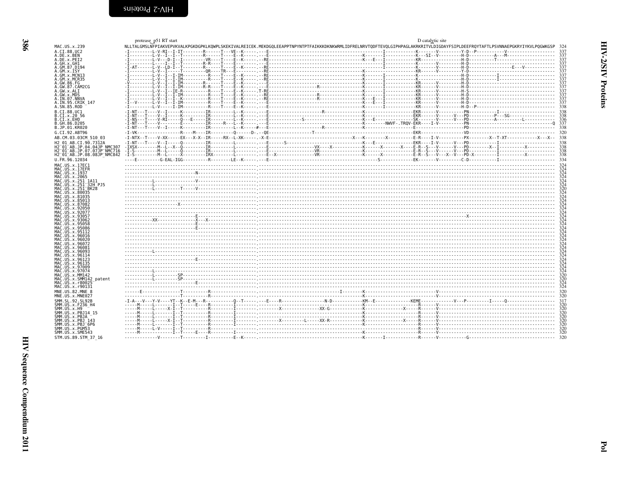<span id="page-9-0"></span>

|                                                                                                                           | protease_p51 RT start                                                                                                                                                          | D catalytic site |                   |
|---------------------------------------------------------------------------------------------------------------------------|--------------------------------------------------------------------------------------------------------------------------------------------------------------------------------|------------------|-------------------|
| MAC.US.x.239                                                                                                              | NLLTALGMSLNFPIAKVEPVKVALKPGKDGPKLKQWPLSKEKIVALREICEK.MEKDGQLEEAPPTNPYNTPTFAIKKKDKNKWRMLIDFRELNRVTQDFTEVQLGIPHPAGLAKRKRITVLDIGDAYFSIPLDEEFRQYTAFTLPSVNNAEPGKRYIYKVLPQGWKGSP 324 |                  |                   |
| A.CI.88.UC2<br>A.DE.x.BEN                                                                                                 |                                                                                                                                                                                |                  | 337               |
| A.DE.x.PEI2                                                                                                               |                                                                                                                                                                                |                  |                   |
| A.GH.x.GH1<br>A.GM.87.D194                                                                                                |                                                                                                                                                                                |                  |                   |
| A.GM.x.ISY<br>A.GM.x.MCN13                                                                                                |                                                                                                                                                                                |                  |                   |
| A.GM.x.MCR35                                                                                                              |                                                                                                                                                                                |                  |                   |
| A.GW.86.FG<br>A. GW. 87. CAM2CG                                                                                           |                                                                                                                                                                                |                  |                   |
| A.GW.x.ALI<br>A.GW.x.MDS                                                                                                  |                                                                                                                                                                                |                  |                   |
| A.IN.07.NNVA                                                                                                              |                                                                                                                                                                                |                  |                   |
| A.IN.95.CRIK 147<br>A.SN.85.ROD                                                                                           |                                                                                                                                                                                |                  |                   |
| B.CI.88.UC1                                                                                                               |                                                                                                                                                                                |                  |                   |
| B.CI.X.20 56<br>B.CI.X.EHO                                                                                                |                                                                                                                                                                                |                  | 338<br>336        |
| B.GH.86.D205                                                                                                              |                                                                                                                                                                                |                  | 337<br>338        |
| B.JP.01.KR020<br>G.CI.92.ABT96                                                                                            |                                                                                                                                                                                |                  |                   |
| AB.CM.03.03CM 510 03                                                                                                      |                                                                                                                                                                                |                  |                   |
| H2 01 AB.CI.90.7312A                                                                                                      |                                                                                                                                                                                |                  |                   |
| H2 <sup>-</sup> 01 <sup>-</sup> AB.JP.04.04JP NMC307<br>H2 <sup>-</sup> 01 <sup>-</sup> AB.JP.07.07JP <sup>-</sup> NMC716 |                                                                                                                                                                                |                  |                   |
| H2 <sup>-01-AB.JP.08.08JP-NMC842</sup>                                                                                    |                                                                                                                                                                                |                  |                   |
| U.FR.96.12034<br>MAC.US.x.17EC1                                                                                           |                                                                                                                                                                                |                  | 334               |
| MAC.US.x.17EFR                                                                                                            |                                                                                                                                                                                |                  |                   |
| MAC.US.x.1937<br>MAC.US.x.2065                                                                                            |                                                                                                                                                                                |                  | 324<br>324        |
| MAC.US.x.251 1A11                                                                                                         |                                                                                                                                                                                |                  |                   |
| MAC.US.x.251 32H PJ5<br>MAC.US.x.251 <sup>-</sup> BK28                                                                    |                                                                                                                                                                                |                  | 320               |
| MAC.US.x.80035<br>MAC.US.x.81035                                                                                          |                                                                                                                                                                                |                  | 324               |
| MAC.US.x.85013                                                                                                            |                                                                                                                                                                                |                  |                   |
| MAC.US.x.87082<br>MAC.US.x.92050                                                                                          |                                                                                                                                                                                |                  |                   |
| MAC.US.x.9207<br>MAC.US.x.9305                                                                                            |                                                                                                                                                                                |                  |                   |
| MAC.US.x.9306                                                                                                             |                                                                                                                                                                                |                  |                   |
| MAC.US.x.95058<br>MAC.US.x.95086                                                                                          |                                                                                                                                                                                |                  |                   |
| MAC.US.x.95112<br>MAC.US.x.96016                                                                                          |                                                                                                                                                                                |                  | 324               |
| MAC.US.x.96020                                                                                                            |                                                                                                                                                                                |                  | $\frac{324}{324}$ |
| MAC.US.x.96072<br>MAC.US.x.96081                                                                                          |                                                                                                                                                                                |                  | 324               |
| MAC.US.x.96093<br>MAC.US.x.96114                                                                                          |                                                                                                                                                                                |                  | $\frac{324}{324}$ |
| MAC.US.x.96123                                                                                                            |                                                                                                                                                                                |                  |                   |
| MAC. US. x. 96135<br>MAC.US.x.97009                                                                                       |                                                                                                                                                                                |                  |                   |
| MAC.US.x.97074                                                                                                            |                                                                                                                                                                                |                  |                   |
| MAC.US.x.MM142<br>MAC.US.x.SMM142 patent                                                                                  |                                                                                                                                                                                |                  | 320               |
| MAC.US.x.r80025<br>MAC.US.x.r90131                                                                                        |                                                                                                                                                                                |                  | 324               |
| MNE.US.82.MNE 8                                                                                                           |                                                                                                                                                                                |                  | 320               |
| MNE.US.x.MNE027                                                                                                           |                                                                                                                                                                                |                  |                   |
| SMM. SL. 92. SL92B<br>SMM.US.x.F236 H4                                                                                    |                                                                                                                                                                                |                  |                   |
| SMM.US.x.H9<br>SMM.US.x.PBJ14 15                                                                                          |                                                                                                                                                                                |                  |                   |
| SMM.US.x.PBJA                                                                                                             |                                                                                                                                                                                |                  |                   |
| SMM. US. x. PBJ 143<br>SMM.US.x.PBJ <sup>-6P6</sup>                                                                       |                                                                                                                                                                                |                  |                   |
| SMM.US.x.PGM53<br>SMM.US.x.SME543                                                                                         |                                                                                                                                                                                |                  |                   |
| STM.US.89.STM 37 16                                                                                                       |                                                                                                                                                                                |                  |                   |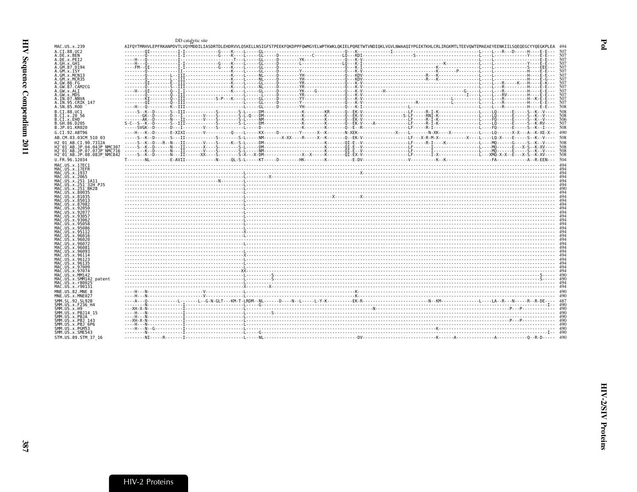<span id="page-10-0"></span>

|                                                                   | DD catalytic site |                                                                                                                                                                                |            |
|-------------------------------------------------------------------|-------------------|--------------------------------------------------------------------------------------------------------------------------------------------------------------------------------|------------|
| MAC.US.x.239                                                      |                   | AIFQYTMRHVLEPFRKANPDVTLVQYMDDILIASDRTDLEHDRVVLQSKELLNSIGFSTPEEKFQKDPPFQWMGYELWPTKWKLQKIELPQRETWTVNDIQKLVGVLNWAAQIYPGIKTKHLCRLIRGKMTLTEEVQWTEMAEAEYEENKIILSQEQEGCYYQEGKPLEA 494 |            |
| A.CI.88.UC2<br>A.DE.x.BEN                                         |                   |                                                                                                                                                                                | 507<br>507 |
| A.DE.x.PEI2                                                       |                   |                                                                                                                                                                                | 507        |
| A.GH.x.GH1<br>A.GM.87.D194                                        |                   |                                                                                                                                                                                | 507        |
| A.GM.X.ISY                                                        |                   |                                                                                                                                                                                |            |
| A.GM.x.MCN13<br>A.GM.x.MCR35                                      |                   |                                                                                                                                                                                |            |
| A.GW.86.FG                                                        |                   |                                                                                                                                                                                |            |
| A.GW.87.CAM2CG<br>A.GW.x.ALI                                      |                   |                                                                                                                                                                                | 507        |
| A.GW.x.MDS<br>A.IN.07.NNVA                                        |                   |                                                                                                                                                                                | 507<br>507 |
| A.IN.95.CRIK 147                                                  |                   |                                                                                                                                                                                |            |
| A.SN.85.ROD                                                       |                   |                                                                                                                                                                                | 508        |
| B.CI.88.UC1<br>B.CI.X.20 56                                       |                   |                                                                                                                                                                                |            |
| B.CI.x.EHO<br>B.GH.86.D205                                        |                   |                                                                                                                                                                                |            |
| B.JP.01.KR020                                                     |                   |                                                                                                                                                                                |            |
| G.CI.92.ABT96                                                     |                   |                                                                                                                                                                                |            |
| AB.CM.03.03CM 510 03                                              |                   |                                                                                                                                                                                |            |
| H2 01 AB.CI.90.7312A<br>H2 <sup>-01-AB.JP.04.04JP NMC307</sup>    |                   |                                                                                                                                                                                |            |
| H2 <sup>-</sup> 01 <sup>-</sup> AB.JP.07.07JP <sup>-</sup> NMC716 |                   |                                                                                                                                                                                |            |
| H2 <sup>-01-AB.JP.08.08JP-NMC842</sup><br>U.FR.96.12034           |                   |                                                                                                                                                                                |            |
| MAC.US.x.17EC1                                                    |                   |                                                                                                                                                                                |            |
| MAC.US.x.17EFR                                                    |                   |                                                                                                                                                                                | 494        |
| MAC. US. x. 1937<br>MAC.US.x.2065                                 |                   |                                                                                                                                                                                |            |
| MAC.US.x.251 1A11                                                 |                   |                                                                                                                                                                                |            |
| MAC.US.x.251 32H PJ5<br>MAC.US.x.251 <sup>-</sup> BK28            |                   |                                                                                                                                                                                |            |
| MAC.US.x.80035<br>MAC.US.x.81035                                  |                   |                                                                                                                                                                                | 494        |
| MAC.US.x.85013                                                    |                   |                                                                                                                                                                                | 494        |
| MAC.US.x.87082<br>MAC. U.S. x. 92050                              |                   |                                                                                                                                                                                | 494<br>494 |
| MAC.US.x.92077                                                    |                   |                                                                                                                                                                                |            |
| MAC.US.x.93057<br>MAC.US.x.93062                                  |                   |                                                                                                                                                                                | 494        |
| MAC. US. x. 95058                                                 |                   |                                                                                                                                                                                | 494        |
| MAC.US.x.95086<br>MAC.US.x.95112                                  |                   |                                                                                                                                                                                | 494        |
| MAC.US.x.96016<br>MAC.US.x.96020                                  |                   |                                                                                                                                                                                | 494<br>494 |
| MAC.US.x.96072                                                    |                   |                                                                                                                                                                                |            |
| MAC.US.x.96081<br>MAC. US. x. 96093                               |                   |                                                                                                                                                                                |            |
| MAC.US.x.96114                                                    |                   |                                                                                                                                                                                |            |
| MAC.US.x.96123<br>MAC.US.x.96135                                  |                   |                                                                                                                                                                                | 494        |
| MAC.US.x.97009<br>MAC.US.x.97074                                  |                   |                                                                                                                                                                                | 494<br>494 |
| $MAC$ . US. $x$ . MM142                                           |                   |                                                                                                                                                                                |            |
| MAC.US.x.SMM142 patent<br>MAC.US.x.r80025                         |                   |                                                                                                                                                                                | 490<br>494 |
| MAC.US.x.r90131                                                   |                   |                                                                                                                                                                                | 494        |
| MNE.US.82.MNE 8                                                   |                   |                                                                                                                                                                                |            |
| MNE.US.x.MNE027<br>SMM. SL. 92. SL92B                             |                   |                                                                                                                                                                                |            |
| SMM.US.x.F236 H4                                                  |                   |                                                                                                                                                                                |            |
| SMM.US.x.H9<br>SMM.US.x.PBJ14 15                                  |                   |                                                                                                                                                                                |            |
| SMM.US.x.PBJA                                                     |                   |                                                                                                                                                                                |            |
| SMM.US.x.PBJ 143<br>SMM.US.x.PBJ <sup>-6P6</sup>                  |                   |                                                                                                                                                                                |            |
| SMM.US.x.PGM53<br>SMM.US.x.SME543                                 |                   |                                                                                                                                                                                |            |
| STM.US.89.STM 37 16                                               |                   |                                                                                                                                                                                |            |
|                                                                   |                   |                                                                                                                                                                                |            |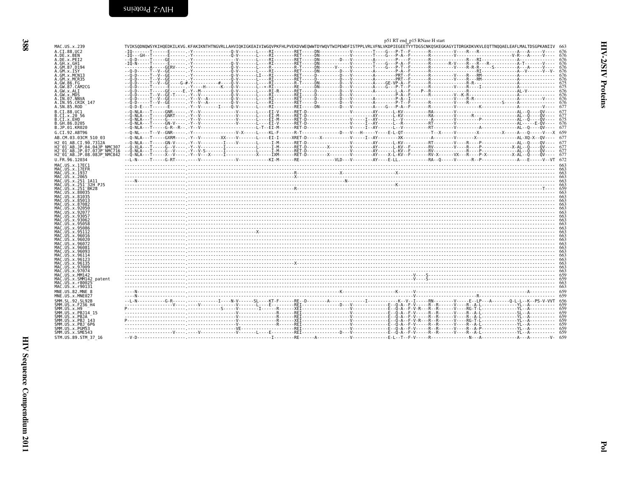<span id="page-11-0"></span>

|                                                                              |  |  | p51 RT end_p15 RNase H start |                                                                                                                                                                                |  |
|------------------------------------------------------------------------------|--|--|------------------------------|--------------------------------------------------------------------------------------------------------------------------------------------------------------------------------|--|
| MAC.US.x.239                                                                 |  |  |                              | TVIKSODNOWSYKIHOEDKILKVG.KFAKIKNTHTNGVRLLAHVIOKIGKEAIVIWGOVPKFHLPVEKDVWEOWWTDYWOVTWIPEWDFISTPPLVRLVFNLVKDPIEGEETYYTDGSCNKOSKEGKAGYITDRGKDKVKVLEOTTNOOAELEAFLMALTDSGPKANIIV 663 |  |
| A.CI.88.UC2                                                                  |  |  |                              |                                                                                                                                                                                |  |
| A.DE.x.BEN<br>A.DE.x.PEI2                                                    |  |  |                              |                                                                                                                                                                                |  |
| .GH.x.GH1                                                                    |  |  |                              | 676                                                                                                                                                                            |  |
| .GM.87.D194<br>.GM.x.ISY                                                     |  |  |                              | 676<br>-676                                                                                                                                                                    |  |
| GM.x.MCN13                                                                   |  |  |                              | 676                                                                                                                                                                            |  |
| GM.x.MCR35<br>.GW.86.FG                                                      |  |  |                              | 676<br>675                                                                                                                                                                     |  |
| A.GW.87.CAM2CG                                                               |  |  |                              | 675                                                                                                                                                                            |  |
| A.GW.x.ALI<br>A.GW.x.MDS                                                     |  |  |                              | 676                                                                                                                                                                            |  |
| A.IN.07.NNVA                                                                 |  |  |                              |                                                                                                                                                                                |  |
| A.IN.95.CRIK 147<br>A.SN.85.ROD                                              |  |  |                              | 677                                                                                                                                                                            |  |
| B.CI.88.UC1                                                                  |  |  |                              | 677                                                                                                                                                                            |  |
| B.CI.x.20 56                                                                 |  |  |                              |                                                                                                                                                                                |  |
| B.CI.x.EHO<br>B.GH.86.D205                                                   |  |  |                              |                                                                                                                                                                                |  |
| B.JP.01.KR020                                                                |  |  |                              |                                                                                                                                                                                |  |
| G.CI.92.ABT96                                                                |  |  |                              |                                                                                                                                                                                |  |
| AB.CM.03.03CM 510 03                                                         |  |  |                              |                                                                                                                                                                                |  |
| H2 01 AB.CI.90.7312A<br>H2 <sup>-</sup> 01 <sup>-</sup> AB.JP.04.04JP NMC307 |  |  |                              |                                                                                                                                                                                |  |
| H2 <sup>-</sup> 01 <sup>-</sup> AB.JP.07.07JP <sup>-</sup> NMC716            |  |  |                              |                                                                                                                                                                                |  |
| H2 <sup>-</sup> 01 <sup>-</sup> AB.JP.08.08JP <sup>-</sup> NMC842            |  |  |                              |                                                                                                                                                                                |  |
| U.FR.96.12034                                                                |  |  |                              |                                                                                                                                                                                |  |
| MAC.US.x.17EC1<br>MAC.US.x.17EFR                                             |  |  |                              |                                                                                                                                                                                |  |
| MAC.US.x.1937<br>MAC.US.x.2065                                               |  |  |                              |                                                                                                                                                                                |  |
| MAC.US.x.251 1A11                                                            |  |  |                              |                                                                                                                                                                                |  |
| MAC.US.x.251 <sup>-</sup> 32H PJ5<br>MAC.US.x.251 <sup>-</sup> BK28          |  |  |                              |                                                                                                                                                                                |  |
| MAC.US.x.80035                                                               |  |  |                              |                                                                                                                                                                                |  |
| MAC.US.x.81035                                                               |  |  |                              | 663<br>663                                                                                                                                                                     |  |
| MAC.US.x.85013<br>MAC.US.x.87082                                             |  |  |                              | 663                                                                                                                                                                            |  |
| MAC.US.x.92050<br>MAC.US.x.9207                                              |  |  |                              | 663<br>663                                                                                                                                                                     |  |
| MAC.US.x.9305                                                                |  |  |                              |                                                                                                                                                                                |  |
| MAC.US.x.93062<br>MAC.US.x.95058                                             |  |  |                              |                                                                                                                                                                                |  |
| MAC.US.x.95086                                                               |  |  |                              |                                                                                                                                                                                |  |
| MAC.US.x.95112<br>MAC.US.x.96016                                             |  |  |                              |                                                                                                                                                                                |  |
| MAC.US.x.96020                                                               |  |  |                              |                                                                                                                                                                                |  |
| MAC.US.x.96072<br>MAC.US.x.96081                                             |  |  |                              | -663<br>-663                                                                                                                                                                   |  |
| MAC. US. x.96093                                                             |  |  |                              |                                                                                                                                                                                |  |
| MAC.US.x.96114<br>MAC.US.x.96123                                             |  |  |                              |                                                                                                                                                                                |  |
| MAC.US.x.96135                                                               |  |  |                              |                                                                                                                                                                                |  |
| MAC.US.x.97009<br>MAC.US.x.97074                                             |  |  |                              |                                                                                                                                                                                |  |
| MAC.US.x.MM142                                                               |  |  |                              |                                                                                                                                                                                |  |
| MAC.US.x.SMM142 patent                                                       |  |  |                              |                                                                                                                                                                                |  |
| MAC.US.x.r80025<br>MAC.US.x.r90131                                           |  |  |                              |                                                                                                                                                                                |  |
| MNE.US.82.MNE 8                                                              |  |  |                              |                                                                                                                                                                                |  |
| MNE.US.x.MNE027                                                              |  |  |                              | 659                                                                                                                                                                            |  |
| SMM. SL. 92. SL92B<br>SMM.US.x.F236 H4                                       |  |  |                              |                                                                                                                                                                                |  |
| SMM.US.x.H9                                                                  |  |  |                              |                                                                                                                                                                                |  |
| SMM.US.x.PBJ14 15<br>SMM.US.x.PBJA                                           |  |  |                              |                                                                                                                                                                                |  |
| SMM.US.x.PBJ 143                                                             |  |  |                              |                                                                                                                                                                                |  |
| SMM.US.x.PBJ <sup>-</sup> 6P6<br>SMM.US.x.PGM53                              |  |  |                              | 659<br>-659                                                                                                                                                                    |  |
| SMM.US.x.SME543                                                              |  |  |                              |                                                                                                                                                                                |  |
| STM.US.89.STM 37 16                                                          |  |  |                              |                                                                                                                                                                                |  |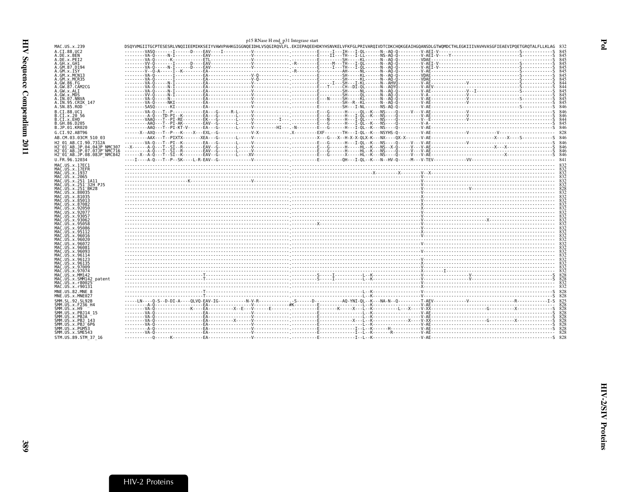<span id="page-12-0"></span>

|                                                                              | p15 RNase H end_p31 Integrase start                                                                                                                                                                                              |      |
|------------------------------------------------------------------------------|----------------------------------------------------------------------------------------------------------------------------------------------------------------------------------------------------------------------------------|------|
| MAC.US.x.239                                                                 | DSOYVMGIITGCPTESESRLVNOIIEEMIKKSEIYVAWVPAHKGIGGNOEIDHLVSOGIROVLFL.EKIEPAOEEHDKYHSNVKELVFKFGLPRIVAROIVDTCDKCHOKGEAIHGOANSDLGTWOMDCTHLEGKIIIVAVHVASGFIEAEVIPOETGROTALFLLKLAG 832                                                   |      |
| A.CI.88.UC2                                                                  |                                                                                                                                                                                                                                  |      |
| A.DE.x.BEN<br>A.DE.x.PEI2                                                    |                                                                                                                                                                                                                                  |      |
| A.GH.x.GH1                                                                   |                                                                                                                                                                                                                                  | -845 |
| A.GM.87.D194<br>A.GM.x.ISY                                                   |                                                                                                                                                                                                                                  |      |
| A.GM.X.MCN13                                                                 |                                                                                                                                                                                                                                  |      |
| A.GM.x.MCR35<br>A.GW.86.FG                                                   |                                                                                                                                                                                                                                  |      |
| A.GW.87.CAM2CG                                                               |                                                                                                                                                                                                                                  |      |
| A.GW.x.ALI<br>A.GW.x.MDS                                                     |                                                                                                                                                                                                                                  |      |
| A.IN.07.NNVA                                                                 |                                                                                                                                                                                                                                  | 84   |
| A.IN.95.CRIK 147<br>A.SN.85.ROD                                              |                                                                                                                                                                                                                                  | 846  |
| B.CI.88.UC1                                                                  |                                                                                                                                                                                                                                  |      |
| B.CI.x.20 56                                                                 |                                                                                                                                                                                                                                  |      |
| B.CI.X.EHO<br>B.GH.86.D205                                                   |                                                                                                                                                                                                                                  |      |
| B.JP.01.KR020                                                                |                                                                                                                                                                                                                                  |      |
| G.CI.92.ABT96                                                                |                                                                                                                                                                                                                                  |      |
| AB.CM.03.03CM 510 03                                                         |                                                                                                                                                                                                                                  | 846  |
| H2 01 AB.CI.90.7312A<br>H2 <sup>-</sup> 01 <sup>-</sup> AB.JP.04.04JP NMC307 | 88 قصصصصححة المستخدمات المستخدمات المستخدمات المستخدمات المستخدمات المستخدمات المستخدمات المستخدمات المستخدمات<br>884 قصصات المستخدمات المستخدمات المستخدمات المستخدمات المستخدمات المستخدمات المستخدمات المستخدمات المستخدمات ا |      |
| H2 <sup>-</sup> 01 <sup>-</sup> AB.JP.07.07JP <sup>-</sup> NMC716            |                                                                                                                                                                                                                                  |      |
| H2 <sup>-01-AB.JP.08.08JP-NMC842</sup><br>U.FR.96.12034                      |                                                                                                                                                                                                                                  |      |
| MAC.US.x.17EC1                                                               |                                                                                                                                                                                                                                  |      |
| MAC.US.x.17EFR                                                               |                                                                                                                                                                                                                                  |      |
| MAC.US.x.1937<br>MAC.US.x.2065                                               |                                                                                                                                                                                                                                  |      |
| MAC.US.x.251 1A11                                                            |                                                                                                                                                                                                                                  |      |
| MAC.US.x.251 32H PJ5<br>MAC.US.x.251 <sup>-</sup> BK28                       |                                                                                                                                                                                                                                  |      |
| MAC.US.x.80035                                                               |                                                                                                                                                                                                                                  |      |
| MAC.US.x.81035<br>MAC.US.x.85013                                             |                                                                                                                                                                                                                                  |      |
| MAC.US.x.87082                                                               |                                                                                                                                                                                                                                  |      |
| MAC.US.x.92050<br>MAC.US.x.92077                                             |                                                                                                                                                                                                                                  |      |
| MAC.US.x.93057                                                               |                                                                                                                                                                                                                                  |      |
| MAC.US.x.93062<br>MAC. US. x. 95058                                          |                                                                                                                                                                                                                                  |      |
| MAC.US.x.95086                                                               |                                                                                                                                                                                                                                  |      |
| MAC.US.x.95112<br>MAC.US.x.96016                                             |                                                                                                                                                                                                                                  |      |
| MAC.US.x.96020                                                               |                                                                                                                                                                                                                                  |      |
| MAC.US.x.96072<br>MAC.US.x.96081                                             |                                                                                                                                                                                                                                  |      |
| MAC.US.x.96093                                                               |                                                                                                                                                                                                                                  |      |
| MAC.US.x.96114<br>MAC.US.x.96123                                             |                                                                                                                                                                                                                                  |      |
| MAC.US.x.96135                                                               |                                                                                                                                                                                                                                  |      |
| MAC.US.x.97009<br>MAC. US. x. 97074                                          |                                                                                                                                                                                                                                  |      |
| MAC.US.x.MM142                                                               |                                                                                                                                                                                                                                  |      |
| MAC.US.x.SMM142 patent<br>MAC.US.x.r80025                                    |                                                                                                                                                                                                                                  |      |
| MAC.US.x.r90131                                                              |                                                                                                                                                                                                                                  |      |
| MNE.US.82.MNE 8<br>MNE.US.x.MNE027                                           |                                                                                                                                                                                                                                  |      |
| SMM.SL.92.SL92B                                                              |                                                                                                                                                                                                                                  |      |
| SMM.US.x.F236_H4                                                             |                                                                                                                                                                                                                                  |      |
| SMM.US.x.H9<br>SMM.US.x.PBJ14 15                                             |                                                                                                                                                                                                                                  |      |
| SMM.US.x.PBJA                                                                |                                                                                                                                                                                                                                  |      |
| SMM.US.x.PBJ 143<br>$SMM. US. x. PBJ-6P6$                                    |                                                                                                                                                                                                                                  |      |
| SMM.US.x.PGM53                                                               |                                                                                                                                                                                                                                  |      |
| SMM.US.x.SME543                                                              |                                                                                                                                                                                                                                  |      |
| STM.US.89.STM 37 16                                                          |                                                                                                                                                                                                                                  |      |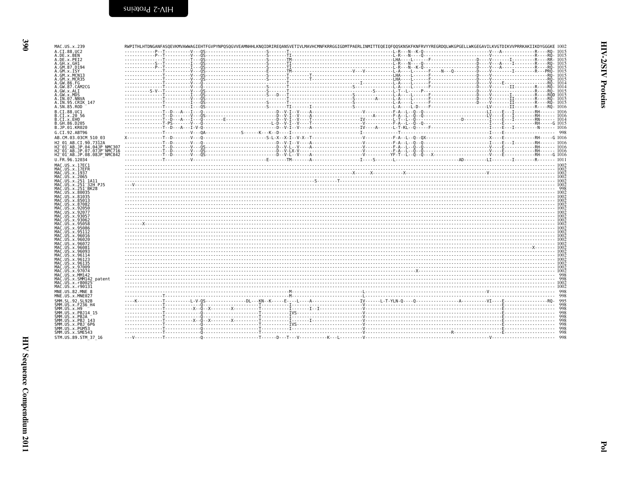| MAC.US.x.239                          |  |  | RWPITHLHTDNGANFASOEVKMVAWWAGIEHTFGVPYNPOSOGVVEAMNHHLKNOIDRIREOANSVETIVLMAVHCMNFKRRGGIGDMTPAERLINMITTEOEIOFOOSKNSKFKNFRVYYREGRDOLWKGPGELLWKGEGAVILKVGTDIKVVPRRKAKIIKDYGGGKE 1002 |  |  |  |  |
|---------------------------------------|--|--|---------------------------------------------------------------------------------------------------------------------------------------------------------------------------------|--|--|--|--|
| A.CI.88.UC2                           |  |  |                                                                                                                                                                                 |  |  |  |  |
| A.DE.x.BEN                            |  |  |                                                                                                                                                                                 |  |  |  |  |
| A.DE.x.PEI2                           |  |  |                                                                                                                                                                                 |  |  |  |  |
| A.GH.x.GH1<br>.GM.87.D194             |  |  |                                                                                                                                                                                 |  |  |  |  |
| .GM.x.ISY                             |  |  |                                                                                                                                                                                 |  |  |  |  |
| GM.x.MCN13                            |  |  |                                                                                                                                                                                 |  |  |  |  |
| .GM.x.MCR35                           |  |  |                                                                                                                                                                                 |  |  |  |  |
| .GW.86.FG                             |  |  |                                                                                                                                                                                 |  |  |  |  |
| A.GW.87.CAM2CG                        |  |  |                                                                                                                                                                                 |  |  |  |  |
| A.GW.x.ALI                            |  |  |                                                                                                                                                                                 |  |  |  |  |
| A.GW.x.MDS<br>A.IN.07.NNVA            |  |  |                                                                                                                                                                                 |  |  |  |  |
| A.IN.95.CRIK 147                      |  |  |                                                                                                                                                                                 |  |  |  |  |
| A.SN.85.ROD                           |  |  |                                                                                                                                                                                 |  |  |  |  |
| B.CI.88.UC1                           |  |  |                                                                                                                                                                                 |  |  |  |  |
| B.CI.x.20 56                          |  |  |                                                                                                                                                                                 |  |  |  |  |
| B.CI.X.EHO                            |  |  |                                                                                                                                                                                 |  |  |  |  |
| B.GH.86.D205                          |  |  |                                                                                                                                                                                 |  |  |  |  |
| B.JP.01.KR020                         |  |  |                                                                                                                                                                                 |  |  |  |  |
| G.CI.92.ABT96                         |  |  |                                                                                                                                                                                 |  |  |  |  |
| AB.CM.03.03CM 510 03                  |  |  |                                                                                                                                                                                 |  |  |  |  |
| H2 01 AB.CI.90.7312A                  |  |  |                                                                                                                                                                                 |  |  |  |  |
|                                       |  |  |                                                                                                                                                                                 |  |  |  |  |
|                                       |  |  |                                                                                                                                                                                 |  |  |  |  |
|                                       |  |  |                                                                                                                                                                                 |  |  |  |  |
| U.FR.96.12034                         |  |  | $\ldots$                                                                                                                                                                        |  |  |  |  |
| MAC.US.x.17EC1                        |  |  |                                                                                                                                                                                 |  |  |  |  |
| MAC.US.x.17EFR                        |  |  |                                                                                                                                                                                 |  |  |  |  |
| MAC.US.x.1937                         |  |  |                                                                                                                                                                                 |  |  |  |  |
| MAC. US. x. 2065<br>MAC.US.x.251 1A11 |  |  |                                                                                                                                                                                 |  |  |  |  |
| MAC.US.x.251 <sup>-</sup> 32H PJ5     |  |  |                                                                                                                                                                                 |  |  |  |  |
| MAC.US.x.251 <sup>-</sup> BK28        |  |  |                                                                                                                                                                                 |  |  |  |  |
| MAC.US.x.80035                        |  |  |                                                                                                                                                                                 |  |  |  |  |
| MAC.US.x.81035                        |  |  |                                                                                                                                                                                 |  |  |  |  |
| MAC.US.x.85013                        |  |  |                                                                                                                                                                                 |  |  |  |  |
| MAC.US.x.87082                        |  |  |                                                                                                                                                                                 |  |  |  |  |
| MAC.US.x.92050<br>MAC.US.x.92077      |  |  |                                                                                                                                                                                 |  |  |  |  |
| MAC.US.x.93057                        |  |  |                                                                                                                                                                                 |  |  |  |  |
| MAC.US.x.93062                        |  |  |                                                                                                                                                                                 |  |  |  |  |
| MAC.US.x.95058                        |  |  |                                                                                                                                                                                 |  |  |  |  |
| MAC.US.x.95086                        |  |  |                                                                                                                                                                                 |  |  |  |  |
| MAC.US.x.95112<br>MAC.US.x.96016      |  |  |                                                                                                                                                                                 |  |  |  |  |
| MAC.US.x.96020                        |  |  |                                                                                                                                                                                 |  |  |  |  |
| MAC.US.x.96072                        |  |  |                                                                                                                                                                                 |  |  |  |  |
| MAC.US.x.96081                        |  |  |                                                                                                                                                                                 |  |  |  |  |
| MAC.US.x.96093                        |  |  |                                                                                                                                                                                 |  |  |  |  |
| MAC.US.x.96114                        |  |  |                                                                                                                                                                                 |  |  |  |  |
| MAC.US.x.96123<br>MAC.US.x.96135      |  |  |                                                                                                                                                                                 |  |  |  |  |
| MAC.US.x.97009                        |  |  |                                                                                                                                                                                 |  |  |  |  |
| MAC.US.x.97074                        |  |  |                                                                                                                                                                                 |  |  |  |  |
| MAC.US.x.MM142                        |  |  |                                                                                                                                                                                 |  |  |  |  |
| MAC.US.x.SMM142 patent                |  |  |                                                                                                                                                                                 |  |  |  |  |
| MAC.US.x.r80025<br>MAC.US.x.r90131    |  |  |                                                                                                                                                                                 |  |  |  |  |
|                                       |  |  |                                                                                                                                                                                 |  |  |  |  |
| MNE.US.82.MNE 8                       |  |  |                                                                                                                                                                                 |  |  |  |  |
| MNE.US.x.MNE027                       |  |  |                                                                                                                                                                                 |  |  |  |  |
| SMM.SL.92.SL92B                       |  |  |                                                                                                                                                                                 |  |  |  |  |
| SMM.US.x.F236 H4<br>SMM.US.x.H9       |  |  |                                                                                                                                                                                 |  |  |  |  |
| SMM.US.x.PBJ14 15                     |  |  |                                                                                                                                                                                 |  |  |  |  |
| SMM.US.x.PBJA                         |  |  |                                                                                                                                                                                 |  |  |  |  |
| SMM.US.x.PBJ 143                      |  |  |                                                                                                                                                                                 |  |  |  |  |
| SMM.US.x.PBJ <sup>-</sup> 6P6         |  |  |                                                                                                                                                                                 |  |  |  |  |
| SMM.US.x.PGM53                        |  |  |                                                                                                                                                                                 |  |  |  |  |
| SMM.US.x.SME543                       |  |  |                                                                                                                                                                                 |  |  |  |  |
| STM.US.89.STM 37 16                   |  |  |                                                                                                                                                                                 |  |  |  |  |
|                                       |  |  |                                                                                                                                                                                 |  |  |  |  |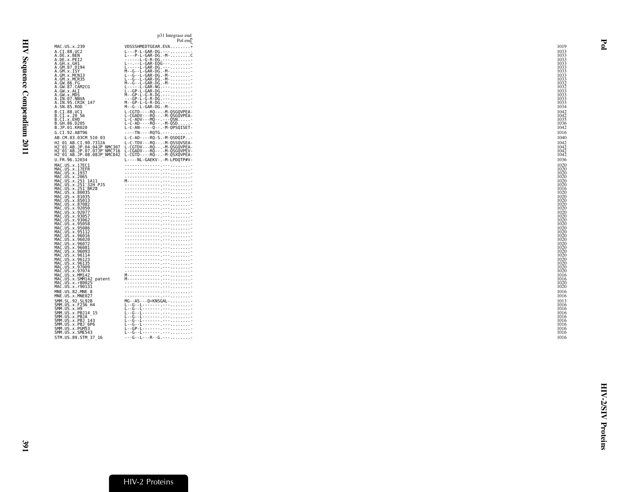<span id="page-14-0"></span>

|                                                                              | p31 Integrase end<br>Pol end                                                            |              |
|------------------------------------------------------------------------------|-----------------------------------------------------------------------------------------|--------------|
| MAC.US.x.239                                                                 | VDSSSHMEDTGEAR.EVA*                                                                     | 1019         |
| A.CI.88.UC2                                                                  | L---P-L-GAR-DG.---                                                                      | 1033         |
| A.DE.x.BEN<br>A.DE.x.PEI2                                                    | $L - -P - L - GAR - DG - M - \ldots$                                                    | 1033<br>1033 |
| A.GH.x.GH1                                                                   | L----L-GAR-EDG----                                                                      | 1033<br>1033 |
| A.GM.87.D194<br>A.GM.x.ISY                                                   |                                                                                         | 1033         |
| A.GM.x.MCN13<br>A.GM.x.MCR35                                                 |                                                                                         | 1033<br>1033 |
| A.GW.86.FG                                                                   | $M - G - L - GAR - DG - M - \ldots$                                                     | 1032         |
| A.GW.87.CAM2CG<br>A.GW.x.ALI                                                 | L-----L-GAR-NG.----<br>$L - GP - L - GAR - DG - - - - - - - - - - - - - - -$            | 1032<br>1033 |
| A.GW.x.MDS                                                                   | $M - GP - L - G - R - DG - - - - - - - - - - - - - - - -$                               | 1033         |
| A.IN.07.NNVA<br>A.IN.95.CRIK_147                                             | ---GP-L-G-R-DG.--------------<br>M--GP-L-G-R-DG.-------------                           | 1033<br>1033 |
| A.SN.85.ROD                                                                  | $M-S-S-L-GAR-DG. -M- \ldots \ldots$                                                     | 1034         |
| B.CI.88.UC1<br>B.CI.x.20 56                                                  | L-CGTD----RQ--.-M-QSGQVPEA-<br>L-CGADV---RQ--.-M-QSGQVPEA-                              | 1042<br>1042 |
| B.CI.x.EHO                                                                   |                                                                                         | 1035         |
| B.GH.86.D205<br>B.JP.01.KR020                                                |                                                                                         | 1036         |
| G.CI.92.ABT96                                                                | ----TN----RQTG.---                                                                      | 1016         |
| AB.CM.03.03CM 510 03                                                         | $L-C-AD---RQ-S. -M-QSDQIP. -$                                                           | 1040         |
| H2 01 AB.CI.90.7312A<br>H2 <sup>-</sup> 01 <sup>-</sup> AB.JP.04.04JP NMC307 | L-C-TDV---RQ--.-M-QSSQVSEA-                                                             | 1042<br>1042 |
| H2 <sup>-</sup> 01 <sup>-</sup> AB.JP.07.07JP <sup>-</sup> NMC716            | L-CGTDV---RO--.-M-OSGOVPEA-<br>L-CGADV---RO--.-M-OSGOVPEV-                              | 1042         |
| U.FR.96.12034                                                                | L----NL-GAEKV-.-M-LPDOTP#V-                                                             | 1042<br>1036 |
| MAC.US.x.17EC1                                                               |                                                                                         | 1020         |
| MAC.US.x.17EFR<br>MAC.US.x.1937                                              |                                                                                         | 1020<br>1020 |
| MAC.US.x.2065                                                                |                                                                                         | 1020         |
| MAC.US.x.251 1A11<br>MAC.US.x.251 <sup>-</sup> 32H PJ5                       | M-----------------------------                                                          | 1020<br>1020 |
| MAC.US.x.251_BK28                                                            |                                                                                         | 1016         |
| MAC.US.x.80035<br>MAC.US.x.81035                                             |                                                                                         | 1020<br>1020 |
| MAC.US.x.85013<br>MAC.US.x.87082                                             |                                                                                         | 1020         |
| MAC.US.x.92050                                                               |                                                                                         | 1020<br>1020 |
| MAC.US.x.92077<br>MAC.US.x.93057                                             |                                                                                         | 1020<br>1020 |
| MAC.US.x.93062                                                               |                                                                                         | 1020         |
| MAC.US.x.95058<br>MAC.US.x.95086                                             |                                                                                         | 1020<br>1020 |
| MAC.US.x.95112<br>MAC.US.x.96016                                             |                                                                                         | 1020         |
| MAC.US.x.96020                                                               |                                                                                         | 1020<br>1020 |
| MAC.US.x.96072<br>MAC.US.x.96081                                             |                                                                                         | 1020<br>1020 |
| MAC.US.x.96093                                                               |                                                                                         | 1020         |
| MAC.US.x.96114<br>MAC.US.x.96123                                             | -------------------------------                                                         | 1020<br>1020 |
| MAC.US.x.96135<br>MAC.US.x.97009<br>MAC.US.x.97074                           |                                                                                         | 1020         |
|                                                                              | -------------------------------                                                         | 1020<br>1020 |
| MAC.US.x.MM142<br>MAC.US.x.SMM142 patent                                     | M-------------- <sup>-</sup> --- <sub>------</sub> --<br>M----------------------------- | 1016<br>1016 |
| MAC.US.x.r80025                                                              | <u> "</u>                                                                               | 1020         |
| MAC.US.x.r90131                                                              |                                                                                         | 1020         |
| MNE.US.82.MNE 8<br>MNE.US.x.MNE027                                           |                                                                                         | 1016<br>1016 |
| SMM.SL.92.SL92B                                                              | $MG - -AS - - Q * KNSGAL - \ldots$                                                      | 1013         |
| SMM.US.x.F236_H4<br>SMM.US.x.H9                                              |                                                                                         | 1016<br>1016 |
| SMM.US.x.PBJ14 15                                                            |                                                                                         | 1016         |
| SMM.US.x.PBJA<br>SMM.US.x.PBJ 143                                            |                                                                                         | 1016<br>1016 |
| SMM.US.x.PBJ <sup>-</sup> 6P6                                                | E--GP-E----------------------                                                           | 1016<br>1016 |
| SMM.US.x.PGM53<br>SMM.US.x.PGM53                                             | E--G--E----------------------                                                           | 1016         |
| STM.US.89.STM 37 16                                                          | $- - -$ G $- -$ L $- - -$ R $- -$ G $- -$ - $-$                                         | 1016         |
|                                                                              |                                                                                         |              |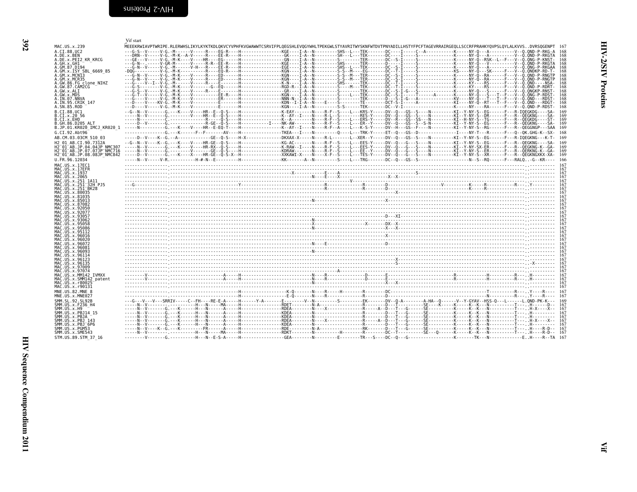<span id="page-15-1"></span><span id="page-15-0"></span>

|                                                                                                             | Vif start                                                                                                                                                                                                                                                                                                                                                                                                                                             |
|-------------------------------------------------------------------------------------------------------------|-------------------------------------------------------------------------------------------------------------------------------------------------------------------------------------------------------------------------------------------------------------------------------------------------------------------------------------------------------------------------------------------------------------------------------------------------------|
| MAC.US.x.239                                                                                                | MEEEKRWIAVPTWRIPE.RLERWHSLIKYLKYKTKDLOKVCYVPHFKVGWAWWTCSRVIFPLQEGSHLEVQGYWHLTPEKGWLSTYAVRITWYSKNFWTDVTPNYADILLHSTYFPCFTAGEVRRAIRGEQLLSCCRFPRAHKYQVPSLQYLALKVVSDVRSQGENPT 167                                                                                                                                                                                                                                                                          |
| A.CI.88.UC2<br>A.DE.x.BEN                                                                                   | ---G-S--V-----V-G.-M------V-----R----EG-R----H---------------KGE----I-A--N----------SHS--L---TEK-------DC----I----C--A-----------------K--------V--Q.QND-P-RKG-A<br>168                                                                                                                                                                                                                                                                               |
| A.DE.x.PEI2 KR KRCG                                                                                         |                                                                                                                                                                                                                                                                                                                                                                                                                                                       |
| A.GH.X.GH1<br>A.GM.87.D194                                                                                  |                                                                                                                                                                                                                                                                                                                                                                                                                                                       |
| A.GM.x.ISY SBL 6669 85                                                                                      |                                                                                                                                                                                                                                                                                                                                                                                                                                                       |
| A.GM.X.MCNI3<br>A.GM.x.MCR35                                                                                |                                                                                                                                                                                                                                                                                                                                                                                                                                                       |
| A.GW.86.FG clone NIHZ                                                                                       |                                                                                                                                                                                                                                                                                                                                                                                                                                                       |
| A.GW.87.CAM2CG<br>A.GW.x.ALI                                                                                | 168                                                                                                                                                                                                                                                                                                                                                                                                                                                   |
| A.GW.x.MDS                                                                                                  |                                                                                                                                                                                                                                                                                                                                                                                                                                                       |
| A.IN.07.NNVA<br>A.IN.95.CRIK 147                                                                            | 168                                                                                                                                                                                                                                                                                                                                                                                                                                                   |
| A.SN.85.ROD                                                                                                 | 168                                                                                                                                                                                                                                                                                                                                                                                                                                                   |
| B.CI.88.UC1<br>B.CI.X.20 56                                                                                 | 169                                                                                                                                                                                                                                                                                                                                                                                                                                                   |
| B.CI.x.EHO                                                                                                  | 169                                                                                                                                                                                                                                                                                                                                                                                                                                                   |
| B.GH.86.D205 ALT<br>B.JP.01.KR020 IMCJ KR020 1                                                              | 169<br>169                                                                                                                                                                                                                                                                                                                                                                                                                                            |
| G.CI.92.Abt96                                                                                               | ----------------G.---K------F--F-------AV----H---------------TKEA---I----N----------Q----[T---QK-Y----ET--Q---GS--D------------------I----NY-T---R------F---Q--QK.GHG-K--SX-<br>168                                                                                                                                                                                                                                                                   |
| AB.CM.03.03CM 510 03                                                                                        | -----D--V----K--G.--A-------------GE--O-S----H-X------------DKXAX-X-----N----R-L-----L--XER--Y----DV--O---GS--S----N-----------KI--Y-NY-S--EG------F---R-IOEGKNG---K-T-<br>169                                                                                                                                                                                                                                                                        |
| H2 01 AB.CI.90.7312A                                                                                        | 169<br>169                                                                                                                                                                                                                                                                                                                                                                                                                                            |
| H2 <sup>-01-AB.JP.04.04JP NMC307</sup><br>H2 <sup>-</sup> 01 <sup>-</sup> AB.JP.07.07JP <sup>-</sup> NMC716 | 169                                                                                                                                                                                                                                                                                                                                                                                                                                                   |
| H2 01 AB.JP.08.08JP NMC842                                                                                  | 169                                                                                                                                                                                                                                                                                                                                                                                                                                                   |
| U.FR.96.12034<br>MAC.US.x.17EC1                                                                             | -166<br>167                                                                                                                                                                                                                                                                                                                                                                                                                                           |
| MAC.US.x.17EFR                                                                                              | 167                                                                                                                                                                                                                                                                                                                                                                                                                                                   |
| MAC.US.x.1937<br>MAC.US.x.2065                                                                              | 167<br>167                                                                                                                                                                                                                                                                                                                                                                                                                                            |
| MAC.US.x.251 1A11                                                                                           | $\frac{1}{2}$<br>167                                                                                                                                                                                                                                                                                                                                                                                                                                  |
| MAC.US.x.251 32H PJ5<br>MAC. US. x. 251 <sup>-</sup> BK28                                                   | 167<br>167                                                                                                                                                                                                                                                                                                                                                                                                                                            |
| MAC.US.x.80035                                                                                              | 167                                                                                                                                                                                                                                                                                                                                                                                                                                                   |
| MAC. US. x.81035<br>MAC.US.x.85013                                                                          | 167<br>167                                                                                                                                                                                                                                                                                                                                                                                                                                            |
| MAC.US.x.87082                                                                                              | 167                                                                                                                                                                                                                                                                                                                                                                                                                                                   |
| MAC.US.x.92050<br>MAC.US.x.92077                                                                            | 167                                                                                                                                                                                                                                                                                                                                                                                                                                                   |
| MAC.US.x.93057<br>MAC.US.x.93062                                                                            |                                                                                                                                                                                                                                                                                                                                                                                                                                                       |
| MAC.US.x.95058                                                                                              |                                                                                                                                                                                                                                                                                                                                                                                                                                                       |
| MAC. U.S. x. 95086<br>MAC.US.x.95112                                                                        |                                                                                                                                                                                                                                                                                                                                                                                                                                                       |
| MAC.US.x.96016                                                                                              |                                                                                                                                                                                                                                                                                                                                                                                                                                                       |
| MAC.US.x.96020<br>MAC.US.x.96072                                                                            | 167<br>167                                                                                                                                                                                                                                                                                                                                                                                                                                            |
| MAC.US.x.96081                                                                                              | 167                                                                                                                                                                                                                                                                                                                                                                                                                                                   |
| MAC.US.x.96093<br>MAC.US.x.96114                                                                            | 167<br>167                                                                                                                                                                                                                                                                                                                                                                                                                                            |
| MAC.US.x.96123<br>MAC.US.x.96135                                                                            | 167<br>167                                                                                                                                                                                                                                                                                                                                                                                                                                            |
| MAC.US.x.97009                                                                                              | 167                                                                                                                                                                                                                                                                                                                                                                                                                                                   |
| MAC.US.x.97074<br>MAC.US.x.MM142 IVMXX                                                                      | 167<br>167                                                                                                                                                                                                                                                                                                                                                                                                                                            |
| MAC.US.x.SMM142 patent                                                                                      | 167                                                                                                                                                                                                                                                                                                                                                                                                                                                   |
| MAC.US.x.r80025<br>MAC.US.x.r90131                                                                          | 167<br>167                                                                                                                                                                                                                                                                                                                                                                                                                                            |
| MNE.US.82.MNE 8                                                                                             |                                                                                                                                                                                                                                                                                                                                                                                                                                                       |
| MNE.US.x.MNE027                                                                                             |                                                                                                                                                                                                                                                                                                                                                                                                                                                       |
| SMM. SL. 92. SL92B<br>SMM.US.x.F236 H4                                                                      | $\sum_{\substack{0 \leq i \leq k \\ i \leq m}} \frac{1}{\binom{k-1}{i} \cdot \binom{k-1}{i} \cdot \binom{k-1}{i} \cdot \binom{k-1}{i} \cdot \binom{k-1}{i} \cdot \binom{k-1}{i} \cdot \binom{k-1}{i} \cdot \binom{k-1}{i} \cdot \binom{k-1}{i} \cdot \binom{k-1}{i} \cdot \binom{k-1}{i} \cdot \binom{k-1}{i} \cdot \binom{k-1}{i} \cdot \binom{k-1}{i} \cdot \binom{k-1}{i} \cdot \binom{k-1}{i} \cdot \binom{k-1}{i} \cdot \binom{k-$<br>169<br>167 |
| SMM.US.x.H9                                                                                                 | 167                                                                                                                                                                                                                                                                                                                                                                                                                                                   |
| SMM.US.x.PBJ14 15<br>SMM.US.x.PBJA                                                                          | 167<br>167                                                                                                                                                                                                                                                                                                                                                                                                                                            |
| SMM. US. x. PBJ 143<br>SMM.US.x.PBJ <sup>-6P6</sup>                                                         | 167<br>167                                                                                                                                                                                                                                                                                                                                                                                                                                            |
| SMM. US. x. PGM53                                                                                           | 167                                                                                                                                                                                                                                                                                                                                                                                                                                                   |
| SMM.US.x.SME543                                                                                             |                                                                                                                                                                                                                                                                                                                                                                                                                                                       |
| STM.US.89.STM 37 16                                                                                         |                                                                                                                                                                                                                                                                                                                                                                                                                                                       |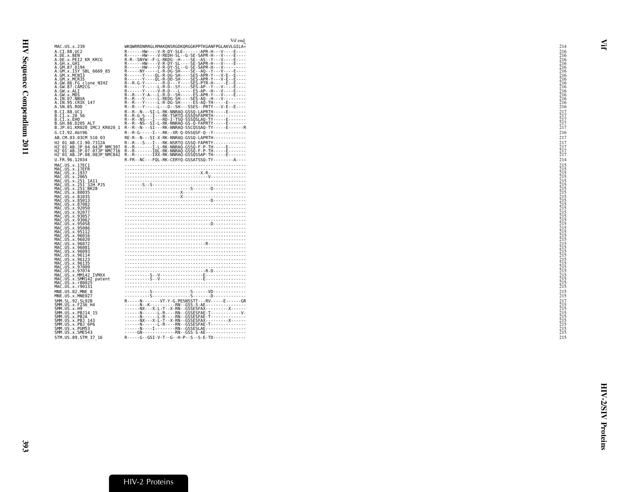|                                                                                                             | Vif end                                                                                                                                                                                                       |                                                                                          |
|-------------------------------------------------------------------------------------------------------------|---------------------------------------------------------------------------------------------------------------------------------------------------------------------------------------------------------------|------------------------------------------------------------------------------------------|
| MAC.US.x.239                                                                                                | WKQWRRDNRRGLRMAKQNSRGDKQRGGKPPTKGANFPGLAKVLGILA*                                                                                                                                                              | 214                                                                                      |
| A.CI.88.UC2                                                                                                 | R - - - - - - HW - - - - V - R - DY - SLE - - - - - - - APR - H - - - V - - - - E - - - -                                                                                                                     | 216                                                                                      |
| A.DE.x.BEN                                                                                                  | R------HW----V-REDH-SL--G-SE-SAPR-H---V----E----                                                                                                                                                              |                                                                                          |
| A.DE.x.PEI2 KR KRCG                                                                                         | R-R--SNYW--F-L-RKDG--H----SE--AS--Y---V----E----                                                                                                                                                              |                                                                                          |
| A.GH.x.GH1                                                                                                  | R------HW----V-R-DY-SL----SE-SAPR-H---V----E----                                                                                                                                                              | 216                                                                                      |
| A.GM.87.D194<br>A.GM.x.ISY SBL 6669 85                                                                      | R------HW----V-R-DY-SL--G-SE-SAPR-H---V---------<br>R-----NY-----L-R-DG-SH----SE--AQ--Y---V----E----                                                                                                          |                                                                                          |
| A.GM.x.MCN13                                                                                                | R------Y----QL-R-DG-SH----SES-APR-Y---V-E--E----                                                                                                                                                              | $\frac{216}{216}$                                                                        |
| A.GM.x.MCR35                                                                                                |                                                                                                                                                                                                               | $\overline{2}$ ič                                                                        |
| A.GW.86.FG_clone_NIHZ<br>A.GW.87.CAM2CG                                                                     | Ŕ------Ŷ---ŌĿŔ-ĎĎ-ŠH----ŠEŠ-ÁPŔ-Ŷ---V-Ē--Ē----<br>Ŗ--R-G-Y------R-D--Y---SEŠ-PTR-H-----E--E--E--<br>R-----Y-----L-R-D--SY----SEŠ-AP--Y---V---E----                                                            |                                                                                          |
| A.GW.x.ALI                                                                                                  | R - - - - - - Y - - - - - V - R - D - - - L - - - - - ES - AP - - H - - - V - - - - E - - - -                                                                                                                 | 216<br>216<br>216<br>216<br>216<br>216<br>216                                            |
| A.GW.x.MDS                                                                                                  | R--R---Y-A---L-R-D--SH-----ES-APR-Y---V----E----                                                                                                                                                              |                                                                                          |
| A.IN.07.NNVA                                                                                                | R--R---Y-----L-REDG-SH----SES-AQ--H---V---------                                                                                                                                                              |                                                                                          |
| A.IN.95.CRIK 147                                                                                            | R--R---Y-----L-R-DG-SH-----ES-AQ-TH-----E-------                                                                                                                                                              |                                                                                          |
| A.SN.85.ROD                                                                                                 | R--R---Y-----L---D--SH---SSES--PRTY---V-E--E----                                                                                                                                                              |                                                                                          |
| B.CI.88.UC1<br>B.CI.x.20 56                                                                                 | R--R--N---SI-L-RK-NNRAQ-GSSQ-LAPRTH------E-------<br>R--R-G-S---I---RK-TSRTQ-GSSQSFAPRTH-----E-------<br>R--R--NS---I---RD-I-TSQ-SSSQSLAQ-TY-----E-------<br>R--R--NS--SI-L-RK-NNRAQ-GS-Q-FAPRTY-----E------- | $\frac{217}{217}$<br>$\frac{217}{217}$<br>$\frac{217}{217}$                              |
| B.CI.X.EHO                                                                                                  |                                                                                                                                                                                                               |                                                                                          |
| B.GH.86.D205 ALT                                                                                            |                                                                                                                                                                                                               |                                                                                          |
| B.JP.01.KR020 IMCJ KR020 1                                                                                  | $R - R - N - S I - S I - RK - NNRA\hat{Q} - SSC\hat{Q}SSAQ - TY - S - S - S - R$                                                                                                                              |                                                                                          |
| G.CI.92.Abt96                                                                                               | R--R-G-----I---RK--XR-Q-DSSQSF-Q--Y-------------                                                                                                                                                              | 216                                                                                      |
| AB.CM.03.03CM 510 03                                                                                        | RE-R--N---SI-X-RK-NNRAQ-GSSQ-LAPRTH-------------                                                                                                                                                              | 217                                                                                      |
| H2 01 AB.CI.90.7312A                                                                                        | R--R---S---I---RK-NSRTQ-GSSQ-FAPRTY-------------                                                                                                                                                              | 217                                                                                      |
| H2 <sup>-01-AB.JP.04.04JP NMC307</sup><br>H2 <sup>-</sup> 01 <sup>-</sup> AB.JP.07.07JP <sup>-</sup> NMC716 |                                                                                                                                                                                                               | $\frac{217}{217}$                                                                        |
| H2 <sup>-</sup> 01 <sup>-</sup> AB.JP.08.08JP <sup>-</sup> NMC842                                           |                                                                                                                                                                                                               |                                                                                          |
| U.FR.96.12034                                                                                               | R-FR--NC---FQL-RK-CERYQ-GSSATSSQ-TY--------A----                                                                                                                                                              | 214                                                                                      |
| MAC.US.x.17EC1                                                                                              |                                                                                                                                                                                                               |                                                                                          |
| MAC.US.x.17EFR                                                                                              |                                                                                                                                                                                                               |                                                                                          |
| MAC.US.x.1937                                                                                               |                                                                                                                                                                                                               |                                                                                          |
| MAC.US.x.2065<br>MAC.US.x.251 1A11                                                                          |                                                                                                                                                                                                               | $\begin{smallmatrix} 215 \\ 215 \\ 215 \\ 215 \\ 215 \\ 215 \\ 215 \\ \end{smallmatrix}$ |
|                                                                                                             |                                                                                                                                                                                                               |                                                                                          |
| MAC.US.x.251 32H PJ5<br>MAC.US.x.251 BK28                                                                   |                                                                                                                                                                                                               | $\frac{215}{215}$<br>$\frac{215}{215}$<br>$\frac{215}{215}$<br>$\frac{215}{215}$         |
| MAC.US.x.80035                                                                                              |                                                                                                                                                                                                               |                                                                                          |
| MAC.US.x.81035<br>MAC.US.x.85013                                                                            |                                                                                                                                                                                                               |                                                                                          |
| MAC.US.x.87082                                                                                              |                                                                                                                                                                                                               |                                                                                          |
| MAC.US.x.92050                                                                                              |                                                                                                                                                                                                               |                                                                                          |
| MAC.US.x.92077<br>MAC.US.x.93057                                                                            |                                                                                                                                                                                                               | $\frac{215}{215}$                                                                        |
| MAC.US.x.93062                                                                                              |                                                                                                                                                                                                               | $\frac{215}{215}$                                                                        |
| MAC.US.x.95058<br>MAC.US.x.95086                                                                            |                                                                                                                                                                                                               |                                                                                          |
| MAC. US. x. 95112                                                                                           |                                                                                                                                                                                                               | $\overline{2}$ is                                                                        |
| MAC.US.x.96016                                                                                              |                                                                                                                                                                                                               | $\frac{215}{215}$                                                                        |
| MAC.US.x.96020                                                                                              |                                                                                                                                                                                                               | $\frac{5}{15}$                                                                           |
| MAC.US.x.96072                                                                                              |                                                                                                                                                                                                               | $\overline{2}$ is                                                                        |
| MAC.US.x.96081<br>MAC.US.x.96093                                                                            |                                                                                                                                                                                                               | 215<br>215                                                                               |
| MAC.US.x.96114                                                                                              |                                                                                                                                                                                                               |                                                                                          |
| MAC.US.x.96123                                                                                              |                                                                                                                                                                                                               | 215<br>215<br>215<br>215<br>215<br>215                                                   |
| MAC. US. x. 96135                                                                                           |                                                                                                                                                                                                               |                                                                                          |
| MAC.US.x.97009<br>MAC.US.x.97074                                                                            |                                                                                                                                                                                                               |                                                                                          |
| MAC.US.x.MM142 IVMXX                                                                                        |                                                                                                                                                                                                               |                                                                                          |
| MAC.US.x.SMM142 patent                                                                                      |                                                                                                                                                                                                               | $\frac{215}{215}$                                                                        |
| MAC. US. x. r80025<br>MAC.US.x.r90131                                                                       |                                                                                                                                                                                                               |                                                                                          |
| MNE.US.82.MNE 8                                                                                             |                                                                                                                                                                                                               |                                                                                          |
| MNE.US.x.MNE027                                                                                             |                                                                                                                                                                                                               | $^{215}_{215}$                                                                           |
| SMM.SL.92.SL92B                                                                                             | R-----N-------VT-Y-G-PESNSSTT---RV-----E------GR                                                                                                                                                              |                                                                                          |
| SMM.US.x.F236 H4                                                                                            |                                                                                                                                                                                                               | $\frac{217}{215}$<br>$\frac{215}{215}$                                                   |
| SMM.US.x.H9                                                                                                 |                                                                                                                                                                                                               |                                                                                          |
| SMM.US.x.PBJ14 15<br>SMM.US.x.PBJA                                                                          | ------N------L-R----RN--GSSESFAE-T-----------------<br>-------N------L-R----RN--GSSESFAE-T---------------                                                                                                     | $\overline{2}$ is                                                                        |
| SMM.US.x.PBJ 143                                                                                            | ------NX---X-L-T--X-RN--GSSESFAX---------X------                                                                                                                                                              | 215                                                                                      |
| SMM.US.x.PBJ <sup>-6P6</sup>                                                                                | NL-R----RN--GSSESFAE-T--------------                                                                                                                                                                          | $\frac{215}{215}$                                                                        |
| SMM.US.x.PGM53<br>SMM.US.x.SME543                                                                           | ------N----I--------RN--GSSESLAE----------------<br>-----GN-------------RN--GSS-S-AE-----------------                                                                                                         | $\frac{2}{15}$                                                                           |
| STM.US.89.STM 37 16                                                                                         | R-----G--GSI-V-T--G--H-P--S--S-E-TD-------------                                                                                                                                                              | 215                                                                                      |
|                                                                                                             |                                                                                                                                                                                                               |                                                                                          |

<span id="page-16-0"></span>Vif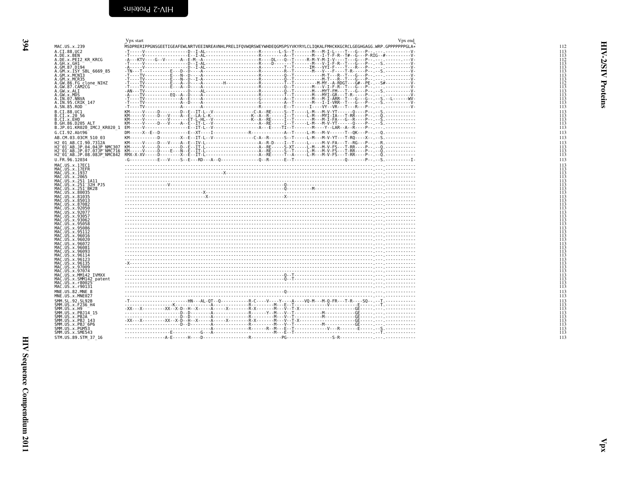<span id="page-17-1"></span><span id="page-17-0"></span>

|                                                                                                                           | Vpx end<br>Vpx start                                                                                               |
|---------------------------------------------------------------------------------------------------------------------------|--------------------------------------------------------------------------------------------------------------------|
| MAC.US.x.239                                                                                                              | MSDPRERIPPGNSGEETIGEAFEWLNRTVEEINREAVNHLPRELIFQVWQRSWEYWHDEQGMSPSYVKYRYLCLIQKALFMHCKKGCRCLGEGHGAGG.WRP.GPPPPPPGLA* |
| A.CI.88.UC2<br>A.DE.x.BEN                                                                                                 |                                                                                                                    |
| A.DE.x.PEI2 KR KRCG                                                                                                       |                                                                                                                    |
| A.GH.x.GH1<br>A.GM.87.D194                                                                                                |                                                                                                                    |
| A.GM.x.ISY SBL 6669 85                                                                                                    |                                                                                                                    |
| A.GM.x.MCNI3<br>A.GM.x.MCR35                                                                                              |                                                                                                                    |
| A.GW.86.FG_clone_NIHZ                                                                                                     |                                                                                                                    |
| A.GW.87.CAM2CG<br>A.GW.x.ALI                                                                                              |                                                                                                                    |
| A.GW.x.MDS                                                                                                                |                                                                                                                    |
| A.IN.07.NNVA<br>A.IN.95.CRIK 147                                                                                          |                                                                                                                    |
| A.SN.85.ROD                                                                                                               |                                                                                                                    |
| B.CI.88.UC1<br>B.CI.x.20 56                                                                                               |                                                                                                                    |
| B.CI.x.EHO                                                                                                                |                                                                                                                    |
| B.GH.86.D205 ALT<br>B.JP.01.KR020 IMCJ KR020 1                                                                            |                                                                                                                    |
| G.CI.92.Abt96                                                                                                             |                                                                                                                    |
| AB.CM.03.03CM 510 03                                                                                                      | KM-----------D--------X--E--IT-L--V---------------C-A--R------S--T-----L-M---M-V-YT---T-R0----X--,--S,------------ |
| H2 01 AB.CI.90.7312A                                                                                                      |                                                                                                                    |
| H2 <sup>-</sup> 01 <sup>-</sup> AB.JP.04.04JP NMC307<br>H2 <sup>-</sup> 01 <sup>-</sup> AB.JP.07.07JP <sup>-</sup> NMC716 |                                                                                                                    |
| H2_01_AB.JP.08.08JP_NMC842                                                                                                |                                                                                                                    |
| U.FR.96.12034                                                                                                             |                                                                                                                    |
| MAC.US.x.17EC1<br>MAC. US. x. 17EFR                                                                                       |                                                                                                                    |
| MAC.US.x.1937                                                                                                             |                                                                                                                    |
| MAC.US.x.2065<br>MAC.US.x.251 1A11                                                                                        |                                                                                                                    |
| MAC.US.x.251 <sup>-</sup> 32H PJ5                                                                                         |                                                                                                                    |
| MAC.US.x.251 <sup>-</sup> BK28                                                                                            |                                                                                                                    |
| MAC.US.x.80035<br>MAC.US.x.81035<br>MAC.US.x.85013                                                                        |                                                                                                                    |
| MAC.US.x.87082                                                                                                            |                                                                                                                    |
| MAC.US.x.92050<br>MAC.US.x.92077                                                                                          |                                                                                                                    |
| MAC.US.x.93057                                                                                                            |                                                                                                                    |
| MAC.US.x.93062<br>MAC.US.x.95058                                                                                          |                                                                                                                    |
| MAC.US.x.95086                                                                                                            |                                                                                                                    |
| MAC.US.x.95112<br>MAC.US.x.96016                                                                                          |                                                                                                                    |
| MAC.US.x.96020                                                                                                            |                                                                                                                    |
| MAC.US.x.96072<br>MAC.US.x.96081                                                                                          |                                                                                                                    |
| MAC.US.x.96093                                                                                                            |                                                                                                                    |
| MAC.US.x.96114<br>MAC.US.x.96123                                                                                          |                                                                                                                    |
| MAC.US.x.96135                                                                                                            |                                                                                                                    |
| MAC.US.x.97009<br>MAC.US.x.97074                                                                                          |                                                                                                                    |
| MAC.US.x.MM142 IVMXX                                                                                                      |                                                                                                                    |
| MAC.US.x.SMM142 patent<br>MAC.US.x.r80025                                                                                 |                                                                                                                    |
| MAC.US.x.r90131                                                                                                           |                                                                                                                    |
| MNE.US.82.MNE 8<br>MNE.US.x.MNE027                                                                                        |                                                                                                                    |
| SMM.SL.92.SL92B                                                                                                           |                                                                                                                    |
| SMM.US.x.F236 H4                                                                                                          |                                                                                                                    |
| SMM.US.x.H9                                                                                                               |                                                                                                                    |
| SMM.US.x.PBJ14_15<br>SMM.US.x.PBJA                                                                                        |                                                                                                                    |
| SMM.US.x.PBJ 143<br>SMM.US.x.PBJ <sup>-</sup> 6P6                                                                         |                                                                                                                    |
| SMM.US.x.PGM53                                                                                                            |                                                                                                                    |
| SMM.US.x.SME543<br>STM.US.89.STM 37 16                                                                                    |                                                                                                                    |
|                                                                                                                           |                                                                                                                    |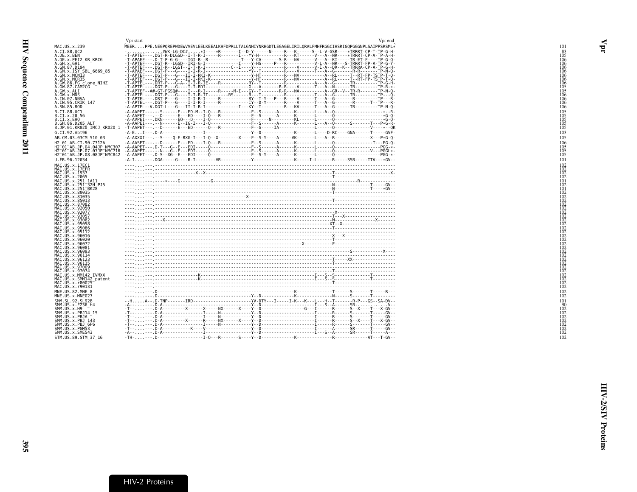<span id="page-18-1"></span><span id="page-18-0"></span>

|                                                                                                        | Vpr start<br>Vpr end                                                                                                                                                                                                                                                                                                                                                                                                               |  |
|--------------------------------------------------------------------------------------------------------|------------------------------------------------------------------------------------------------------------------------------------------------------------------------------------------------------------------------------------------------------------------------------------------------------------------------------------------------------------------------------------------------------------------------------------|--|
| MAC.US.x.239                                                                                           | MEERPPE.NEGPQREPWDEWVVEVLEELKEEALKHFDPRLLTALGNHIYNRHGDTLEGAGELIRILQRALFMHFRGGCIHSRIGQPGGGNPLSAIPPSRSML*                                                                                                                                                                                                                                                                                                                            |  |
| A.CI.88.UC2                                                                                            |                                                                                                                                                                                                                                                                                                                                                                                                                                    |  |
| A.DE.x.BEN<br>A.DE.x.BEN<br>A.DE.x.PEI2_KR_KRCG<br>A.GH.x.GH1                                          |                                                                                                                                                                                                                                                                                                                                                                                                                                    |  |
|                                                                                                        |                                                                                                                                                                                                                                                                                                                                                                                                                                    |  |
| A.GM.87.D194                                                                                           |                                                                                                                                                                                                                                                                                                                                                                                                                                    |  |
| A.GM.x.ISY SBL_6669_85<br>A.GM.x.MCNI3                                                                 |                                                                                                                                                                                                                                                                                                                                                                                                                                    |  |
| A.GM.x.MCR35                                                                                           |                                                                                                                                                                                                                                                                                                                                                                                                                                    |  |
| A.GW.86.FG clone NIHZ                                                                                  |                                                                                                                                                                                                                                                                                                                                                                                                                                    |  |
| A.GW.87.CAM2CG<br>A.GW.x.ALI                                                                           |                                                                                                                                                                                                                                                                                                                                                                                                                                    |  |
| A.GW.x.MDS                                                                                             |                                                                                                                                                                                                                                                                                                                                                                                                                                    |  |
| A.IN.07.NNVA<br>A.IN.95.CRIK 147                                                                       |                                                                                                                                                                                                                                                                                                                                                                                                                                    |  |
| A.SN.85.ROD                                                                                            |                                                                                                                                                                                                                                                                                                                                                                                                                                    |  |
|                                                                                                        | n and the contract of the contract of the contract of the contract of the contract of the contract of the contract of the contract of the contract of the contract of the contract of the contract of the contract of the cont                                                                                                                                                                                                     |  |
|                                                                                                        |                                                                                                                                                                                                                                                                                                                                                                                                                                    |  |
|                                                                                                        |                                                                                                                                                                                                                                                                                                                                                                                                                                    |  |
|                                                                                                        |                                                                                                                                                                                                                                                                                                                                                                                                                                    |  |
| G.CI.92.Abt96                                                                                          |                                                                                                                                                                                                                                                                                                                                                                                                                                    |  |
| AB.CM.03.03CM 510 03                                                                                   |                                                                                                                                                                                                                                                                                                                                                                                                                                    |  |
| H2 01 AB.CI.90.7312A                                                                                   |                                                                                                                                                                                                                                                                                                                                                                                                                                    |  |
| H2 <sup>-01-AB.JP.04.04JP NMC307</sup>                                                                 |                                                                                                                                                                                                                                                                                                                                                                                                                                    |  |
| H2 <sup>-01-AB.JP.07.07JP<sup>-</sup>NMC716</sup><br>H2 <sup>-01-AB.JP.08.08JP<sup>-</sup>NMC842</sup> |                                                                                                                                                                                                                                                                                                                                                                                                                                    |  |
| U.FR.96.12034                                                                                          |                                                                                                                                                                                                                                                                                                                                                                                                                                    |  |
| MAC.US.x.17EC1                                                                                         |                                                                                                                                                                                                                                                                                                                                                                                                                                    |  |
| MAC.US.x.17EFR<br>MAC.US.x.1937<br>MAC.US.x.2065<br>MAC.US.x.251_1A11                                  |                                                                                                                                                                                                                                                                                                                                                                                                                                    |  |
|                                                                                                        |                                                                                                                                                                                                                                                                                                                                                                                                                                    |  |
|                                                                                                        |                                                                                                                                                                                                                                                                                                                                                                                                                                    |  |
| MAC.US.x.251 <sup>-</sup> 32H PJ5                                                                      |                                                                                                                                                                                                                                                                                                                                                                                                                                    |  |
| MAC.US.x.251 <sup>-</sup> BK28                                                                         |                                                                                                                                                                                                                                                                                                                                                                                                                                    |  |
| MAC.US.x.80035<br>MAC.US.x.81035                                                                       |                                                                                                                                                                                                                                                                                                                                                                                                                                    |  |
| MAC.US.x.85013                                                                                         |                                                                                                                                                                                                                                                                                                                                                                                                                                    |  |
| MAC.US.x.87082                                                                                         |                                                                                                                                                                                                                                                                                                                                                                                                                                    |  |
| MAC.US.x.92050<br>MAC.US.x.92077                                                                       |                                                                                                                                                                                                                                                                                                                                                                                                                                    |  |
| MAC.US.x.93057                                                                                         |                                                                                                                                                                                                                                                                                                                                                                                                                                    |  |
| MAC.US.x.93062                                                                                         |                                                                                                                                                                                                                                                                                                                                                                                                                                    |  |
| MAC.US.x.95058<br>MAC.US.x.95086                                                                       |                                                                                                                                                                                                                                                                                                                                                                                                                                    |  |
| MAC.US.x.95112                                                                                         |                                                                                                                                                                                                                                                                                                                                                                                                                                    |  |
| MAC.US.x.96016                                                                                         |                                                                                                                                                                                                                                                                                                                                                                                                                                    |  |
| MAČ.ŪŠ.X.96020<br>MAC.US.x.96072                                                                       |                                                                                                                                                                                                                                                                                                                                                                                                                                    |  |
| MAC. US. x. 96081                                                                                      |                                                                                                                                                                                                                                                                                                                                                                                                                                    |  |
| MAC.US.x.96093                                                                                         |                                                                                                                                                                                                                                                                                                                                                                                                                                    |  |
| MAC.US.x.96114<br>MAC.US.x.96123                                                                       |                                                                                                                                                                                                                                                                                                                                                                                                                                    |  |
| MAC.US.x.96135                                                                                         |                                                                                                                                                                                                                                                                                                                                                                                                                                    |  |
| MAC.US.x.97009                                                                                         |                                                                                                                                                                                                                                                                                                                                                                                                                                    |  |
| MAC.US.x.97074<br>MAC.US.x.MM142 IVMXX                                                                 |                                                                                                                                                                                                                                                                                                                                                                                                                                    |  |
| MAC.US.x.SMM142 patent                                                                                 |                                                                                                                                                                                                                                                                                                                                                                                                                                    |  |
| MAC.US.x.r80025                                                                                        |                                                                                                                                                                                                                                                                                                                                                                                                                                    |  |
| MAC.US.x.r90131                                                                                        |                                                                                                                                                                                                                                                                                                                                                                                                                                    |  |
| MNE.US.82.MNE 8<br>MNE.US.x.MNE027                                                                     |                                                                                                                                                                                                                                                                                                                                                                                                                                    |  |
| SMM.SL.92.SL92B                                                                                        |                                                                                                                                                                                                                                                                                                                                                                                                                                    |  |
| SMM.US.x.F236 H4                                                                                       | $\begin{minipage}[t]{.00\textwidth} \begin{tabular}{ c c c c c } \hline \multicolumn{1}{ c }{\textbf{0.00\textwidth} \begin{tabular}{ c c c c c } \hline \multicolumn{1}{ c }{\textbf{0.00\textwidth} \begin{tabular}{ c c c c } \hline \multicolumn{1}{ c }{\textbf{0.00\textwidth} \begin{tabular}{ c c c } \hline \multicolumn{1}{ c }{\textbf{0.00\textwidth} \begin{tabular}{ c c c } \hline \multicolumn{1}{ c }{\textbf{0.$ |  |
| SMM.US.x.H9                                                                                            |                                                                                                                                                                                                                                                                                                                                                                                                                                    |  |
| SMM.US.x.PBJ14 15<br>SMM.US.x.PBJA                                                                     |                                                                                                                                                                                                                                                                                                                                                                                                                                    |  |
| SMM.US.x.PBJ_143                                                                                       |                                                                                                                                                                                                                                                                                                                                                                                                                                    |  |
| SMM.US.x.PBJ <sup>-</sup> 6P6                                                                          |                                                                                                                                                                                                                                                                                                                                                                                                                                    |  |
| SMM.US.x.PGM53<br>SMM.US.x.SME543                                                                      |                                                                                                                                                                                                                                                                                                                                                                                                                                    |  |
| STM.US.89.STM 37 16                                                                                    |                                                                                                                                                                                                                                                                                                                                                                                                                                    |  |
|                                                                                                        |                                                                                                                                                                                                                                                                                                                                                                                                                                    |  |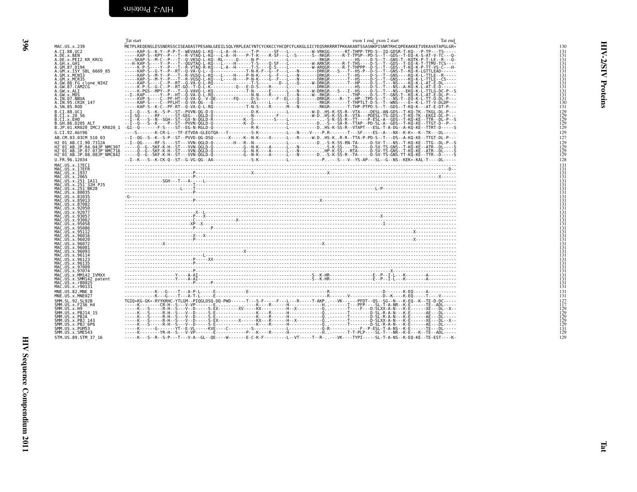<span id="page-19-1"></span><span id="page-19-0"></span>

|                                                                | Tat start                                                                                                                                                                                                                                                        | exon 1 end exon 2 start<br>Tat end |
|----------------------------------------------------------------|------------------------------------------------------------------------------------------------------------------------------------------------------------------------------------------------------------------------------------------------------------------|------------------------------------|
| MAC.US.x.239                                                   | METPLREOENSLESSNERSSCISEADASTPESANLGEEILSOLYRPLEACYNTCYCKKCCYHCOFCFLKKGLGICYEOSRKRRRTPKKAKANTSSASNKPISNRTRHCOPEKAKKETVEKAVATAPGLGR*                                                                                                                              |                                    |
| A.CI.88.UC2                                                    |                                                                                                                                                                                                                                                                  |                                    |
| A.DE.x.BEN                                                     |                                                                                                                                                                                                                                                                  |                                    |
| A.DE.x.PEI2 KR KRCG<br>A.GH.x.GH1                              |                                                                                                                                                                                                                                                                  |                                    |
| A.GM.87.D194                                                   |                                                                                                                                                                                                                                                                  |                                    |
| A.GM.x.ISY SBL_6669_85<br>A.GM.x.MCN13                         |                                                                                                                                                                                                                                                                  |                                    |
| A.GM.x.MCR35                                                   |                                                                                                                                                                                                                                                                  |                                    |
| A.GW.86.FG clone NIHZ                                          |                                                                                                                                                                                                                                                                  |                                    |
| A.GW.87.CAM2CG<br>A.GW.x.ALI                                   |                                                                                                                                                                                                                                                                  |                                    |
| A.GW.x.MDS                                                     |                                                                                                                                                                                                                                                                  |                                    |
| A.IN.07.NNVA<br>A.IN.95.CRIK 147                               |                                                                                                                                                                                                                                                                  |                                    |
| A.SN.85.ROD                                                    |                                                                                                                                                                                                                                                                  |                                    |
| B.CI.88.UC1                                                    |                                                                                                                                                                                                                                                                  |                                    |
| B.CI.x.20 56<br>B.CI.x.EHO                                     |                                                                                                                                                                                                                                                                  |                                    |
| B.GH.86.D205 ALT                                               |                                                                                                                                                                                                                                                                  |                                    |
| B.JP.01.KR020 IMCJ KR020 1                                     |                                                                                                                                                                                                                                                                  |                                    |
| G.CI.92.Abt96                                                  | ----S-------K-CR-L---TF-ETVDA-GLEGTOA---Y--------S-K----------L---N----V----P.R------T---SF---ES--A---NX--K-K*--K--TK---DL-----<br>--I--0G--S--K--S-P--ST--PVVD-0G-DSQ------X-----K--N-K----X-----L---R-----W-DHS-KR-R--TTA-P-PD-S--T---DS--A-KQ-KE--TTGT-DL-P-- |                                    |
| AB.CM.03.03CM 510 03                                           |                                                                                                                                                                                                                                                                  |                                    |
| H2 01 AB.CI.90.7312A<br>H2 <sup>-01-AB.JP.04.04JP NMC307</sup> |                                                                                                                                                                                                                                                                  |                                    |
| $H2^-01^-$ AB.JP.07.07JP NMC716                                |                                                                                                                                                                                                                                                                  |                                    |
| H2 <sup>-01-AB.JP.08.08JP-NMC842</sup><br>U.FR.96.12034        |                                                                                                                                                                                                                                                                  |                                    |
| MAC.US.x.17EC1                                                 |                                                                                                                                                                                                                                                                  |                                    |
| MAC. US. x. 17EFR                                              |                                                                                                                                                                                                                                                                  |                                    |
| MAC. US. x. 1937<br>MAC. US. x. 2065                           |                                                                                                                                                                                                                                                                  |                                    |
| MAC.US.x.251 1A11                                              |                                                                                                                                                                                                                                                                  |                                    |
| MAC.US.x.251 <sup>-32H</sup> PJ5                               |                                                                                                                                                                                                                                                                  |                                    |
| MAC. US. x. 251 <sup>-</sup> BK28<br>MAC.US.x.80035            |                                                                                                                                                                                                                                                                  |                                    |
| MAC. US. x. 81035                                              |                                                                                                                                                                                                                                                                  |                                    |
| MAC. US. x.85013<br>MAC. US. x.87082                           |                                                                                                                                                                                                                                                                  |                                    |
| MAC. US. x. 92050                                              |                                                                                                                                                                                                                                                                  |                                    |
| MAC.US.x.92077<br>MAC.US.x.93057<br>MAC.US.x.93062             |                                                                                                                                                                                                                                                                  |                                    |
|                                                                |                                                                                                                                                                                                                                                                  |                                    |
| MAC. US. x. 95058<br>MAC. US. x. 95086                         |                                                                                                                                                                                                                                                                  |                                    |
| MAC. US. x. 95112                                              |                                                                                                                                                                                                                                                                  |                                    |
| MAC. US. x. 96016<br>MAC.US.x.96020                            |                                                                                                                                                                                                                                                                  |                                    |
| MAC. U.S. x. 96072                                             |                                                                                                                                                                                                                                                                  |                                    |
| MAC.US.x.96081                                                 |                                                                                                                                                                                                                                                                  |                                    |
| MAC.US.x.96093<br>MAC. US. x. 96114                            |                                                                                                                                                                                                                                                                  |                                    |
| MAC.US.x.96123                                                 |                                                                                                                                                                                                                                                                  |                                    |
| MAC.US.x.96135                                                 |                                                                                                                                                                                                                                                                  |                                    |
| MAC.US.x.97009<br>MAC.US.x.97074                               |                                                                                                                                                                                                                                                                  |                                    |
| MAC.US.x.MM142 IVMXX<br>MAC.US.x.SMM142 patent                 |                                                                                                                                                                                                                                                                  |                                    |
| MAC.US.x.r80025                                                |                                                                                                                                                                                                                                                                  |                                    |
| MAC.US.x.r90131                                                |                                                                                                                                                                                                                                                                  |                                    |
| MNE.US.82.MNE 8<br>MNE.US.x.MNE027                             |                                                                                                                                                                                                                                                                  |                                    |
| SMM.SL.92.SL92B                                                |                                                                                                                                                                                                                                                                  |                                    |
| SMM. US. x. F236 H4                                            |                                                                                                                                                                                                                                                                  |                                    |
| SMM. US. x.H9<br>SMM.US.x.PBJ14 15                             |                                                                                                                                                                                                                                                                  |                                    |
| SMM.US.x.PBJA                                                  |                                                                                                                                                                                                                                                                  |                                    |
| SMM.US.x.PBJ 143<br>SMM.US.x.PBJ <sup>-6P6</sup>               |                                                                                                                                                                                                                                                                  |                                    |
| SMM.US.x.PGM53                                                 |                                                                                                                                                                                                                                                                  |                                    |
| SMM.US.x.SME543                                                | -----K---S--R--S-P---T---V-A--GL--OE----W-------E-C-K-F---------L--VT-----T--R- , .---VK----TYPI-----SL-T-A-NS--K-E0-KE--TE-EST----K-                                                                                                                            |                                    |
| STM.US.89.STM 37 16                                            |                                                                                                                                                                                                                                                                  |                                    |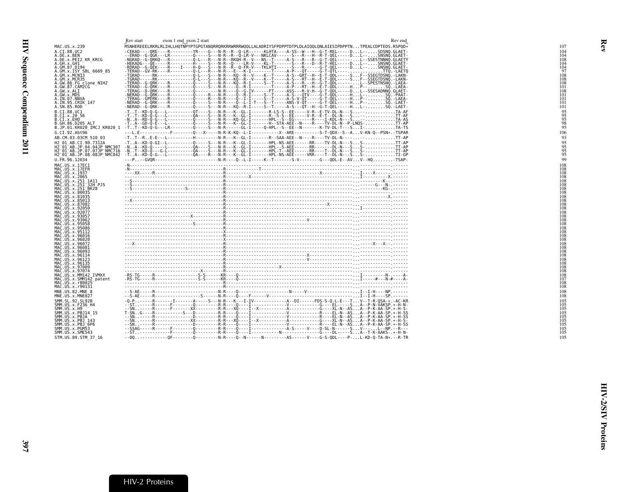<span id="page-20-1"></span><span id="page-20-0"></span>

| MSNHEREEELRKRLRLIHLLHQTNPYPTGPGTANQRRQRKRRWRRRWQQLLALADRIYSFPDPPTDTPLDLAIQQLQNLAIESIPDPPTNTPEALCDPTEDS.RSPQD*<br>A.DE.x.BEN<br>A.DE.x.PEI2 KR KRCG<br>A.GM.87.D194<br>A.GM.x.ISY SBL 6669 85<br>A.GW.86.FG_clone_NIHZ<br>A.GW.87.CAM2CG<br>A.GW.x.MDS<br>A.IN.07.NNVA<br>B.CI.88.UC1<br>B.CI.x.20 56<br>B.CI.x.EHO<br>B.GH.86.D205 ALT<br>B.JP.01.KR020 IMCJ KR020 1<br>---L.E------------F--------Q---X-----N-R-K-KQ--L-I--------------X--ARE-----------S-T-QDX--S--AV-KN-Q--PSN*.-TSPAR<br>G.CI.92.Abt96<br>-TT--RE-E---L----------H--------N-R---K--GL-I-------R--SAA-AEE--N----R----TV-DL-N------TT-AP<br>AB.CM.03.03CM 510 03<br>H2 01 AB.CI.90.7312A<br>H2 <sup>-</sup> 01 <sup>-</sup> AB.JP.07.07JP <sup>-</sup> NMC716<br>H2 <sup>-</sup> 01 <sup>-</sup> AB.JP.08.08JP <sup>-</sup> NMC842<br>U.FR.96.12034<br>MAC.US.x.17EC1<br>$\frac{1}{2}$<br>MAC.US.x.1937<br>MAC.US.x.2065<br>MAC.US.x.251 1A11<br>MAC.US.x.251 <sup>-</sup> 32H PJ5<br>MAC.US.x.251 <sup>-</sup> BK28<br>MAC.US.x.80035<br>MAC.US.x.85013<br>MAC.US.x.87082<br>MAC.US.x.92077<br>MAC.US.x.93057<br>MAC.US.x.93062<br>MAC.US.x.95058<br>MAC.US.x.95086<br>MAC.US.x.95112<br>MAC.US.x.96016<br>MAC.US.x.96020<br>MAC.US.x.96072<br>MAC.US.x.96093<br>MAC.US.x.96114<br>MAC.US.x.96135<br>MAC.US.x.97009<br>MAC.US.x.MM142 IVMXX<br>MAC.US.x.SMM142_patent<br>MAC.US.x.r80025<br>MNE.US.x.MNE027<br>SMM.SL.92.SL92B<br>SMM.US.x.PBJ14 15<br>SMM.US.x.PBJA<br>SMM.US.x.PBJ <sup>-</sup> 6P6<br>SMM.US.x.PGM53 |                                                      | Rev start<br>exon 1 end exon 2 start | Rev end |
|--------------------------------------------------------------------------------------------------------------------------------------------------------------------------------------------------------------------------------------------------------------------------------------------------------------------------------------------------------------------------------------------------------------------------------------------------------------------------------------------------------------------------------------------------------------------------------------------------------------------------------------------------------------------------------------------------------------------------------------------------------------------------------------------------------------------------------------------------------------------------------------------------------------------------------------------------------------------------------------------------------------------------------------------------------------------------------------------------------------------------------------------------------------------------------------------------------------------------------------------------------------------------------------------------------------------------------------------------------------------------------------------------------------------------------------------------------------------------------------------|------------------------------------------------------|--------------------------------------|---------|
|                                                                                                                                                                                                                                                                                                                                                                                                                                                                                                                                                                                                                                                                                                                                                                                                                                                                                                                                                                                                                                                                                                                                                                                                                                                                                                                                                                                                                                                                                            | MAC.US.x.239                                         |                                      |         |
|                                                                                                                                                                                                                                                                                                                                                                                                                                                                                                                                                                                                                                                                                                                                                                                                                                                                                                                                                                                                                                                                                                                                                                                                                                                                                                                                                                                                                                                                                            | A.CI.88.UC2                                          |                                      |         |
|                                                                                                                                                                                                                                                                                                                                                                                                                                                                                                                                                                                                                                                                                                                                                                                                                                                                                                                                                                                                                                                                                                                                                                                                                                                                                                                                                                                                                                                                                            |                                                      |                                      |         |
|                                                                                                                                                                                                                                                                                                                                                                                                                                                                                                                                                                                                                                                                                                                                                                                                                                                                                                                                                                                                                                                                                                                                                                                                                                                                                                                                                                                                                                                                                            | A.GH.x.GH1                                           |                                      |         |
|                                                                                                                                                                                                                                                                                                                                                                                                                                                                                                                                                                                                                                                                                                                                                                                                                                                                                                                                                                                                                                                                                                                                                                                                                                                                                                                                                                                                                                                                                            |                                                      |                                      |         |
|                                                                                                                                                                                                                                                                                                                                                                                                                                                                                                                                                                                                                                                                                                                                                                                                                                                                                                                                                                                                                                                                                                                                                                                                                                                                                                                                                                                                                                                                                            | A.GM.x.MCNI3                                         |                                      |         |
|                                                                                                                                                                                                                                                                                                                                                                                                                                                                                                                                                                                                                                                                                                                                                                                                                                                                                                                                                                                                                                                                                                                                                                                                                                                                                                                                                                                                                                                                                            | A.GM.x.MCR35                                         |                                      |         |
|                                                                                                                                                                                                                                                                                                                                                                                                                                                                                                                                                                                                                                                                                                                                                                                                                                                                                                                                                                                                                                                                                                                                                                                                                                                                                                                                                                                                                                                                                            |                                                      |                                      |         |
|                                                                                                                                                                                                                                                                                                                                                                                                                                                                                                                                                                                                                                                                                                                                                                                                                                                                                                                                                                                                                                                                                                                                                                                                                                                                                                                                                                                                                                                                                            | A.GW.x.ALI                                           |                                      |         |
|                                                                                                                                                                                                                                                                                                                                                                                                                                                                                                                                                                                                                                                                                                                                                                                                                                                                                                                                                                                                                                                                                                                                                                                                                                                                                                                                                                                                                                                                                            |                                                      |                                      |         |
|                                                                                                                                                                                                                                                                                                                                                                                                                                                                                                                                                                                                                                                                                                                                                                                                                                                                                                                                                                                                                                                                                                                                                                                                                                                                                                                                                                                                                                                                                            | A.IN.95.CRIK 147                                     |                                      |         |
|                                                                                                                                                                                                                                                                                                                                                                                                                                                                                                                                                                                                                                                                                                                                                                                                                                                                                                                                                                                                                                                                                                                                                                                                                                                                                                                                                                                                                                                                                            | A.SN.85.ROD                                          |                                      |         |
|                                                                                                                                                                                                                                                                                                                                                                                                                                                                                                                                                                                                                                                                                                                                                                                                                                                                                                                                                                                                                                                                                                                                                                                                                                                                                                                                                                                                                                                                                            |                                                      |                                      |         |
|                                                                                                                                                                                                                                                                                                                                                                                                                                                                                                                                                                                                                                                                                                                                                                                                                                                                                                                                                                                                                                                                                                                                                                                                                                                                                                                                                                                                                                                                                            |                                                      |                                      |         |
|                                                                                                                                                                                                                                                                                                                                                                                                                                                                                                                                                                                                                                                                                                                                                                                                                                                                                                                                                                                                                                                                                                                                                                                                                                                                                                                                                                                                                                                                                            |                                                      |                                      |         |
|                                                                                                                                                                                                                                                                                                                                                                                                                                                                                                                                                                                                                                                                                                                                                                                                                                                                                                                                                                                                                                                                                                                                                                                                                                                                                                                                                                                                                                                                                            |                                                      |                                      |         |
|                                                                                                                                                                                                                                                                                                                                                                                                                                                                                                                                                                                                                                                                                                                                                                                                                                                                                                                                                                                                                                                                                                                                                                                                                                                                                                                                                                                                                                                                                            |                                                      |                                      |         |
|                                                                                                                                                                                                                                                                                                                                                                                                                                                                                                                                                                                                                                                                                                                                                                                                                                                                                                                                                                                                                                                                                                                                                                                                                                                                                                                                                                                                                                                                                            |                                                      |                                      |         |
|                                                                                                                                                                                                                                                                                                                                                                                                                                                                                                                                                                                                                                                                                                                                                                                                                                                                                                                                                                                                                                                                                                                                                                                                                                                                                                                                                                                                                                                                                            | H2 <sup>-</sup> 01 <sup>-</sup> AB.JP.04.04JP NMC307 |                                      |         |
|                                                                                                                                                                                                                                                                                                                                                                                                                                                                                                                                                                                                                                                                                                                                                                                                                                                                                                                                                                                                                                                                                                                                                                                                                                                                                                                                                                                                                                                                                            |                                                      |                                      |         |
|                                                                                                                                                                                                                                                                                                                                                                                                                                                                                                                                                                                                                                                                                                                                                                                                                                                                                                                                                                                                                                                                                                                                                                                                                                                                                                                                                                                                                                                                                            |                                                      |                                      |         |
|                                                                                                                                                                                                                                                                                                                                                                                                                                                                                                                                                                                                                                                                                                                                                                                                                                                                                                                                                                                                                                                                                                                                                                                                                                                                                                                                                                                                                                                                                            |                                                      |                                      |         |
|                                                                                                                                                                                                                                                                                                                                                                                                                                                                                                                                                                                                                                                                                                                                                                                                                                                                                                                                                                                                                                                                                                                                                                                                                                                                                                                                                                                                                                                                                            | MAC.US.x.17EFR                                       |                                      |         |
|                                                                                                                                                                                                                                                                                                                                                                                                                                                                                                                                                                                                                                                                                                                                                                                                                                                                                                                                                                                                                                                                                                                                                                                                                                                                                                                                                                                                                                                                                            |                                                      |                                      |         |
|                                                                                                                                                                                                                                                                                                                                                                                                                                                                                                                                                                                                                                                                                                                                                                                                                                                                                                                                                                                                                                                                                                                                                                                                                                                                                                                                                                                                                                                                                            |                                                      |                                      |         |
|                                                                                                                                                                                                                                                                                                                                                                                                                                                                                                                                                                                                                                                                                                                                                                                                                                                                                                                                                                                                                                                                                                                                                                                                                                                                                                                                                                                                                                                                                            |                                                      |                                      |         |
|                                                                                                                                                                                                                                                                                                                                                                                                                                                                                                                                                                                                                                                                                                                                                                                                                                                                                                                                                                                                                                                                                                                                                                                                                                                                                                                                                                                                                                                                                            |                                                      |                                      |         |
|                                                                                                                                                                                                                                                                                                                                                                                                                                                                                                                                                                                                                                                                                                                                                                                                                                                                                                                                                                                                                                                                                                                                                                                                                                                                                                                                                                                                                                                                                            | MAC.US.x.81035                                       |                                      |         |
|                                                                                                                                                                                                                                                                                                                                                                                                                                                                                                                                                                                                                                                                                                                                                                                                                                                                                                                                                                                                                                                                                                                                                                                                                                                                                                                                                                                                                                                                                            |                                                      |                                      |         |
|                                                                                                                                                                                                                                                                                                                                                                                                                                                                                                                                                                                                                                                                                                                                                                                                                                                                                                                                                                                                                                                                                                                                                                                                                                                                                                                                                                                                                                                                                            | MAC.US.x.92050                                       |                                      |         |
|                                                                                                                                                                                                                                                                                                                                                                                                                                                                                                                                                                                                                                                                                                                                                                                                                                                                                                                                                                                                                                                                                                                                                                                                                                                                                                                                                                                                                                                                                            |                                                      |                                      |         |
|                                                                                                                                                                                                                                                                                                                                                                                                                                                                                                                                                                                                                                                                                                                                                                                                                                                                                                                                                                                                                                                                                                                                                                                                                                                                                                                                                                                                                                                                                            |                                                      |                                      |         |
|                                                                                                                                                                                                                                                                                                                                                                                                                                                                                                                                                                                                                                                                                                                                                                                                                                                                                                                                                                                                                                                                                                                                                                                                                                                                                                                                                                                                                                                                                            |                                                      |                                      |         |
|                                                                                                                                                                                                                                                                                                                                                                                                                                                                                                                                                                                                                                                                                                                                                                                                                                                                                                                                                                                                                                                                                                                                                                                                                                                                                                                                                                                                                                                                                            |                                                      |                                      |         |
|                                                                                                                                                                                                                                                                                                                                                                                                                                                                                                                                                                                                                                                                                                                                                                                                                                                                                                                                                                                                                                                                                                                                                                                                                                                                                                                                                                                                                                                                                            |                                                      |                                      |         |
|                                                                                                                                                                                                                                                                                                                                                                                                                                                                                                                                                                                                                                                                                                                                                                                                                                                                                                                                                                                                                                                                                                                                                                                                                                                                                                                                                                                                                                                                                            |                                                      |                                      |         |
|                                                                                                                                                                                                                                                                                                                                                                                                                                                                                                                                                                                                                                                                                                                                                                                                                                                                                                                                                                                                                                                                                                                                                                                                                                                                                                                                                                                                                                                                                            | MAC.US.x.96081                                       |                                      |         |
|                                                                                                                                                                                                                                                                                                                                                                                                                                                                                                                                                                                                                                                                                                                                                                                                                                                                                                                                                                                                                                                                                                                                                                                                                                                                                                                                                                                                                                                                                            |                                                      |                                      |         |
|                                                                                                                                                                                                                                                                                                                                                                                                                                                                                                                                                                                                                                                                                                                                                                                                                                                                                                                                                                                                                                                                                                                                                                                                                                                                                                                                                                                                                                                                                            | MAC.US.x.96123                                       |                                      |         |
|                                                                                                                                                                                                                                                                                                                                                                                                                                                                                                                                                                                                                                                                                                                                                                                                                                                                                                                                                                                                                                                                                                                                                                                                                                                                                                                                                                                                                                                                                            |                                                      |                                      |         |
|                                                                                                                                                                                                                                                                                                                                                                                                                                                                                                                                                                                                                                                                                                                                                                                                                                                                                                                                                                                                                                                                                                                                                                                                                                                                                                                                                                                                                                                                                            | MAC.US.x.97074                                       |                                      |         |
|                                                                                                                                                                                                                                                                                                                                                                                                                                                                                                                                                                                                                                                                                                                                                                                                                                                                                                                                                                                                                                                                                                                                                                                                                                                                                                                                                                                                                                                                                            |                                                      |                                      |         |
|                                                                                                                                                                                                                                                                                                                                                                                                                                                                                                                                                                                                                                                                                                                                                                                                                                                                                                                                                                                                                                                                                                                                                                                                                                                                                                                                                                                                                                                                                            |                                                      |                                      |         |
|                                                                                                                                                                                                                                                                                                                                                                                                                                                                                                                                                                                                                                                                                                                                                                                                                                                                                                                                                                                                                                                                                                                                                                                                                                                                                                                                                                                                                                                                                            | MAC.US.x.r90131                                      |                                      |         |
|                                                                                                                                                                                                                                                                                                                                                                                                                                                                                                                                                                                                                                                                                                                                                                                                                                                                                                                                                                                                                                                                                                                                                                                                                                                                                                                                                                                                                                                                                            | MNE.US.82.MNE 8                                      |                                      |         |
|                                                                                                                                                                                                                                                                                                                                                                                                                                                                                                                                                                                                                                                                                                                                                                                                                                                                                                                                                                                                                                                                                                                                                                                                                                                                                                                                                                                                                                                                                            |                                                      |                                      |         |
|                                                                                                                                                                                                                                                                                                                                                                                                                                                                                                                                                                                                                                                                                                                                                                                                                                                                                                                                                                                                                                                                                                                                                                                                                                                                                                                                                                                                                                                                                            | SMM.US.x.F236 H4                                     |                                      |         |
|                                                                                                                                                                                                                                                                                                                                                                                                                                                                                                                                                                                                                                                                                                                                                                                                                                                                                                                                                                                                                                                                                                                                                                                                                                                                                                                                                                                                                                                                                            | SMM.US.x.H9                                          |                                      |         |
|                                                                                                                                                                                                                                                                                                                                                                                                                                                                                                                                                                                                                                                                                                                                                                                                                                                                                                                                                                                                                                                                                                                                                                                                                                                                                                                                                                                                                                                                                            |                                                      |                                      |         |
|                                                                                                                                                                                                                                                                                                                                                                                                                                                                                                                                                                                                                                                                                                                                                                                                                                                                                                                                                                                                                                                                                                                                                                                                                                                                                                                                                                                                                                                                                            | SMM.US.x.PBJ 143                                     |                                      |         |
|                                                                                                                                                                                                                                                                                                                                                                                                                                                                                                                                                                                                                                                                                                                                                                                                                                                                                                                                                                                                                                                                                                                                                                                                                                                                                                                                                                                                                                                                                            |                                                      |                                      |         |
|                                                                                                                                                                                                                                                                                                                                                                                                                                                                                                                                                                                                                                                                                                                                                                                                                                                                                                                                                                                                                                                                                                                                                                                                                                                                                                                                                                                                                                                                                            | SMM.US.x.SME543                                      |                                      |         |
|                                                                                                                                                                                                                                                                                                                                                                                                                                                                                                                                                                                                                                                                                                                                                                                                                                                                                                                                                                                                                                                                                                                                                                                                                                                                                                                                                                                                                                                                                            | STM.US.89.STM 37 16                                  |                                      |         |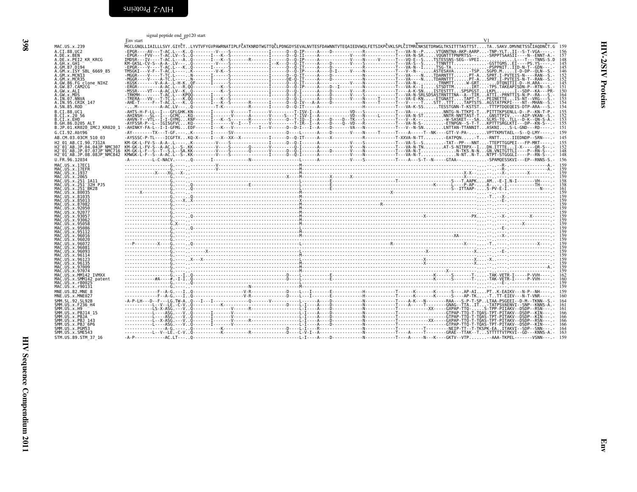<span id="page-21-1"></span><span id="page-21-0"></span>

|                                                                                                             | signal peptide end_gp120 start<br>Env start                                                                                                                                 |  |                   |
|-------------------------------------------------------------------------------------------------------------|-----------------------------------------------------------------------------------------------------------------------------------------------------------------------------|--|-------------------|
| MAC.US.x.239                                                                                                | ,<br>MGCLGNOLLIAILLLSVY.GIYČTLYVTVFYGVPAWRNATIPLFČATKNRDTWGTTOČLPDNGDYSEVALNVTESFDAWNNTVTEOAIEDVWOLFETSIKPČVKLSPLČITMRČNKSETDRWGLTKSITTTASTTSTTASAKV.DMVNETSSČIAODNČT.G 159 |  |                   |
| A.CI.88.UC2                                                                                                 |                                                                                                                                                                             |  |                   |
| A.DE.x.BEN                                                                                                  |                                                                                                                                                                             |  | 157               |
| A.DE.x.PEI2 KR KRCG<br>A.GH.x.GH1                                                                           |                                                                                                                                                                             |  | 148               |
| A.GM.87.D194                                                                                                |                                                                                                                                                                             |  |                   |
| A.GM.x.ISY SBL 6669 85<br>A.GM.x.MCN13                                                                      |                                                                                                                                                                             |  | 146               |
| A.GM.x.MCR35                                                                                                |                                                                                                                                                                             |  | 145               |
| A.GW.86.FG clone_NIHZ<br>A.GW.87.CAM2CG                                                                     |                                                                                                                                                                             |  | 151               |
| A.GW.x.ALI<br>A.GW.x.MDS                                                                                    |                                                                                                                                                                             |  | 150               |
| A.IN.07.NNVA                                                                                                |                                                                                                                                                                             |  | $\frac{164}{153}$ |
| A.IN.95.CRIK 147<br>A.SN.85.ROD                                                                             |                                                                                                                                                                             |  | 154               |
| B.CI.88.UC1                                                                                                 |                                                                                                                                                                             |  |                   |
| B.CI.X.20 56<br>B.CI.X.EHO                                                                                  |                                                                                                                                                                             |  |                   |
| B.GH.86.D205 ALT                                                                                            |                                                                                                                                                                             |  |                   |
| B.JP.01.KR020 IMCJ KR020 1                                                                                  |                                                                                                                                                                             |  |                   |
| G.CI.92.Abt96<br>AB.CM.03.03CM 510 03                                                                       | -AYSSSC-P-TL----ICGFTXKO-X-----I---X--XX--X----------I-----D--Q-IT-----A----X-----------------------T-XXVA-N-TT-EATPON-T-RNTTIIEDNDP--SRN----                               |  | 145               |
| H2 01 AB.CI.90.7312A                                                                                        |                                                                                                                                                                             |  |                   |
| H2 <sup>-01-AB.JP.04.04JP NMC307</sup><br>H2 <sup>-</sup> 01 <sup>-</sup> AB.JP.07.07JP <sup>-</sup> NMC716 |                                                                                                                                                                             |  | 155<br>152<br>148 |
| H2 <sup>-01-AB.JP.08.08JP-NMC842</sup>                                                                      |                                                                                                                                                                             |  | 148               |
| U.FR.96.12034                                                                                               |                                                                                                                                                                             |  |                   |
| MAC.US.x.17EC1<br>MAC.US.x.17EFR                                                                            |                                                                                                                                                                             |  | 159               |
| MAC.US.x.1937                                                                                               |                                                                                                                                                                             |  | 159               |
| MAC.US.x.2065<br>MAC.US.x.251 1A11                                                                          |                                                                                                                                                                             |  | 159<br>158        |
| MAC.US.x.251 32H PJ5                                                                                        |                                                                                                                                                                             |  | 158               |
| MAC. US. x.251 BK28                                                                                         |                                                                                                                                                                             |  | 161               |
| MAC. US. x. 80035<br>MAC. US. x. 81035                                                                      |                                                                                                                                                                             |  | 159<br>159<br>159 |
| MAC. US. x.85013<br>MAC.US.x.87082                                                                          |                                                                                                                                                                             |  | 159               |
| MAC.US.x.92050<br>MAC.US.x.92077                                                                            |                                                                                                                                                                             |  | 159               |
| MAC.US.x.9305                                                                                               |                                                                                                                                                                             |  | 159               |
| MAC.US.x.93062<br>MAC.US.x.95058                                                                            |                                                                                                                                                                             |  | 159<br>159        |
| MAC.US.x.95086                                                                                              |                                                                                                                                                                             |  | 159               |
| MAC.US.x.95112<br>MAC.US.x.96016                                                                            |                                                                                                                                                                             |  | 159<br>i 59       |
| MAC.US.x.96020<br>MAC.US.x.96072                                                                            |                                                                                                                                                                             |  | i 59<br>159       |
| MAC.US.x.96081                                                                                              |                                                                                                                                                                             |  | 159               |
| MAC.US.x.96093<br>MAC.US.x.96114                                                                            |                                                                                                                                                                             |  | 159<br>159        |
| MAC.US.x.96123                                                                                              |                                                                                                                                                                             |  | 159<br>159        |
| MAC.US.x.96135<br>MAC.US.x.97009                                                                            |                                                                                                                                                                             |  | 159               |
| MAC.US.x.97074<br>MAC.US.x.MM142 IVMXX                                                                      |                                                                                                                                                                             |  | 159<br>162        |
| MAC.US.x.SMM142_patent<br>MAC.US.x.r80025                                                                   |                                                                                                                                                                             |  | $\frac{160}{159}$ |
| MAC. US. x. r90131                                                                                          |                                                                                                                                                                             |  | 159               |
| MNE.US.82.MNE 8                                                                                             |                                                                                                                                                                             |  | 159               |
| MNE.US.x.MNE027                                                                                             |                                                                                                                                                                             |  | 160               |
| SMM. SL. 92. SL92B<br>SMM. US. x. F236 H4                                                                   |                                                                                                                                                                             |  |                   |
| SMM.US.x.H9                                                                                                 |                                                                                                                                                                             |  |                   |
| SMM.US.x.PBJ14 15<br>SMM.US.x.PBJA                                                                          |                                                                                                                                                                             |  |                   |
| SMM.US.x.PBJ 143<br>SMM.US.x.PBJ <sup>6P6</sup>                                                             |                                                                                                                                                                             |  |                   |
| SMM.US.x.PGM53                                                                                              |                                                                                                                                                                             |  |                   |
| SMM. US. x. SME543<br>STM.US.89.STM 37 16                                                                   |                                                                                                                                                                             |  |                   |
|                                                                                                             |                                                                                                                                                                             |  |                   |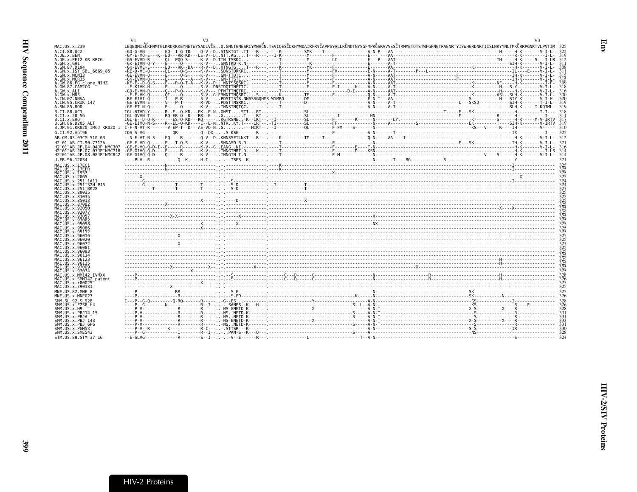<span id="page-22-0"></span>

|                                                                    | V1 | V <sub>2</sub> |  |  |                                                                                                                                                                                                                                | V <sub>3</sub> |
|--------------------------------------------------------------------|----|----------------|--|--|--------------------------------------------------------------------------------------------------------------------------------------------------------------------------------------------------------------------------------|----------------|
| MAC.US.x.239                                                       |    |                |  |  | LEQEOMISČKFNMTGLKRDKKKEYNETWYSADLVČE0.GNNTGNESRCYMNHČN.TSVIQESČDKHYWDAIRFRYČAPPGYALLRČNDTNYSGFMPKČSKVVVSSČTRMMETQTSTWFGFNGTRAENRTYIYWHGRDNRTIISLNKYYNLTMKČRRPGNKTVLPVTIM 32                                                    |                |
| A.CI.88.UC2                                                        |    |                |  |  | $-600-60-0.000-0.000-0.000-0.000-0.000-0.000-0.000-0.000-0.000-0.000-0.000-0.000-0.000-0.000-0.000-0.000-0.000-0.000-0.000-0.000-0.000-0.000-0.000-0.000-0.000-0.000-0.000-0.000-0.000-0.000-0.000-0.000-0.000-0.000-0.000-0.$ |                |
| A.DE.x.BEN<br>A.DE.X.PEI2 KR KRCG                                  |    |                |  |  |                                                                                                                                                                                                                                |                |
| A.GH.x.GH1                                                         |    |                |  |  |                                                                                                                                                                                                                                |                |
| A.GM.87.D194<br>A.GM.x.ISY SBL 6669 85                             |    |                |  |  |                                                                                                                                                                                                                                |                |
| A.GM.x.MCNI3                                                       |    |                |  |  |                                                                                                                                                                                                                                |                |
| A.GM.x.MCR35<br>A.GW.86.FG clone NIHZ                              |    |                |  |  |                                                                                                                                                                                                                                |                |
| A.GW.87.CAM2CG                                                     |    |                |  |  |                                                                                                                                                                                                                                |                |
| A.GW.x.ALI<br>A.GW.x.MDS                                           |    |                |  |  |                                                                                                                                                                                                                                |                |
| A.IN.07.NNVA                                                       |    |                |  |  |                                                                                                                                                                                                                                |                |
| A.IN.95.CRIK 147<br>A.SN.85.ROD                                    |    |                |  |  |                                                                                                                                                                                                                                |                |
| B.CI.88.UC1                                                        |    |                |  |  |                                                                                                                                                                                                                                |                |
|                                                                    |    |                |  |  |                                                                                                                                                                                                                                |                |
|                                                                    |    |                |  |  |                                                                                                                                                                                                                                |                |
|                                                                    |    |                |  |  |                                                                                                                                                                                                                                |                |
| G.CI.92.Abt96                                                      |    |                |  |  | $105 - 5 \cdot V6 - \cdots$                                                                                                                                                                                                    |                |
| AB.CM.03.03CM 510 03                                               |    |                |  |  |                                                                                                                                                                                                                                |                |
| H2 01 AB.CI.90.7312A<br>H2 <sup>-01-AB.JP.04.04JP NMC307</sup>     |    |                |  |  |                                                                                                                                                                                                                                |                |
| H2 <sup>-01-AB.JP.07.07JP-NMC716</sup>                             |    |                |  |  |                                                                                                                                                                                                                                |                |
| H2 <sup>-01-AB.JP.08.08JP<sup>-</sup>NMC842</sup><br>U.FR.96.12034 |    |                |  |  |                                                                                                                                                                                                                                |                |
| MAC.US.x.17EC1                                                     |    |                |  |  |                                                                                                                                                                                                                                |                |
| MAC.US.x.17EFR                                                     |    |                |  |  |                                                                                                                                                                                                                                |                |
| MAC.US.x.1937<br>MAC.US.x.2065                                     |    |                |  |  |                                                                                                                                                                                                                                |                |
| MAC.US.x.251 1A11                                                  |    |                |  |  |                                                                                                                                                                                                                                |                |
| MAC.US.x.251 32H PJ5<br>MAC.US.x.251 BK28                          |    |                |  |  |                                                                                                                                                                                                                                |                |
| MAC.US.x.80035                                                     |    |                |  |  |                                                                                                                                                                                                                                |                |
| MAC.US.x.81035<br>MAC. U.S. x.85013                                |    |                |  |  |                                                                                                                                                                                                                                |                |
| MAC.US.x.87082                                                     |    |                |  |  |                                                                                                                                                                                                                                |                |
| MAC. US. x.92050<br>MAC.US.x.92077                                 |    |                |  |  |                                                                                                                                                                                                                                |                |
| MAC.US.x.93057                                                     |    |                |  |  |                                                                                                                                                                                                                                |                |
| MAC. US. x. 93062<br>MAC.US.x.95058                                |    |                |  |  |                                                                                                                                                                                                                                |                |
| MAC.US.x.95086                                                     |    |                |  |  |                                                                                                                                                                                                                                |                |
| MAC.US.x.95112<br>MAC.US.x.96016                                   |    |                |  |  |                                                                                                                                                                                                                                |                |
| MAC.US.x.96020                                                     |    |                |  |  |                                                                                                                                                                                                                                |                |
| MAC.US.x.96072<br>MAC. US. x. 96081                                |    |                |  |  |                                                                                                                                                                                                                                |                |
| MAC. US. x. 96093                                                  |    |                |  |  |                                                                                                                                                                                                                                |                |
| MAC.US.x.96114<br>MAC. US. x. 96123                                |    |                |  |  |                                                                                                                                                                                                                                |                |
| MAC.US.x.96135                                                     |    |                |  |  |                                                                                                                                                                                                                                |                |
| MAC.US.x.97009<br>MAC.US.x.97074                                   |    |                |  |  |                                                                                                                                                                                                                                |                |
| MAC.US.x.MM142 IVMXX                                               |    |                |  |  |                                                                                                                                                                                                                                |                |
| MAC.US.x.SMM142 patent<br>MAC.US.x.r80025                          |    |                |  |  |                                                                                                                                                                                                                                |                |
| MAC.US.x.r90131                                                    |    |                |  |  |                                                                                                                                                                                                                                |                |
| MNE.US.82.MNE 8                                                    |    |                |  |  |                                                                                                                                                                                                                                |                |
| MNE.US.x.MNE027<br>SMM. SL. 92. SL92B                              |    |                |  |  | $I_1P_{i-1}G_1P_{i-1}R_0R_1P_{i-1}G_iP_{i-1}P_{i-1}P_{i-1}P_{i-1}P_{i-1}P_{i-1}P_{i-1}P_{i-1}P_{i-1}P_{i-1}P_{i-1}P_{i-1}P_{i-1}P_{i-1}P_{i-1}P_{i-1}P_{i-1}P_{i-1}P_{i-1}P_{i-1}P_{i-1}P_{i-1}P_{i-1$                         |                |
| SMM. US. x. F236_H4                                                |    |                |  |  |                                                                                                                                                                                                                                |                |
| SMM.US.x.H9<br>SMM. US. x. PBJ14 15                                |    |                |  |  |                                                                                                                                                                                                                                |                |
| SMM.US.x.PBJA                                                      |    |                |  |  |                                                                                                                                                                                                                                |                |
| SMM.US.x.PBJ 143                                                   |    |                |  |  |                                                                                                                                                                                                                                |                |
| SMM.US.x.PBJ <sup>6P6</sup><br>SMM.US.x.PGM53                      |    |                |  |  |                                                                                                                                                                                                                                |                |
| SMM.US.x.SME543                                                    |    |                |  |  |                                                                                                                                                                                                                                |                |
| STM.US.89.STM 37 16                                                |    |                |  |  |                                                                                                                                                                                                                                |                |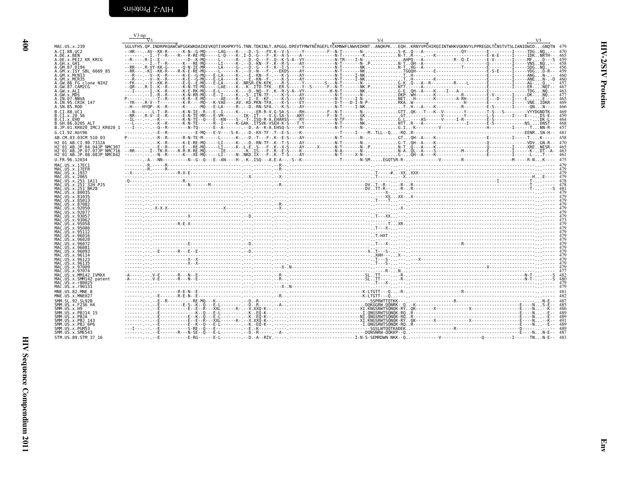<span id="page-23-0"></span>

|                                                                     | V3 tip                                                                                                                                                                                                                                                                                                                                                                                                                                                                      | V <sub>4</sub> | V5         |
|---------------------------------------------------------------------|-----------------------------------------------------------------------------------------------------------------------------------------------------------------------------------------------------------------------------------------------------------------------------------------------------------------------------------------------------------------------------------------------------------------------------------------------------------------------------|----------------|------------|
| MAC.US.x.239                                                        | SGLVFHS.OP.INDRPKOAWČWFGGKWKDAIKEVKOTIVKHPRYTG.TNN.TDKINLT.APGGG.DPEVTFMWTNČRGEFLYČKMNWFLNWVEDRNTANOKPKEOHKRNYVPČHIROIINTWHKVGKNVYLPPREGDLTČNSTVTSLIANIDWIDGNOTN 479                                                                                                                                                                                                                                                                                                        |                |            |
| A.CI.88.UC2                                                         |                                                                                                                                                                                                                                                                                                                                                                                                                                                                             |                |            |
| A.DE.x.BEN                                                          |                                                                                                                                                                                                                                                                                                                                                                                                                                                                             |                |            |
| A.DE.x.PEI2 KR KRCG<br>A.GH.x.GH1                                   |                                                                                                                                                                                                                                                                                                                                                                                                                                                                             |                |            |
| A.GM.87.D194                                                        |                                                                                                                                                                                                                                                                                                                                                                                                                                                                             |                |            |
| A.GM.x.ISY SBL 6669 85                                              |                                                                                                                                                                                                                                                                                                                                                                                                                                                                             |                |            |
| A.GM.x.MCN13<br>A.GM.x.MCR35                                        |                                                                                                                                                                                                                                                                                                                                                                                                                                                                             |                |            |
| A.GW.86.FG clone NIHZ                                               |                                                                                                                                                                                                                                                                                                                                                                                                                                                                             |                |            |
| A.GW.87.CAM2CG                                                      |                                                                                                                                                                                                                                                                                                                                                                                                                                                                             |                |            |
| A.GW.x.ALI                                                          |                                                                                                                                                                                                                                                                                                                                                                                                                                                                             |                |            |
| A.GW.x.MDS<br>.IN.07.NNVA                                           |                                                                                                                                                                                                                                                                                                                                                                                                                                                                             |                |            |
| A.IN.95.CRIK 147                                                    |                                                                                                                                                                                                                                                                                                                                                                                                                                                                             |                |            |
| A.SN.85.ROD                                                         |                                                                                                                                                                                                                                                                                                                                                                                                                                                                             |                |            |
| B.CI.88.UC1<br>B.CI.x.20 56                                         |                                                                                                                                                                                                                                                                                                                                                                                                                                                                             |                |            |
| B.CI.x.EHO                                                          |                                                                                                                                                                                                                                                                                                                                                                                                                                                                             |                |            |
| .GH.86.D205 ALT                                                     |                                                                                                                                                                                                                                                                                                                                                                                                                                                                             |                | 468        |
| B.JP.01.KR020 IMCJ KR020 1                                          |                                                                                                                                                                                                                                                                                                                                                                                                                                                                             |                | 457        |
| $G.CI.92.Ah$ +96                                                    |                                                                                                                                                                                                                                                                                                                                                                                                                                                                             |                |            |
| AB.CM.03.03CM 510 03                                                |                                                                                                                                                                                                                                                                                                                                                                                                                                                                             |                |            |
|                                                                     |                                                                                                                                                                                                                                                                                                                                                                                                                                                                             |                |            |
|                                                                     |                                                                                                                                                                                                                                                                                                                                                                                                                                                                             |                |            |
|                                                                     |                                                                                                                                                                                                                                                                                                                                                                                                                                                                             |                |            |
| U.FR.96.12034                                                       |                                                                                                                                                                                                                                                                                                                                                                                                                                                                             |                |            |
| MAC.US.x.17EC1                                                      |                                                                                                                                                                                                                                                                                                                                                                                                                                                                             |                |            |
| MAC.US.x.17EFR<br>MAC.US.x.1937                                     |                                                                                                                                                                                                                                                                                                                                                                                                                                                                             |                |            |
| MAC.US.x.2065                                                       |                                                                                                                                                                                                                                                                                                                                                                                                                                                                             |                |            |
| MAC.US.x.251 1A11                                                   |                                                                                                                                                                                                                                                                                                                                                                                                                                                                             |                |            |
| MAC.US.x.251 <sup>—</sup> 32H PJ5<br>MAC.US.x.251 <sup>-</sup> BK28 |                                                                                                                                                                                                                                                                                                                                                                                                                                                                             |                |            |
| MAC.US.x.80035                                                      |                                                                                                                                                                                                                                                                                                                                                                                                                                                                             |                |            |
| MAC.US.x.81035                                                      |                                                                                                                                                                                                                                                                                                                                                                                                                                                                             |                |            |
| MAC.US.x.85013<br>MAC.US.x.87082                                    |                                                                                                                                                                                                                                                                                                                                                                                                                                                                             |                |            |
| MAC.US.x.92050                                                      |                                                                                                                                                                                                                                                                                                                                                                                                                                                                             |                |            |
| MAC IIS x 9207.                                                     |                                                                                                                                                                                                                                                                                                                                                                                                                                                                             |                |            |
| MAC.US.x.93062                                                      |                                                                                                                                                                                                                                                                                                                                                                                                                                                                             |                |            |
| MAC.US.x.95058                                                      |                                                                                                                                                                                                                                                                                                                                                                                                                                                                             |                |            |
| MAC.US.x.95086                                                      |                                                                                                                                                                                                                                                                                                                                                                                                                                                                             |                |            |
| MAC.US.x.96016                                                      |                                                                                                                                                                                                                                                                                                                                                                                                                                                                             |                |            |
| MAC.US.x.96020                                                      |                                                                                                                                                                                                                                                                                                                                                                                                                                                                             |                |            |
| MAC.US.x.96072                                                      |                                                                                                                                                                                                                                                                                                                                                                                                                                                                             |                |            |
| MAC.US.x.96081<br>MAC.US.x.96093                                    |                                                                                                                                                                                                                                                                                                                                                                                                                                                                             |                |            |
| MAC.US.x.96114                                                      |                                                                                                                                                                                                                                                                                                                                                                                                                                                                             |                |            |
| MAC.US.x.96123                                                      |                                                                                                                                                                                                                                                                                                                                                                                                                                                                             |                |            |
| MAC.US.x.96135<br>MAC.US.x.97009                                    |                                                                                                                                                                                                                                                                                                                                                                                                                                                                             |                |            |
| MAC.US.x.97074                                                      |                                                                                                                                                                                                                                                                                                                                                                                                                                                                             |                |            |
| MAC.US.x.MM142 IVMXX                                                |                                                                                                                                                                                                                                                                                                                                                                                                                                                                             |                |            |
| MAC.US.x.SMM142 patent<br>MAC.US.x.r80025                           |                                                                                                                                                                                                                                                                                                                                                                                                                                                                             |                |            |
| MAC.US.x.r90131                                                     |                                                                                                                                                                                                                                                                                                                                                                                                                                                                             |                |            |
| MNE.US.82.MNE 8                                                     |                                                                                                                                                                                                                                                                                                                                                                                                                                                                             |                |            |
| MNE.US.x.MNE027                                                     |                                                                                                                                                                                                                                                                                                                                                                                                                                                                             |                |            |
| SMM.SL.92.SL92B                                                     | $E_{\text{1}}\left[\begin{array}{c} \text{R}_{\text{2}}\left(\text{R}_{\text{3}}\right) & \text{R}_{\text{4}}\left(\text{R}_{\text{5}}\right) & \text{R}_{\text{5}}\left(\text{R}_{\text{6}}\right) & \text{R}_{\text{6}}\left(\text{R}_{\text{7}}\right) & \text{R}_{\text{7}}\left(\text{R}_{\text{8}}\right) & \text{R}_{\text{8}}\left(\text{R}_{\text{9}}\right) & \text{R}_{\text{9}}\left(\text{R}_{\text{1}}\right) & \text{R}_{\text{1}}\left(\text{R}_{\text{2}}$ |                |            |
| SMM.US.x.F236 H4<br>SMM.US.x.H9                                     |                                                                                                                                                                                                                                                                                                                                                                                                                                                                             |                |            |
| SMM.US.x.PBJ14 15                                                   |                                                                                                                                                                                                                                                                                                                                                                                                                                                                             |                |            |
| SMM.US.x.PBJA                                                       |                                                                                                                                                                                                                                                                                                                                                                                                                                                                             |                |            |
| SMM.US.x.PBJ 143<br>SMM.US.x.PBJ <sup>-</sup> 6P6                   |                                                                                                                                                                                                                                                                                                                                                                                                                                                                             |                | 491<br>489 |
| SMM.US.x.PGM53                                                      |                                                                                                                                                                                                                                                                                                                                                                                                                                                                             |                |            |
| SMM.US.x.SME543                                                     |                                                                                                                                                                                                                                                                                                                                                                                                                                                                             |                |            |
| STM.US.89.STM 37 16                                                 |                                                                                                                                                                                                                                                                                                                                                                                                                                                                             |                |            |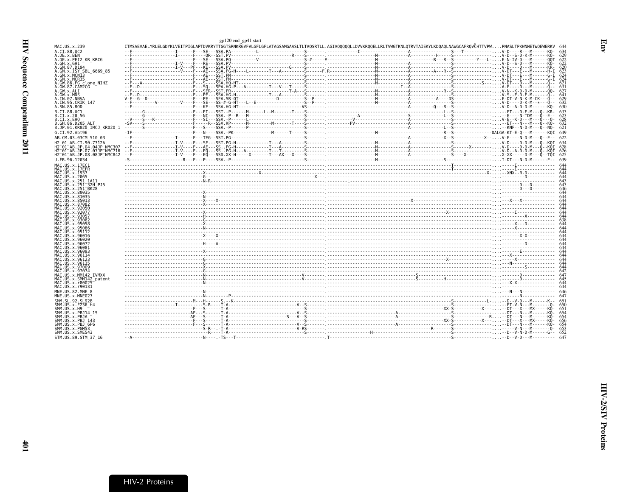<span id="page-24-0"></span>

|                                                                   | gp120 end_gp41 start |                                                                                                                                                                            |              |
|-------------------------------------------------------------------|----------------------|----------------------------------------------------------------------------------------------------------------------------------------------------------------------------|--------------|
| MAC.US.x.239                                                      |                      | ITMSAEVAELYRLELGDYKLVEITPIGLAPTDVKRYTTGGTSRNKRGVFVLGFLGFLATAGSAMGAASLTLTAQSRTLL.AGIVQQQQQLLDVVKRQQELLRLTVWGTKNLQTRVTAIEKYLKDQAQLNAWGCAFRQVČHTTVPWPNASLTPKWNNETWQEWERKV 644 |              |
| A.CI.88.UC2                                                       |                      |                                                                                                                                                                            | 634          |
| A.DE.x.BEN                                                        |                      |                                                                                                                                                                            | 629          |
| A.DE.x.PEI2 KR KRCG<br>A.GH.x.GH1                                 |                      |                                                                                                                                                                            | 622<br>622   |
| A.GM.87.D194                                                      |                      |                                                                                                                                                                            | 620          |
| A.GM.x.ISY SBL 6669 85                                            |                      |                                                                                                                                                                            | 623          |
|                                                                   |                      |                                                                                                                                                                            | 624          |
| A.GM.x.MCN13<br>A.GM.x.MCR35<br>A.GW.86.FG_clone_NIHZ             |                      |                                                                                                                                                                            | 624          |
| A.GW.87.CAM2CG                                                    |                      |                                                                                                                                                                            | 62<br>63     |
| A.GW.x.ALI                                                        |                      |                                                                                                                                                                            | 62           |
| A.GW.x.MDS                                                        |                      |                                                                                                                                                                            | 64           |
| A.IN.07.NNVA                                                      |                      |                                                                                                                                                                            | 629          |
| A. IN. 95. CRIK 147                                               |                      |                                                                                                                                                                            | 632          |
| A.SN.85.ROD                                                       |                      |                                                                                                                                                                            | 630          |
| B.CI.88.UC1                                                       |                      |                                                                                                                                                                            | 623          |
| B.CI.x.20 56<br>B.CI.x.EHO                                        |                      |                                                                                                                                                                            | 628          |
| B.GH.86.D205 ALT                                                  |                      |                                                                                                                                                                            | 632          |
| B.JP.01.KR020 IMCJ KR020 1                                        |                      |                                                                                                                                                                            | 62           |
| G.CI.92.Abt96                                                     |                      |                                                                                                                                                                            | 649          |
| AB.CM.03.03CM 510 03                                              |                      |                                                                                                                                                                            |              |
| H2 01 AB.CI.90.7312A                                              |                      |                                                                                                                                                                            |              |
| H2 <sup>-01-AB.JP.04.04JP NMC307</sup>                            |                      |                                                                                                                                                                            | 628          |
| H2 <sup>-01-AB.JP.07.07JP-NMC716</sup>                            |                      |                                                                                                                                                                            | 626          |
| H2 <sup>-</sup> 01 <sup>-</sup> AB.JP.08.08JP <sup>-</sup> NMC842 |                      |                                                                                                                                                                            | $62^{\circ}$ |
| U.FR.96.12034                                                     |                      |                                                                                                                                                                            |              |
| MAC.US.x.17EC1                                                    |                      |                                                                                                                                                                            |              |
| MAC.US.x.17EFR                                                    |                      |                                                                                                                                                                            | 644          |
| MAC.US.x.1937<br>MAC.US.x.2065                                    |                      |                                                                                                                                                                            |              |
| MAC.US.x.251 1A11                                                 |                      |                                                                                                                                                                            |              |
| MAC.US.x.251 32H PJ5                                              |                      |                                                                                                                                                                            |              |
| MAC.US.x.251 <sup>-</sup> BK28                                    |                      |                                                                                                                                                                            |              |
| MAC.US.x.80035<br>MAC. US. x.81035                                |                      |                                                                                                                                                                            |              |
| MAC. US. x.85013                                                  |                      |                                                                                                                                                                            |              |
| MAC.US.x.87082                                                    |                      |                                                                                                                                                                            |              |
| MAC.US.x.92050                                                    |                      |                                                                                                                                                                            |              |
| MAC.US.x.92077<br>MAC. US. x. 93057                               |                      |                                                                                                                                                                            | 644          |
| MAC.US.x.93062                                                    |                      |                                                                                                                                                                            |              |
| MAC. US. x.95058                                                  |                      |                                                                                                                                                                            |              |
| MAC.US.x.95086                                                    |                      |                                                                                                                                                                            | 64           |
| MAC.US.x.95112<br>MAC.US.x.96016                                  |                      |                                                                                                                                                                            | 644          |
| MAC.US.x.96020                                                    |                      |                                                                                                                                                                            | 64           |
| MAC.US.x.96072                                                    |                      |                                                                                                                                                                            | 64           |
| MAC.US.x.96081                                                    |                      |                                                                                                                                                                            | 64           |
| MAC.US.x.96093                                                    |                      |                                                                                                                                                                            | 64           |
| MAC. US. x. 96114<br>MAC.US.x.96123                               |                      |                                                                                                                                                                            |              |
| MAC.US.x.96135                                                    |                      |                                                                                                                                                                            |              |
| MAC. US. x. 97009                                                 |                      |                                                                                                                                                                            |              |
| MAC.US.x.97074                                                    |                      |                                                                                                                                                                            | 642          |
| MAC.US.x.MM142 IVMXX<br>MAC.US.x.SMM142 patent                    |                      |                                                                                                                                                                            |              |
| MAC.US.x.r80025                                                   |                      |                                                                                                                                                                            |              |
| MAC.US.x.r90131                                                   |                      |                                                                                                                                                                            | 644          |
| MNE.US.82.MNE 8                                                   |                      |                                                                                                                                                                            |              |
| MNE.US.x.MNE027                                                   |                      |                                                                                                                                                                            |              |
| SMM.SL.92.SL92B                                                   |                      |                                                                                                                                                                            |              |
| SMM.US.x.F236 H4                                                  |                      |                                                                                                                                                                            | 650          |
| SMM.US.x.H9<br>SMM. US. x. PBJ14 15                               |                      |                                                                                                                                                                            | 651<br>654   |
| SMM.US.x.PBJA                                                     |                      |                                                                                                                                                                            | 654          |
| SMM.US.x.PBJ 143                                                  |                      |                                                                                                                                                                            | 656          |
| SMM.US.x.PBJ <sup>-6P6</sup>                                      |                      |                                                                                                                                                                            | 654          |
| SMM.US.x.PGM53<br>SMM.US.x.SME543                                 |                      |                                                                                                                                                                            | 65<br>65     |
|                                                                   |                      |                                                                                                                                                                            |              |
| STM.US.89.STM 37 16                                               |                      |                                                                                                                                                                            |              |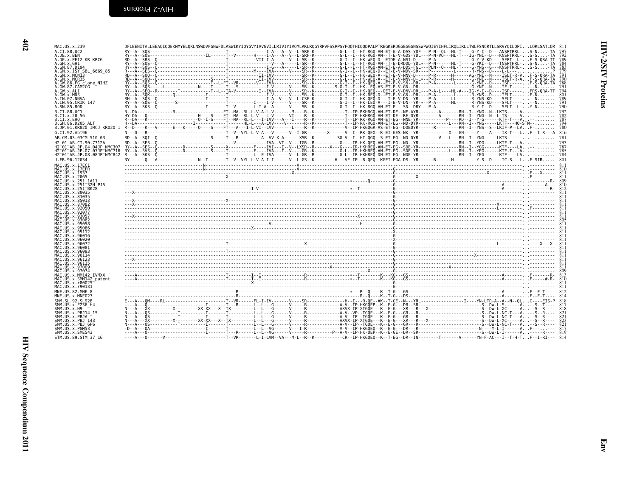| $\frac{1}{1}$<br>counterface or |  |
|---------------------------------|--|
| ì<br>י<br>にゅうしょう                |  |

| MAC.US.x.239                                       | DFLEENITALLEEAOIOOEKNMYELOKLNSWDVFGNWFDLASWIKYIOYGVYIVVGVILLRIVIYIVOMLAKLROGYRPVFSSPPSYFOOTHIOODPALPTREGKERDGGEGGGNSSWPWOIEYIHFLIROLIRLLTWLFSNCRTLLSRVYOILOPILORLSATLOR 81                                                        |  |     |
|----------------------------------------------------|-----------------------------------------------------------------------------------------------------------------------------------------------------------------------------------------------------------------------------------|--|-----|
| A.CI.88.UC2                                        |                                                                                                                                                                                                                                   |  |     |
| A.DE.x.BEN<br>A.DE.x.PEI2 KR KRCG                  |                                                                                                                                                                                                                                   |  |     |
| A.GH.x.GH1                                         |                                                                                                                                                                                                                                   |  |     |
| A.GM.87.D194                                       |                                                                                                                                                                                                                                   |  |     |
| A.GM.X.ISY SBL 6669 85<br>A.GM.x.MCNI3             |                                                                                                                                                                                                                                   |  |     |
| A.GM.x.MCR35                                       |                                                                                                                                                                                                                                   |  |     |
| A.GW.86.FG clone NIHZ<br>A.GW.87.CAM2CG            |                                                                                                                                                                                                                                   |  |     |
| A.GW.x.ALI                                         |                                                                                                                                                                                                                                   |  |     |
| A.GW.x.MDS<br>A.IN.07.NNVA                         |                                                                                                                                                                                                                                   |  |     |
| A.IN.95.CRIK 147                                   |                                                                                                                                                                                                                                   |  |     |
| A.SN.85.ROD                                        | N--DA---------------R-----------------FT--MA--RL-L-V-A-L-V-------M----R--K-------------T--IP-RKHRGO-AN-ET-DE--NE-AYR--------A--------RN--I--YNG--N--LKTS-----A--                                                                  |  |     |
| B.CI.88.UC1                                        |                                                                                                                                                                                                                                   |  |     |
|                                                    |                                                                                                                                                                                                                                   |  |     |
|                                                    | В.С. 2000 С. 2000 С. 2000 С. 2000 С. 2000 С. 2000 С. 2000 С. 2000 С. 2000 С. 2000 С. 2000 С. 2000 С. 2000 С. 2000 С.<br>В.С. 2000 С. 2000 С. 2000 С. 2000 С. 2000 С. 2000 С. 2000 С. 2000 С. 2000 С. 2000 С. 2000 С. 2000 С. 200  |  |     |
| G.CI.92.Abt96                                      |                                                                                                                                                                                                                                   |  | 816 |
| AB.CM.03.03CM 510 03                               |                                                                                                                                                                                                                                   |  |     |
|                                                    |                                                                                                                                                                                                                                   |  |     |
|                                                    |                                                                                                                                                                                                                                   |  |     |
|                                                    |                                                                                                                                                                                                                                   |  |     |
| U.FR.96.12034                                      | NY-----0---A---------------N--I-------T--V--VYL-L-V-A-I-I-------V--L-GS--K--------H---VE-IP--R-OEO--KGEI-EGA-DS--YR------R------H---------Y-S--D----IC-S---LF-SIR                                                                 |  |     |
| MAC.US.x.17EC1<br>MAC.US.x.17EFR                   | $\frac{1}{2}$                                                                                                                                                                                                                     |  |     |
| MAC.US.x.1937                                      |                                                                                                                                                                                                                                   |  |     |
| MAC.US.x.2065<br>MAC.US.x.251 1A11                 |                                                                                                                                                                                                                                   |  |     |
| MAC.US.x.251 <sup>-32H</sup> PJ5                   |                                                                                                                                                                                                                                   |  |     |
| MAC.US.x.251 <sup>-</sup> BK28<br>MAC. US. x.80035 |                                                                                                                                                                                                                                   |  |     |
| MAC.US.x.81035                                     |                                                                                                                                                                                                                                   |  |     |
| MAC.US.x.85013<br>MAC.US.x.87082                   |                                                                                                                                                                                                                                   |  |     |
| MAC.US.x.92050                                     |                                                                                                                                                                                                                                   |  |     |
| MAC.US.x.92077<br>MAC.US.x.93057                   |                                                                                                                                                                                                                                   |  |     |
| MAC.US.x.93062                                     |                                                                                                                                                                                                                                   |  |     |
| MAC.US.x.95058<br>MAC.US.x.95086                   |                                                                                                                                                                                                                                   |  |     |
| MAC.US.x.95112                                     |                                                                                                                                                                                                                                   |  |     |
| MAC.US.x.96016<br>MAC.US.x.96020                   |                                                                                                                                                                                                                                   |  |     |
| MAC.US.x.96072                                     |                                                                                                                                                                                                                                   |  |     |
| MAC.US.x.96081<br>MAC.US.x.96093                   | $\frac{1}{2}$ . The contract of the contract of the contract of the contract of the contract of the contract of the contract of the contract of the contract of the contract of the contract of the contract of the contract of t |  |     |
| MAC.US.x.96114                                     |                                                                                                                                                                                                                                   |  |     |
| MAC.US.x.96123<br>MAC.US.x.96135                   |                                                                                                                                                                                                                                   |  |     |
| MAC.US.x.97009                                     |                                                                                                                                                                                                                                   |  |     |
| MAC.US.x.97074<br>MAC.US.x.MM142 IVMXX             |                                                                                                                                                                                                                                   |  |     |
| MAC.US.x.SMM142 patent                             |                                                                                                                                                                                                                                   |  |     |
| MAC.US.x.r80025<br>MAC.US.x.r90131                 |                                                                                                                                                                                                                                   |  |     |
| MNE.US.82.MNE 8                                    |                                                                                                                                                                                                                                   |  |     |
| MNE.US.x.MNE027                                    |                                                                                                                                                                                                                                   |  |     |
| SMM.SL.92.SL92B<br>SMM.US.x.F236 H4                |                                                                                                                                                                                                                                   |  |     |
| SMM.US.x.H9                                        |                                                                                                                                                                                                                                   |  |     |
| SMM.US.x.PBJ14 15<br>SMM.US.x.PBJA                 |                                                                                                                                                                                                                                   |  |     |
| SMM.US.x.PBJ 143                                   |                                                                                                                                                                                                                                   |  |     |
| SMM.US.x.PBJ <sup>-6P6</sup><br>SMM.US.x.PGM53     |                                                                                                                                                                                                                                   |  |     |
| SMM.US.x.SME543                                    |                                                                                                                                                                                                                                   |  |     |
| STM.US.89.STM 37 16                                |                                                                                                                                                                                                                                   |  |     |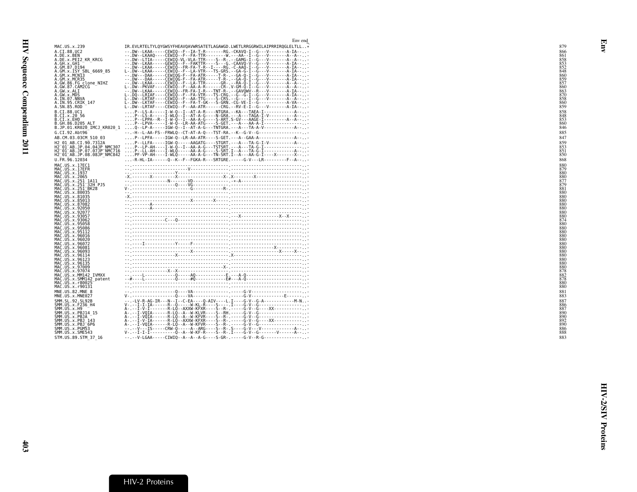|                                                                   | Env end                                                                                                                                                                                                                                                                                                                                                                                                                                           |            |
|-------------------------------------------------------------------|---------------------------------------------------------------------------------------------------------------------------------------------------------------------------------------------------------------------------------------------------------------------------------------------------------------------------------------------------------------------------------------------------------------------------------------------------|------------|
| MAC.US.x.239                                                      | IR.EVLRTELTYLOYGWSYFHEAVOAVWRSATETLAGAWGD.LWETLRRGGRWILAIPRRIROGLELTLL*                                                                                                                                                                                                                                                                                                                                                                           | 879        |
| A.CI.88.UC2                                                       | --.DW--LKAA-----CEWIO--F--IA-T-R-------RG.-CKAVO-I--G---V--------A-IA---                                                                                                                                                                                                                                                                                                                                                                          |            |
| A.DE.x.BEN                                                        | --.DW--LKAAQ----CEWIQ--F--FA-TTR--------W.---AA--I--G---V-------A--A---                                                                                                                                                                                                                                                                                                                                                                           |            |
| A.DE.x.PEI2 KR KRCG                                               | --.DW--LTIA-----CEWIQ-VL-VLA-TTR----S--R-.--GAMG-I--G---V--------A--A---                                                                                                                                                                                                                                                                                                                                                                          |            |
| A.GH.x.GH1                                                        | --.DW--LKAA-----GEWIQ--F--FAKTTR----S---G.-CAAVQ-V--G---V--------A-IA---                                                                                                                                                                                                                                                                                                                                                                          | 853<br>852 |
| A.GM.87.D194<br>A.GM.X.ISY SBL 6669 85                            | --.DW--LKAA-----CEWIQ--FR-FA-T-R--I----RG.-C-AAQ-I--G---V-------A-IA---<br>L-.DW--LKAA-----CEWIQ--F--LA-VTR---TS-GRS.--GA-G-I--G---V-------A-IA---                                                                                                                                                                                                                                                                                                | 848        |
|                                                                   | -- . DW---DAA-----CEWIQG-F--FA-ATR-----T-R-.--GA-Q-I--G---V--------A-IA--. . -                                                                                                                                                                                                                                                                                                                                                                    | 860        |
| A. GM. X. MCN13<br>A. GM. X. MCR35                                | -- .DW---DAA-----CEWIQG-F--FA-ATR-----T-R-.--GA-Q-I--G---V-------A-IA---<br>-- .DW--LKAA-----CEWIQ--F--LA-TTR------GR-.--RA-Q-I--G---V-------A--A---                                                                                                                                                                                                                                                                                              |            |
| A.GW.86.FG clone_NIHZ<br>A.GW.87.CAM2CG                           |                                                                                                                                                                                                                                                                                                                                                                                                                                                   | 857        |
|                                                                   | L- . DW--PKVAF----CEWIQ--F--AA-A-R------CR-. V-GM-Q-I--G---V-------A--A--. . -                                                                                                                                                                                                                                                                                                                                                                    | 860        |
| A.GW.x.ALI<br>A.GW.x.MDS                                          | --.DW--LKAA-----CEWIQ--FR-FA-I-R---TNT-R-.--GAVQWV--R---V-------A-IA---<br>L-.DQ--LRIAF----CEWIQ--F--FA-VTR---TS-CRG.--G--G-I--G---V-------A-IA---                                                                                                                                                                                                                                                                                                | 863<br>870 |
| A.IN.07.NNVA                                                      | L-.DW--LRTAF----CEWIQ--F--AA-TTG----S-CRS.--G----I--G---V-------A--A---                                                                                                                                                                                                                                                                                                                                                                           | 858        |
| A.IN.95.CRIK 147                                                  | L-.DW--LKTAF----CEWIQ--F--FA-T-GK---S-GRN.-CG-VE-I--G------------A-VA---                                                                                                                                                                                                                                                                                                                                                                          | 860<br>859 |
| A.SN.85.ROD                                                       | L-.DW--LRTAF----CEWIQ--F--AA-ATR------CRG.--RV-E-I--G---V-------A-IA---                                                                                                                                                                                                                                                                                                                                                                           |            |
| B.CI.88.UC1                                                       | P--LS-A-----I-W-Q--I--AT-A-R----NTGRA.--KA---TAEA-I--------------A---                                                                                                                                                                                                                                                                                                                                                                             |            |
| B.CI.x.20 56<br>B.CI.x.EHO                                        | P--LS-A-----I-WLQ--I--AT-A-G----N-GRA.---A---TAGA-I-V-----------A---                                                                                                                                                                                                                                                                                                                                                                              | 848<br>853 |
| B.GH.86.D205 ALT                                                  |                                                                                                                                                                                                                                                                                                                                                                                                                                                   | 860        |
| B.JP.01.KR020 IMCJ KR020 1                                        | Q--LP-A-----IGW-Q--I--AT-A-G---TNTGRA.---A---TA-A-V--------------A---                                                                                                                                                                                                                                                                                                                                                                             | 846        |
| G.CI.92.Abt96                                                     | --.-H--L-AA-FS--FRWLQ--CT-AT-A-Q---TST-RA.--K--G-V--G-----------------                                                                                                                                                                                                                                                                                                                                                                            | 885        |
| AB.CM.03.03CM 510 03                                              | P--LPFA-----IGW-Q--LR-AA-ATR----S-GET.---A--GAA-A---------------A---                                                                                                                                                                                                                                                                                                                                                                              | 847        |
| H2 01 AB.CI.90.7312A                                              | P--LLFA-----IGW-Q-----AAGATG----STGRT.---A---TA-G-I-V-----------A---                                                                                                                                                                                                                                                                                                                                                                              |            |
| H2 <sup>-</sup> 01 <sup>-</sup> AB.JP.04.04JP NMC307              |                                                                                                                                                                                                                                                                                                                                                                                                                                                   | 853        |
| H2 <sup>-</sup> 01 <sup>-</sup> AB.JP.07.07JP <sup>-</sup> NMC716 | P--LP-AH----I-W-Q--I--AA-A-G---TSTSRT.---A---TA-G-I-------------------------<br>P--LL-AH----I-WLQ-----AA-A-G----S-SRT.I--A---TA-G-I---------------A---                                                                                                                                                                                                                                                                                            | 851        |
| H2 <sup>-</sup> 01 <sup>-</sup> AB.JP.08.08JP <sup>-</sup> NMC842 | PF-VP-AH----I-WLQ-----AA-A-G---TN-SRT.I--A---AA-G-I----X-------X--                                                                                                                                                                                                                                                                                                                                                                                | 850        |
| U.FR.96.12034                                                     | -R-HL-IA------0--K--F--FGKA-R---SRTGRE.-----G-V---LR---------F--A---                                                                                                                                                                                                                                                                                                                                                                              | 868        |
| MAC.US.x.17EC1                                                    |                                                                                                                                                                                                                                                                                                                                                                                                                                                   |            |
| MAC.US.x.17EFR                                                    |                                                                                                                                                                                                                                                                                                                                                                                                                                                   |            |
| MAC.US.x.1937                                                     | $\begin{minipage}{0.5\textwidth} \begin{tabular}{ c c c } \hline \multicolumn{3}{ c }{0.5\textwidth} \begin{tabular}{ c c c } \hline \multicolumn{3}{ c }{0.5\textwidth} \begin{tabular}{ c c c } \hline \multicolumn{3}{ c }{0.5\textwidth} \begin{tabular}{ c c c } \hline \multicolumn{3}{ c }{0.5\textwidth} \begin{tabular}{ c c c } \hline \multicolumn{3}{ c }{0.5\textwidth} \begin{tabular}{ c c } \hline \multicolumn{3}{ c }{0.5\text$ |            |
| MAC.US.x.2065<br>MAC.US.x.251_1A11                                |                                                                                                                                                                                                                                                                                                                                                                                                                                                   |            |
| MAC.US.x.251 32H PJ5                                              |                                                                                                                                                                                                                                                                                                                                                                                                                                                   |            |
| MAC.US.x.251 BK28                                                 |                                                                                                                                                                                                                                                                                                                                                                                                                                                   | 881        |
| MAC.US.x.80035                                                    |                                                                                                                                                                                                                                                                                                                                                                                                                                                   | 880        |
| MAC.US.x.81035                                                    |                                                                                                                                                                                                                                                                                                                                                                                                                                                   | 880<br>880 |
| MAC.US.x.85013                                                    | $\frac{1}{2}$                                                                                                                                                                                                                                                                                                                                                                                                                                     | 880        |
| MAC.US.x.87082<br>MAC.US.x.92050                                  |                                                                                                                                                                                                                                                                                                                                                                                                                                                   | 880        |
| MAC. US. x. 92077                                                 |                                                                                                                                                                                                                                                                                                                                                                                                                                                   | 880        |
| MAC.US.x.93057                                                    |                                                                                                                                                                                                                                                                                                                                                                                                                                                   | 880        |
| MAC.US.x.93062<br>MAC.US.x.95058                                  |                                                                                                                                                                                                                                                                                                                                                                                                                                                   | 880        |
| MAC.US.x.95086                                                    |                                                                                                                                                                                                                                                                                                                                                                                                                                                   |            |
| MAC.US.x.95112                                                    |                                                                                                                                                                                                                                                                                                                                                                                                                                                   |            |
| MAC.US.x.96016                                                    |                                                                                                                                                                                                                                                                                                                                                                                                                                                   |            |
| MAC.US.x.96020<br>MAC.US.x.96072                                  |                                                                                                                                                                                                                                                                                                                                                                                                                                                   |            |
| MAC.US.x.96081                                                    |                                                                                                                                                                                                                                                                                                                                                                                                                                                   |            |
| MAC.US.x.96093                                                    |                                                                                                                                                                                                                                                                                                                                                                                                                                                   |            |
| MAC.US.x.96114                                                    |                                                                                                                                                                                                                                                                                                                                                                                                                                                   |            |
| MAC. US. x. 96123<br>MAC.US.x.96135                               |                                                                                                                                                                                                                                                                                                                                                                                                                                                   |            |
| MAC.US.x.97009                                                    |                                                                                                                                                                                                                                                                                                                                                                                                                                                   |            |
| MAC.US.x.97074                                                    |                                                                                                                                                                                                                                                                                                                                                                                                                                                   |            |
| MAC.US.x.MM142 IVMXX                                              |                                                                                                                                                                                                                                                                                                                                                                                                                                                   |            |
| MAC.US.x.SMM142 patent<br>MAC.US.x.r80025                         |                                                                                                                                                                                                                                                                                                                                                                                                                                                   |            |
| MAC.US.x.r90131                                                   |                                                                                                                                                                                                                                                                                                                                                                                                                                                   | 880        |
| MNE.US.82.MNE 8                                                   |                                                                                                                                                                                                                                                                                                                                                                                                                                                   | 881        |
| MNE.US.x.MNE027                                                   |                                                                                                                                                                                                                                                                                                                                                                                                                                                   | 883        |
| SMM.SL.92.SL92B                                                   |                                                                                                                                                                                                                                                                                                                                                                                                                                                   | 887        |
| SMM. US. x. F236_H4                                               | V-.--I-I-IA------R--Q-----W-KL-R----S----.I----G-V--G------------------                                                                                                                                                                                                                                                                                                                                                                           | 886        |
| SMM.US.x.H9                                                       |                                                                                                                                                                                                                                                                                                                                                                                                                                                   | 887<br>890 |
| SMM. US. x. PBJ14 15<br>SMM.US.x.PBJA                             |                                                                                                                                                                                                                                                                                                                                                                                                                                                   | 890        |
| SMM. US. x. PBJ 143                                               | A- .-- I-V-IA-------R-LQ--AXXW-KFXR---- S--R- .----- G-V--G-----XX------------- .-                                                                                                                                                                                                                                                                                                                                                                | 892        |
| SMM.US.x.PBJ 6P6                                                  |                                                                                                                                                                                                                                                                                                                                                                                                                                                   |            |
| SMM.US.x.PGM53                                                    | -- --V---IS-----CRW-Q-----A--ARG----S--R- .S----G-V---V----------------A-- -                                                                                                                                                                                                                                                                                                                                                                      |            |
| SMM.US.x.SME543                                                   |                                                                                                                                                                                                                                                                                                                                                                                                                                                   | 888        |
| STM.US.89.STM 37 16                                               | --.--V-LGAA-----CIWIQ--A--A--A-G----S-GR-.-----G-V--R-G---------------                                                                                                                                                                                                                                                                                                                                                                            | 883        |

**HIV-2/SIV Proteins** 

<span id="page-26-0"></span>Env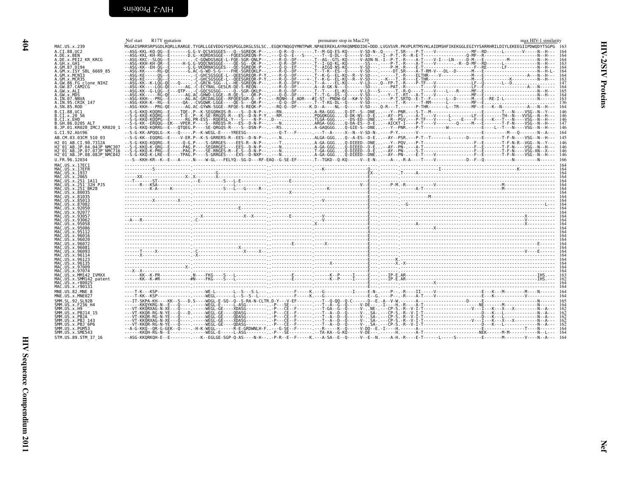<span id="page-27-1"></span><span id="page-27-0"></span>

|                                                                                                                                                                                                                        | R17Y mutation<br>Nef start | premature stop in Mac239                                                                                                                                                                                                                                                                                                                                                                       | max HIV-1 similarity                                        |
|------------------------------------------------------------------------------------------------------------------------------------------------------------------------------------------------------------------------|----------------------------|------------------------------------------------------------------------------------------------------------------------------------------------------------------------------------------------------------------------------------------------------------------------------------------------------------------------------------------------------------------------------------------------|-------------------------------------------------------------|
| MAC.US.x.239                                                                                                                                                                                                           |                            | .<br>MGGAISMRRSRPSGDLRQRLLRARGE.TYGRLLGEVEDGYSQSPGGLDKGLSSLSCEGQKYNQGQYMNTPWR.NPAEEREKLAYRKQNMDDIDE+DDD.LVGVSVR.PKVPLRTMSYKLAIDMSHFIKEKGGLEGIYYSARRHRILDIYLEKEEGIIPDWQDYTSGPG                                                                                                                                                                                                                  | 163                                                         |
| A.CI.88.UC2<br>A.DE.x.BEN<br>A.DE.x.PEI2 KR KRCG<br>A.GH.x.GH1<br>.GM.87.D194<br>A.GM.x.ISY SBL 6669 85<br>A.GM.x.MCNI3<br>A.GM.x.MCR35<br>A.GW.86.FG clone NIHZ                                                       |                            | $\begin{tabular}{@{}c@{}} \textbf{MCG, ASG. KIC. + R1: G0: G0: 1.01.01.02.03.04.05.04.05.04.05.04.05.04.05.04.05.04.05.04.05.04.05.04.05.04.05.04.05.04.05.04.05.04.05.04.05.04.05.04.05.04.05.04.05.04.05.04.05.04.05.04.05.04.05.04.05.04.05.04.05.04$                                                                                                                                       | 164<br>164<br>164<br>163<br>164<br>164<br>164<br>163<br>147 |
| A.GW.87.CAM2CG<br>A.GW.x.ALI<br>A.GW.x.MDS<br>A.IN.07.NNVA<br>A.IN.95.CRIK 147<br>A.SN.85.ROD                                                                                                                          |                            |                                                                                                                                                                                                                                                                                                                                                                                                | 164<br>164<br>163<br>136<br>164                             |
| B.CI.88.UC1<br>B.CI.x.20 56<br>B.CI.x.EHO<br>B.GH.86.D205 ALT<br>B.JP.01.KR020 IMCJ KR020 1<br>G.CI.92.Abt96                                                                                                           |                            |                                                                                                                                                                                                                                                                                                                                                                                                | 146<br>$\frac{146}{146}$<br>147<br>146<br>164               |
| AB.CM.03.03CM 510 03                                                                                                                                                                                                   |                            |                                                                                                                                                                                                                                                                                                                                                                                                | 145                                                         |
| H2 01 AB.CI.90.7312A<br>H2 <sup>-</sup> 01 <sup>-</sup> AB.JP.04.04JP NMC307<br>H2 <sup>-</sup> 01 <sup>-</sup> AB.JP.07.07JP <sup>-</sup> NMC716<br>H2 <sup>-</sup> 01 <sup>-</sup> AB.JP.08.08JP <sup>-</sup> NMC842 |                            |                                                                                                                                                                                                                                                                                                                                                                                                | 146<br>146<br>146                                           |
| U.FR.96.12034<br>MAC.US.x.17EC1                                                                                                                                                                                        |                            |                                                                                                                                                                                                                                                                                                                                                                                                | 166                                                         |
| MAC.US.x.17EFR<br>MAC.US.x.1937<br>MAC.US.x.2065                                                                                                                                                                       |                            |                                                                                                                                                                                                                                                                                                                                                                                                | 164<br>164                                                  |
| MAČ.ŪŠ.x.251 1A11<br>MAC.US.x.251 <sup>-</sup> 32H PJ5<br>MAC.US.x.251 <sup>-</sup> BK28                                                                                                                               |                            |                                                                                                                                                                                                                                                                                                                                                                                                | 164<br>164<br>164                                           |
| MAC.US.x.80035<br>MAC.US.x.81035<br>MAC.US.x.85013<br>MAC.US.x.87082                                                                                                                                                   |                            |                                                                                                                                                                                                                                                                                                                                                                                                | 164<br>164<br>164<br>164                                    |
| MAC.US.x.92050<br>MAC.US.x.92077                                                                                                                                                                                       |                            |                                                                                                                                                                                                                                                                                                                                                                                                | 164<br>164                                                  |
| MAC.US.x.93057<br>MAC.US.x.93062<br>MAC.US.x.95058                                                                                                                                                                     |                            |                                                                                                                                                                                                                                                                                                                                                                                                | 164<br>164<br>164                                           |
| MAC.US.x.95086<br>MAC.US.x.95112                                                                                                                                                                                       |                            |                                                                                                                                                                                                                                                                                                                                                                                                | 164<br>164                                                  |
| MAC.US.x.96016<br>MAC.US.x.96020<br>MAC.US.x.96072                                                                                                                                                                     |                            |                                                                                                                                                                                                                                                                                                                                                                                                | 164<br>164<br>164                                           |
| MAC.US.x.96081<br>MAC.US.x.96093<br>MAC.US.x.96114                                                                                                                                                                     |                            |                                                                                                                                                                                                                                                                                                                                                                                                | 164<br>164                                                  |
| MAC.US.x.96123<br>MAC.US.x.96135                                                                                                                                                                                       |                            | $\frac{1}{\frac{1}{1}}\cdot\frac{1}{1}=\frac{1}{1}=\frac{1}{1}=\frac{1}{1}=\frac{1}{1}=\frac{1}{1}=\frac{1}{1}=\frac{1}{1}=\frac{1}{1}=\frac{1}{1}=\frac{1}{1}=\frac{1}{1}=\frac{1}{1}=\frac{1}{1}=\frac{1}{1}=\frac{1}{1}=\frac{1}{1}=\frac{1}{1}=\frac{1}{1}=\frac{1}{1}=\frac{1}{1}=\frac{1}{1}=\frac{1}{1}=\frac{1}{1}=\frac{1}{1}=\frac{1}{1}=\frac{1}{1}=\frac{1}{1}=\frac{1}{1}=\frac{$ | 164<br>164                                                  |
| MAC.US.x.97009<br>MAC.US.x.97074<br>MAC.US.x.MM142 IVMXX                                                                                                                                                               |                            |                                                                                                                                                                                                                                                                                                                                                                                                | 164<br>164                                                  |
| MAC.US.x.SMM142 patent<br>MAC.US.x.r80025                                                                                                                                                                              |                            |                                                                                                                                                                                                                                                                                                                                                                                                | $\frac{163}{162}$<br>164                                    |
| MAC.US.x.r90131<br>MNE.US.82.MNE 8<br>MNE.US.x.MNE027                                                                                                                                                                  |                            |                                                                                                                                                                                                                                                                                                                                                                                                | 164                                                         |
| SMM.SL.92.SL92B<br>SMM.US.x.F236 H4<br>SMM.US.x.H9                                                                                                                                                                     |                            |                                                                                                                                                                                                                                                                                                                                                                                                | 164                                                         |
| SMM.US.x.PBJ14 15<br>SMM.US.x.PBJA                                                                                                                                                                                     |                            |                                                                                                                                                                                                                                                                                                                                                                                                | $\frac{162}{162}$<br>162                                    |
| SMM. US. x. PBJ 143<br>SMM.US.x.PBJ <sup>-</sup> 6P6<br>SMM.US.x.PGM53                                                                                                                                                 |                            |                                                                                                                                                                                                                                                                                                                                                                                                | 162<br>162<br>164                                           |
| SMM.US.x.SME543<br>STM.US.89.STM 37 16                                                                                                                                                                                 |                            |                                                                                                                                                                                                                                                                                                                                                                                                |                                                             |